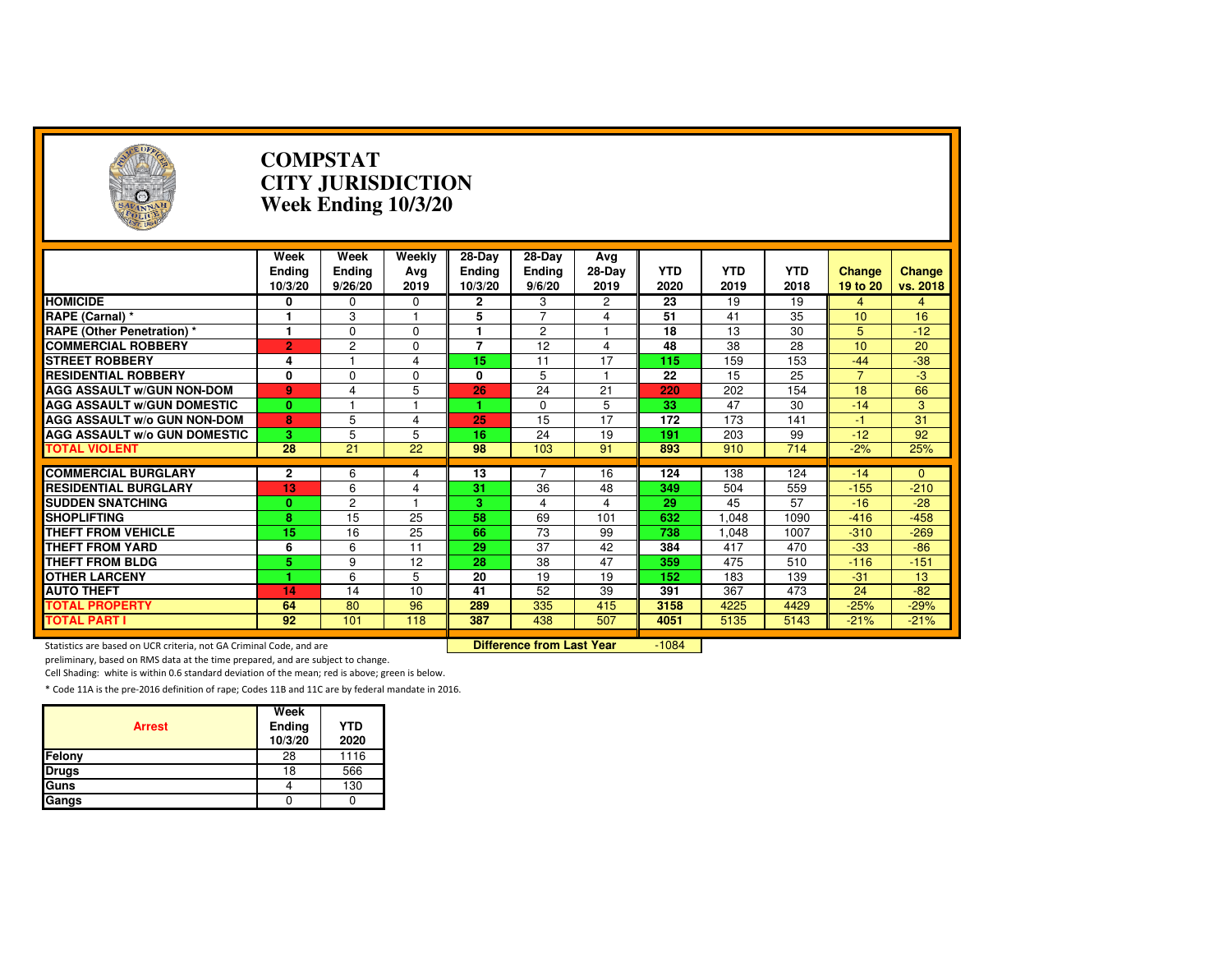| $\rightarrow$                                                       |                                  | <b>COMPSTAT</b>           | <b>CITY JURISDICTION</b><br>Week Ending 10/3/20 |                                    |                                  |                         |                    |                    |                    |                           |                    |
|---------------------------------------------------------------------|----------------------------------|---------------------------|-------------------------------------------------|------------------------------------|----------------------------------|-------------------------|--------------------|--------------------|--------------------|---------------------------|--------------------|
|                                                                     | Week<br><b>Ending</b><br>10/3/20 | Week<br>Ending<br>9/26/20 | Weekly<br>Avg<br>2019                           | 28-Day<br><b>Ending</b><br>10/3/20 | 28-Day<br>Ending<br>9/6/20       | Avg<br>$28-Day$<br>2019 | <b>YTD</b><br>2020 | <b>YTD</b><br>2019 | <b>YTD</b><br>2018 | <b>Change</b><br>19 to 20 | Change<br>vs. 2018 |
| <b>HOMICIDE</b>                                                     | 0                                | 0                         | 0                                               | $\mathbf{2}$                       | 3                                | 2                       | 23                 | 19                 | 19                 | 4                         | $\overline{4}$     |
| RAPE (Carnal) *                                                     | 1                                | 3                         | 1                                               | 5                                  | 7                                | 4                       | 51                 | 41                 | 35                 | 10                        | 16                 |
| <b>RAPE (Other Penetration) *</b>                                   | 1                                | $\Omega$                  | $\Omega$                                        | 1                                  | $\overline{2}$                   | 1                       | 18                 | 13                 | 30                 | 5                         | $-12$              |
| <b>COMMERCIAL ROBBERY</b>                                           | $\overline{2}$                   | $\overline{c}$            | $\Omega$                                        | 7                                  | 12                               | $\overline{4}$          | 48                 | $\overline{38}$    | 28                 | 10                        | 20                 |
| <b>STREET ROBBERY</b>                                               | 4                                |                           | $\overline{4}$                                  | 15                                 | 11                               | 17                      | 115                | 159                | 153                | $-44$                     | $-38$              |
| <b>RESIDENTIAL ROBBERY</b>                                          | 0                                | $\Omega$                  | $\Omega$                                        | 0                                  | 5                                |                         | 22                 | 15                 | 25                 | $\overline{7}$            | $-3$               |
| <b>AGG ASSAULT W/GUN NON-DOM</b>                                    | 9                                | 4                         | 5                                               | 26                                 | $\overline{24}$                  | 21                      | 220                | 202                | 154                | 18                        | 66                 |
| <b>AGG ASSAULT W/GUN DOMESTIC</b>                                   | $\bf{0}$                         |                           |                                                 |                                    | 0                                | 5                       | 33                 | 47                 | 30                 | $-14$                     | 3                  |
| AGG ASSAULT w/o GUN NON-DOM                                         | 8                                | 5                         | 4                                               | 25                                 | 15                               | 17                      | 172                | 173                | 141                | $-1$                      | 31                 |
| <b>AGG ASSAULT W/o GUN DOMESTIC</b>                                 | 3                                | 5                         | 5                                               | 16                                 | 24                               | 19                      | 191                | 203                | 99                 | $-12$                     | 92                 |
| <b>TOTAL VIOLENT</b>                                                | 28                               | 21                        | 22                                              | 98                                 | 103                              | 91                      | 893                | 910                | 714                | $-2%$                     | 25%                |
| <b>COMMERCIAL BURGLARY</b>                                          |                                  |                           |                                                 |                                    |                                  |                         |                    |                    |                    |                           |                    |
| <b>RESIDENTIAL BURGLARY</b>                                         | $\mathbf{2}$<br>13               | 6<br>6                    | 4                                               | 13<br>31                           | 36                               | 16<br>48                | 124<br>349         | 138                | 124                | $-14$                     | $\Omega$<br>$-210$ |
| <b>SUDDEN SNATCHING</b>                                             | $\bf{0}$                         | $\overline{2}$            | 4                                               | з                                  | 4                                | 4                       | 29                 | 504<br>45          | 559<br>57          | $-155$<br>$-16$           | $-28$              |
| <b>SHOPLIFTING</b>                                                  | $\overline{\mathbf{8}}$          | 15                        | 25                                              | 58                                 | 69                               | 101                     | 632                | 1.048              | 1090               | $-416$                    | $-458$             |
| <b>THEFT FROM VEHICLE</b>                                           | 15                               | 16                        | 25                                              | 66                                 | 73                               | 99                      | 738                | 1,048              | 1007               | $-310$                    | $-269$             |
| <b>THEFT FROM YARD</b>                                              | 6                                | 6                         | 11                                              | 29                                 | 37                               | 42                      | 384                | 417                | 470                | $-33$                     | $-86$              |
| <b>THEFT FROM BLDG</b>                                              | 5                                | 9                         | 12                                              | $\overline{28}$                    | 38                               | 47                      | 359                | 475                | 510                | $-116$                    | $-151$             |
| <b>OTHER LARCENY</b>                                                |                                  |                           |                                                 |                                    | 19                               |                         |                    |                    |                    |                           |                    |
| <b>AUTO THEFT</b>                                                   | 14                               | 6<br>14                   | 5<br>10                                         | 20<br>41                           | 52                               | 19<br>39                | 152<br>391         | 183<br>367         | 139<br>473         | $-31$<br>24               | 13<br>$-82$        |
| <b>TOTAL PROPERTY</b>                                               | 64                               | 80                        | 96                                              | 289                                | 335                              | 415                     | 3158               | 4225               | 4429               | $-25%$                    | $-29%$             |
| <b>TOTAL PART I</b>                                                 | 92                               | 101                       | 118                                             | 387                                | 438                              | 507                     | 4051               | 5135               | 5143               | $-21%$                    | $-21%$             |
|                                                                     |                                  |                           |                                                 |                                    |                                  |                         |                    |                    |                    |                           |                    |
| Statistics are based on UCR criteria, not GA Criminal Code, and are |                                  |                           |                                                 |                                    | <b>Difference from Last Year</b> |                         | $-1084$            |                    |                    |                           |                    |

preliminary, based on RMS data at the time prepared, and are subject to change.

Cell Shading: white is within 0.6 standard deviation of the mean; red is above; green is below.

| <b>Arrest</b> | Week<br>Ending<br>10/3/20 | <b>YTD</b><br>2020 |
|---------------|---------------------------|--------------------|
| Felony        | 28                        | 1116               |
| <b>Drugs</b>  | 18                        | 566                |
| Guns          |                           | 130                |
| Gangs         |                           |                    |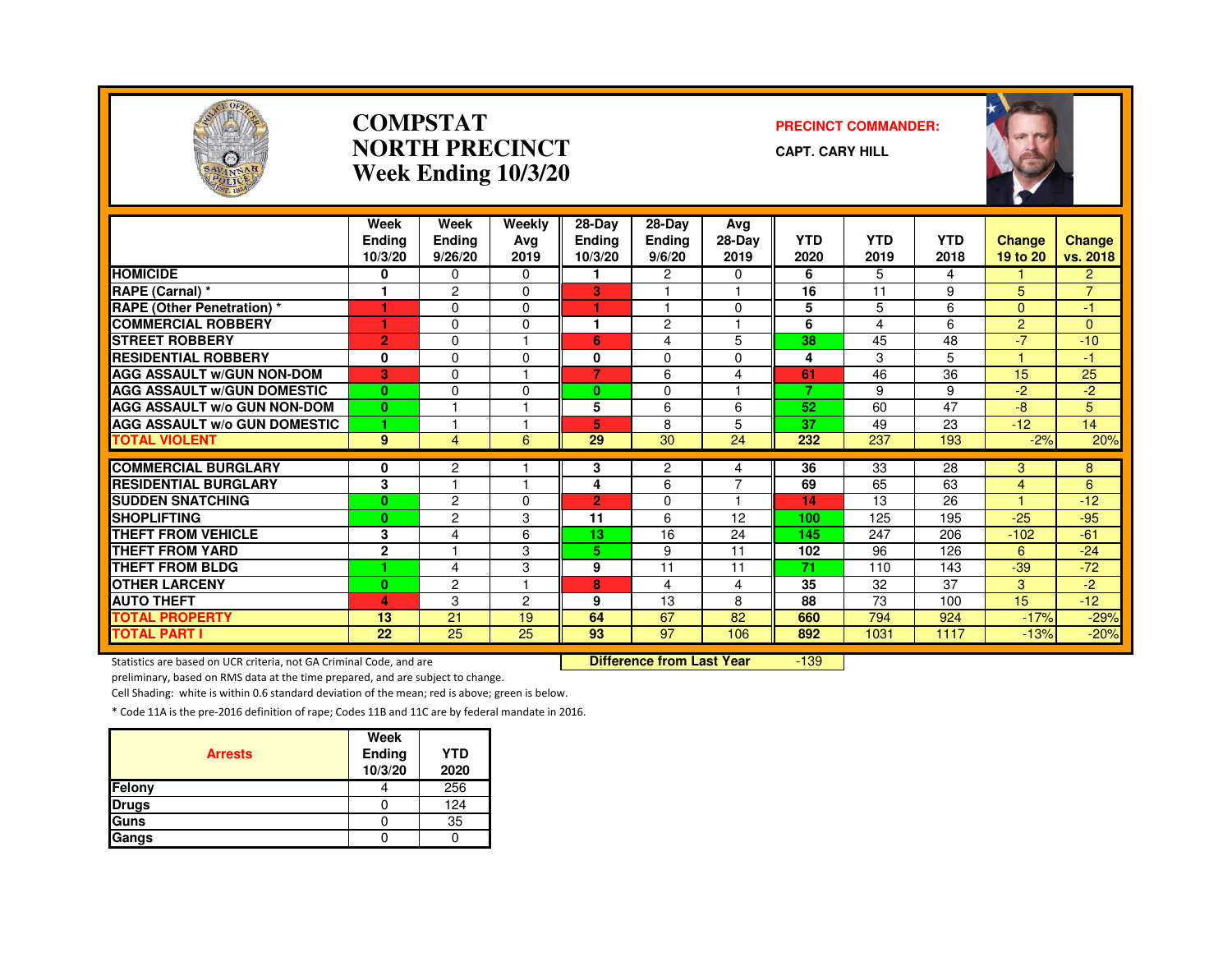

#### **COMPSTATNORTH PRECINCTWeek Ending 10/3/20**

#### **PRECINCT COMMANDER:**

**CAPT. CARY HILL**



|                                              | Week<br><b>Endina</b><br>10/3/20 | Week<br>Ending<br>9/26/20 | Weekly<br>Avg<br>2019 | $28-Dav$<br><b>Ending</b><br>10/3/20 | $28-Dav$<br>Ending<br>9/6/20 | Avg<br>28-Day<br>2019 | <b>YTD</b><br>2020 | <b>YTD</b><br>2019 | <b>YTD</b><br>2018 | <b>Change</b><br>19 to 20 | <b>Change</b><br>vs. 2018 |
|----------------------------------------------|----------------------------------|---------------------------|-----------------------|--------------------------------------|------------------------------|-----------------------|--------------------|--------------------|--------------------|---------------------------|---------------------------|
| <b>HOMICIDE</b>                              | 0                                | 0                         | $\Omega$              |                                      | $\overline{2}$               | 0                     | 6                  | 5                  | 4                  |                           | $\overline{2}$            |
| RAPE (Carnal) *                              |                                  | $\overline{2}$            | $\Omega$              | 3                                    |                              |                       | 16                 | 11                 | 9                  | 5                         | $\overline{7}$            |
| <b>RAPE (Other Penetration) *</b>            |                                  | $\Omega$                  | $\Omega$              |                                      |                              | $\Omega$              | 5                  | 5                  | 6                  | $\Omega$                  | $-1$                      |
| <b>COMMERCIAL ROBBERY</b>                    | ٠                                | $\Omega$                  | $\Omega$              | ٠                                    | $\overline{2}$               | 1                     | 6                  | 4                  | 6                  | $\overline{2}$            | $\Omega$                  |
| <b>STREET ROBBERY</b>                        | $\overline{2}$                   | $\Omega$                  |                       | 6                                    | 4                            | 5                     | 38                 | 45                 | 48                 | $-7$                      | $-10$                     |
| <b>RESIDENTIAL ROBBERY</b>                   | 0                                | $\Omega$                  | $\Omega$              | 0                                    | $\mathbf 0$                  | $\Omega$              | 4                  | 3                  | 5                  |                           | -1                        |
| <b>AGG ASSAULT W/GUN NON-DOM</b>             | 3                                | $\Omega$                  |                       | 7                                    | 6                            | 4                     | 61                 | 46                 | 36                 | 15                        | 25                        |
| <b>AGG ASSAULT W/GUN DOMESTIC</b>            | $\bf{0}$                         | $\Omega$                  | $\Omega$              | 0                                    | 0                            |                       | 7                  | 9                  | 9                  | $-2$                      | $-2$                      |
| <b>AGG ASSAULT W/o GUN NON-DOM</b>           | $\mathbf{0}$                     |                           |                       | 5                                    | 6                            | 6                     | 52                 | 60                 | 47                 | $-8$                      | 5                         |
| <b>AGG ASSAULT W/o GUN DOMESTIC</b>          | 1.                               |                           |                       | 5                                    | 8                            | 5                     | 37                 | 49                 | 23                 | $-12$                     | 14                        |
| <b>TOTAL VIOLENT</b>                         | 9                                | 4                         | 6                     | 29                                   | 30                           | 24                    | 232                | 237                | 193                | $-2%$                     | 20%                       |
| <b>COMMERCIAL BURGLARY</b>                   |                                  |                           |                       |                                      |                              |                       | 36                 | 33                 | 28                 |                           |                           |
| <b>RESIDENTIAL BURGLARY</b>                  | 0<br>3                           | 2                         |                       | 3                                    | $\overline{2}$<br>6          | 4<br>$\overline{7}$   | 69                 | 65                 | 63                 | 3                         | 8<br>6                    |
| <b>SUDDEN SNATCHING</b>                      |                                  | $\overline{c}$            | $\Omega$              | 4<br>$\overline{2}$                  | $\Omega$                     |                       | 14                 | 13                 | 26                 | 4<br>и                    | $-12$                     |
| <b>SHOPLIFTING</b>                           | $\bf{0}$<br>$\bf{0}$             | $\overline{c}$            |                       |                                      | 6                            |                       | 100                | 125                | 195                | $-25$                     | $-95$                     |
| <b>THEFT FROM VEHICLE</b>                    | 3                                | 4                         | 3<br>6                | 11<br>13                             | 16                           | 12<br>24              | 145                | 247                | 206                | $-102$                    | $-61$                     |
| <b>THEFT FROM YARD</b>                       |                                  |                           |                       |                                      |                              |                       |                    | 96                 |                    |                           |                           |
| <b>THEFT FROM BLDG</b>                       | $\mathbf 2$<br>٠                 | 4                         | 3<br>3                | 5<br>9                               | 9<br>11                      | 11<br>11              | 102<br>71          | 110                | 126<br>143         | 6<br>$-39$                | $-24$<br>$-72$            |
|                                              |                                  |                           |                       |                                      |                              |                       | 35                 |                    |                    |                           |                           |
| <b>OTHER LARCENY</b>                         | $\bf{0}$                         | $\overline{c}$<br>3       |                       | 8<br>9                               | 4<br>13                      | 4<br>8                | 88                 | 32<br>73           | 37<br>100          | 3<br>15                   | $-2$<br>$-12$             |
| <b>AUTO THEFT</b>                            | 4                                |                           | 2                     |                                      |                              |                       |                    |                    |                    |                           |                           |
| <b>TOTAL PROPERTY</b><br><b>TOTAL PART I</b> | 13<br>$\overline{22}$            | 21<br>$\overline{25}$     | 19<br>$\overline{25}$ | 64<br>93                             | 67<br>$\overline{97}$        | 82                    | 660<br>892         | 794                | 924                | $-17%$                    | $-29%$                    |
|                                              |                                  |                           |                       |                                      |                              | 106                   |                    | 1031               | 1117               | $-13%$                    | $-20%$                    |

Statistics are based on UCR criteria, not GA Criminal Code, and are **Difference from Last Year** 

-139

preliminary, based on RMS data at the time prepared, and are subject to change.

Cell Shading: white is within 0.6 standard deviation of the mean; red is above; green is below.

| <b>Arrests</b> | Week<br>Ending<br>10/3/20 | <b>YTD</b><br>2020 |
|----------------|---------------------------|--------------------|
| Felony         |                           | 256                |
| <b>Drugs</b>   |                           | 124                |
| Guns           |                           | 35                 |
| Gangs          |                           |                    |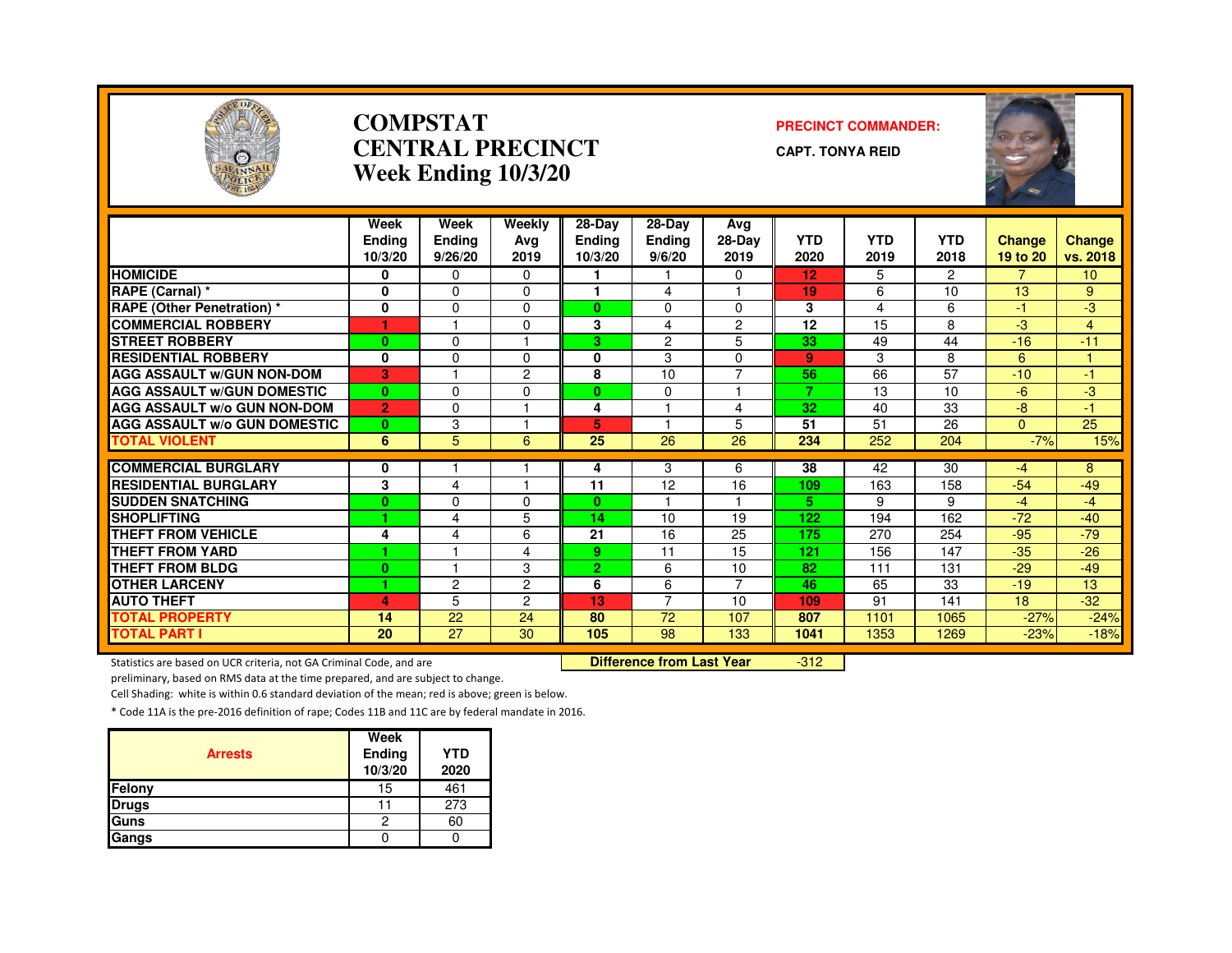

#### **COMPSTATCENTRAL PRECINCTWeek Ending 10/3/20**

#### **PRECINCT COMMANDER:**

**CAPT. TONYA REID**



|                                     | Week<br><b>Endina</b><br>10/3/20 | Week<br><b>Ending</b><br>9/26/20 | Weekly<br>Ava<br>2019 | 28-Day<br><b>Ending</b><br>10/3/20 | $28-Dav$<br><b>Ending</b><br>9/6/20 | Avg<br>28-Day<br>2019 | <b>YTD</b><br>2020 | YTD<br>2019 | <b>YTD</b><br>2018 | <b>Change</b><br>19 to 20 | <b>Change</b><br>vs. 2018 |
|-------------------------------------|----------------------------------|----------------------------------|-----------------------|------------------------------------|-------------------------------------|-----------------------|--------------------|-------------|--------------------|---------------------------|---------------------------|
| <b>HOMICIDE</b>                     | 0                                | $\Omega$                         | $\Omega$              |                                    |                                     | $\Omega$              | 12                 | 5           | $\overline{2}$     | $\overline{7}$            | 10 <sup>1</sup>           |
| RAPE (Carnal) *                     | 0                                | $\Omega$                         | $\Omega$              | ٠                                  | 4                                   |                       | 19                 | 6           | 10                 | 13                        | 9                         |
| RAPE (Other Penetration) *          | 0                                | $\Omega$                         | $\Omega$              | $\mathbf{0}$                       | 0                                   | $\Omega$              | 3                  | 4           | 6                  | $-1$                      | $-3$                      |
| <b>COMMERCIAL ROBBERY</b>           |                                  |                                  | $\Omega$              | 3                                  | 4                                   | 2                     | 12                 | 15          | 8                  | $-3$                      | 4                         |
| <b>STREET ROBBERY</b>               | $\bf{0}$                         | $\Omega$                         |                       | 3.                                 | $\overline{2}$                      | 5                     | 33                 | 49          | 44                 | $-16$                     | $-11$                     |
| <b>RESIDENTIAL ROBBERY</b>          | $\bf{0}$                         | $\mathbf{0}$                     | $\Omega$              | 0                                  | 3                                   | $\Omega$              | $\mathbf{9}$       | 3           | 8                  | 6                         |                           |
| <b>AGG ASSAULT W/GUN NON-DOM</b>    | 3                                |                                  | $\overline{2}$        | 8                                  | 10                                  | $\overline{7}$        | 56                 | 66          | 57                 | $-10$                     | $-1$                      |
| <b>AGG ASSAULT W/GUN DOMESTIC</b>   | $\mathbf{0}$                     | $\Omega$                         | $\Omega$              | $\mathbf{0}$                       | $\Omega$                            |                       | 7                  | 13          | 10                 | -6                        | -3                        |
| <b>AGG ASSAULT W/o GUN NON-DOM</b>  | $\overline{2}$                   | $\Omega$                         |                       | 4                                  |                                     | 4                     | 32                 | 40          | 33                 | -8                        | -1                        |
| <b>AGG ASSAULT W/o GUN DOMESTIC</b> | $\mathbf{0}$                     | 3                                |                       | 5                                  |                                     | 5                     | 51                 | 51          | 26                 | $\Omega$                  | 25                        |
| <b>TOTAL VIOLENT</b>                | 6                                | 5                                | 6                     | 25                                 | 26                                  | 26                    | 234                | 252         | 204                | $-7%$                     | 15%                       |
|                                     |                                  |                                  |                       |                                    |                                     |                       |                    |             |                    |                           |                           |
| <b>COMMERCIAL BURGLARY</b>          | 0                                |                                  |                       | 4                                  | 3                                   | 6                     | 38                 | 42          | 30                 | -4                        | 8                         |
| <b>RESIDENTIAL BURGLARY</b>         | 3                                | $\overline{\mathbf{4}}$          |                       | 11                                 | 12                                  | 16                    | 109                | 163         | 158                | $-54$                     | $-49$                     |
| <b>SUDDEN SNATCHING</b>             | $\bf{0}$                         | 0                                | $\Omega$              | $\mathbf{0}$                       |                                     |                       | 5.                 | 9           | 9                  | $-4$                      | $-4$                      |
| <b>SHOPLIFTING</b>                  | 1.                               | $\overline{4}$                   | 5                     | 14                                 | 10                                  | 19                    | 122                | 194         | 162                | $-72$                     | $-40$                     |
| <b>THEFT FROM VEHICLE</b>           | 4                                | 4                                | 6                     | 21                                 | 16                                  | 25                    | 175                | 270         | 254                | $-95$                     | $-79$                     |
| <b>THEFT FROM YARD</b>              | 4                                |                                  | 4                     | 9                                  | 11                                  | 15                    | 121                | 156         | 147                | $-35$                     | $-26$                     |
| <b>THEFT FROM BLDG</b>              | $\bf{0}$                         |                                  | 3                     | $\overline{2}$                     | 6                                   | 10                    | 82                 | 111         | 131                | $-29$                     | $-49$                     |
| <b>OTHER LARCENY</b>                | 1                                | $\overline{c}$                   | $\overline{2}$        | 6                                  | 6                                   | 7                     | 46                 | 65          | 33                 | $-19$                     | 13                        |
| <b>AUTO THEFT</b>                   | 4                                | 5                                | 2                     | 13                                 | 7                                   | 10                    | 109                | 91          | 141                | 18                        | $-32$                     |
| <b>TOTAL PROPERTY</b>               | 14                               | 22                               | 24                    | 80                                 | 72                                  | 107                   | 807                | 1101        | 1065               | $-27%$                    | $-24%$                    |
| <b>TOTAL PART I</b>                 | 20                               | 27                               | 30                    | 105                                | 98                                  | 133                   | 1041               | 1353        | 1269               | $-23%$                    | $-18%$                    |

Statistics are based on UCR criteria, not GA Criminal Code, and are **Difference from Last Year** 

-312

preliminary, based on RMS data at the time prepared, and are subject to change.

Cell Shading: white is within 0.6 standard deviation of the mean; red is above; green is below.

|                | Week              |                    |
|----------------|-------------------|--------------------|
| <b>Arrests</b> | Ending<br>10/3/20 | <b>YTD</b><br>2020 |
| <b>Felony</b>  | 15                | 461                |
| <b>Drugs</b>   |                   | 273                |
| <b>Guns</b>    | 2                 | 60                 |
| Gangs          |                   |                    |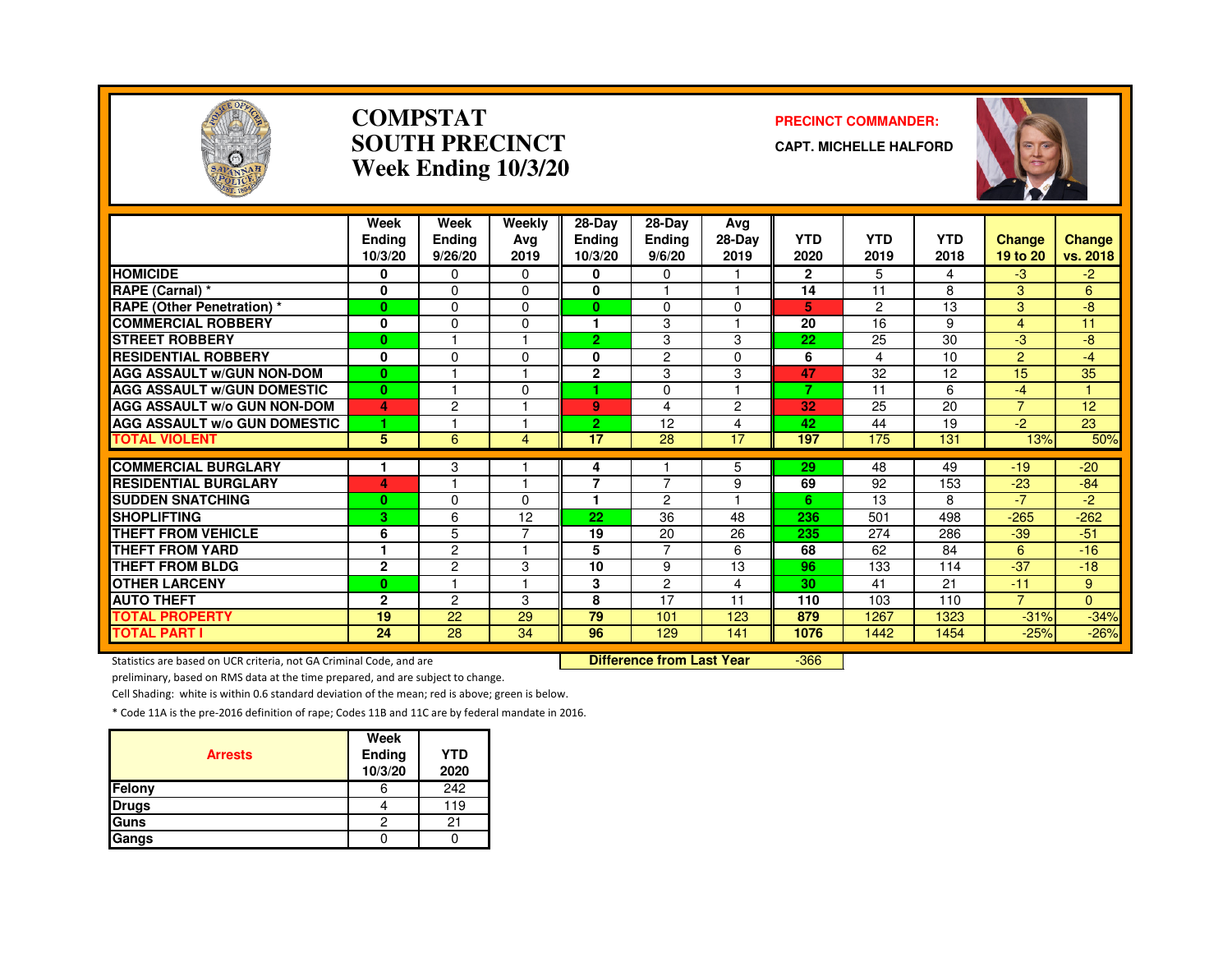

#### **COMPSTATSOUTH PRECINCTWeek Ending 10/3/20**

#### **PRECINCT COMMANDER:**

**CAPT. MICHELLE HALFORD**



|                                     | Week<br><b>Endina</b><br>10/3/20 | Week<br><b>Ending</b><br>9/26/20 | Weekly<br>Ava<br>2019 | $28-Dav$<br><b>Ending</b><br>10/3/20 | $28$ -Day<br><b>Endina</b><br>9/6/20 | Avg<br>$28-Dav$<br>2019 | <b>YTD</b><br>2020 | <b>YTD</b><br>2019 | <b>YTD</b><br>2018 | <b>Change</b><br>19 to 20 | Change<br>vs. 2018 |
|-------------------------------------|----------------------------------|----------------------------------|-----------------------|--------------------------------------|--------------------------------------|-------------------------|--------------------|--------------------|--------------------|---------------------------|--------------------|
| <b>HOMICIDE</b>                     | 0                                | $\Omega$                         | 0                     | 0                                    | 0                                    |                         | $\mathbf{2}$       | 5.                 | 4                  | -3                        | -2                 |
| RAPE (Carnal) *                     | 0                                | $\Omega$                         | 0                     | $\bf{0}$                             |                                      | $\overline{\mathbf{1}}$ | 14                 | 11                 | 8                  | 3                         | 6                  |
| <b>RAPE (Other Penetration) *</b>   | $\bf{0}$                         | $\Omega$                         | 0                     | $\mathbf{0}$                         | $\Omega$                             | 0                       | 5                  | 2                  | 13                 | 3                         | -8                 |
| <b>COMMERCIAL ROBBERY</b>           | 0                                | $\Omega$                         | 0                     |                                      | 3                                    |                         | 20                 | 16                 | 9                  | 4                         | 11                 |
| <b>STREET ROBBERY</b>               | $\bf{0}$                         |                                  |                       | $\overline{2}$                       | 3                                    | 3                       | 22                 | 25                 | 30                 | -3                        | -8                 |
| <b>RESIDENTIAL ROBBERY</b>          | 0                                | $\Omega$                         | $\Omega$              | 0                                    | $\overline{c}$                       | 0                       | 6                  | 4                  | 10                 | $\overline{2}$            | $-4$               |
| <b>AGG ASSAULT W/GUN NON-DOM</b>    | $\bf{0}$                         |                                  |                       | $\overline{2}$                       | 3                                    | 3                       | 47                 | 32                 | 12                 | 15                        | 35                 |
| <b>AGG ASSAULT W/GUN DOMESTIC</b>   | $\bf{0}$                         |                                  | $\Omega$              | 4                                    | 0                                    | $\overline{\mathbf{1}}$ | 7                  | 11                 | 6                  | $-4$                      | $\mathbf{1}$       |
| AGG ASSAULT w/o GUN NON-DOM         | 4                                | 2                                |                       | 9                                    | 4                                    | 2                       | 32                 | 25                 | 20                 | $\overline{7}$            | 12                 |
| <b>AGG ASSAULT W/o GUN DOMESTIC</b> | 1                                |                                  |                       | $\overline{2}$                       | 12                                   | 4                       | 42                 | 44                 | 19                 | $-2$                      | 23                 |
| <b>TOTAL VIOLENT</b>                | 5                                | 6                                | 4                     | 17                                   | 28                                   | 17                      | 197                | 175                | 131                | 13%                       | 50%                |
| <b>COMMERCIAL BURGLARY</b>          |                                  |                                  |                       |                                      |                                      |                         | 29                 | 48                 | 49                 | $-19$                     | $-20$              |
| <b>RESIDENTIAL BURGLARY</b>         | 4                                | 3                                |                       | 4<br>7                               | $\overline{7}$                       | 5<br>9                  | 69                 | 92                 | 153                | $-23$                     | $-84$              |
| <b>SUDDEN SNATCHING</b>             | $\bf{0}$                         | $\Omega$                         | 0                     |                                      | $\mathcal{P}$                        |                         | 6                  | 13                 | 8                  | $-7$                      | -2                 |
| <b>SHOPLIFTING</b>                  | 3                                | 6                                | 12                    | 22                                   | 36                                   | 48                      | 236                | 501                | 498                | $-265$                    | $-262$             |
| <b>THEFT FROM VEHICLE</b>           |                                  |                                  |                       |                                      | 20                                   |                         | 235                | 274                | 286                |                           | $-51$              |
| <b>THEFT FROM YARD</b>              | 6<br>1                           | 5<br>$\overline{c}$              |                       | 19                                   | $\overline{7}$                       | 26                      | 68                 | 62                 | 84                 | $-39$                     | $-16$              |
| THEFT FROM BLDG                     |                                  |                                  |                       | 5                                    |                                      | 6                       |                    |                    |                    | 6                         |                    |
|                                     | $\mathbf{2}$                     | $\overline{c}$                   | 3                     | 10                                   | 9                                    | 13                      | 96                 | 133                | 114                | $-37$                     | $-18$              |
| <b>OTHER LARCENY</b>                | $\bf{0}$                         |                                  |                       | 3                                    | $\overline{2}$                       | 4                       | 30                 | 41                 | 21                 | $-11$                     | 9                  |
| <b>AUTO THEFT</b>                   | $\mathbf{2}$                     | $\overline{c}$                   | 3                     | 8                                    | 17                                   | 11                      | 110                | 103                | 110                | $\overline{7}$            | $\Omega$           |
| <b>TOTAL PROPERTY</b>               | 19                               | 22                               | 29                    | 79                                   | 101                                  | 123                     | 879                | 1267               | 1323               | $-31%$                    | $-34%$             |
| <b>TOTAL PART I</b>                 | 24                               | 28                               | 34                    | 96                                   | 129                                  | 141                     | 1076               | 1442               | 1454               | $-25%$                    | $-26%$             |

Statistics are based on UCR criteria, not GA Criminal Code, and are **Difference from Last Year** 

-366

preliminary, based on RMS data at the time prepared, and are subject to change.

Cell Shading: white is within 0.6 standard deviation of the mean; red is above; green is below.

| <b>Arrests</b> | Week<br>Ending<br>10/3/20 | <b>YTD</b><br>2020 |
|----------------|---------------------------|--------------------|
| Felony         | 6                         | 242                |
| <b>Drugs</b>   |                           | 119                |
| Guns           | っ                         |                    |
| Gangs          |                           |                    |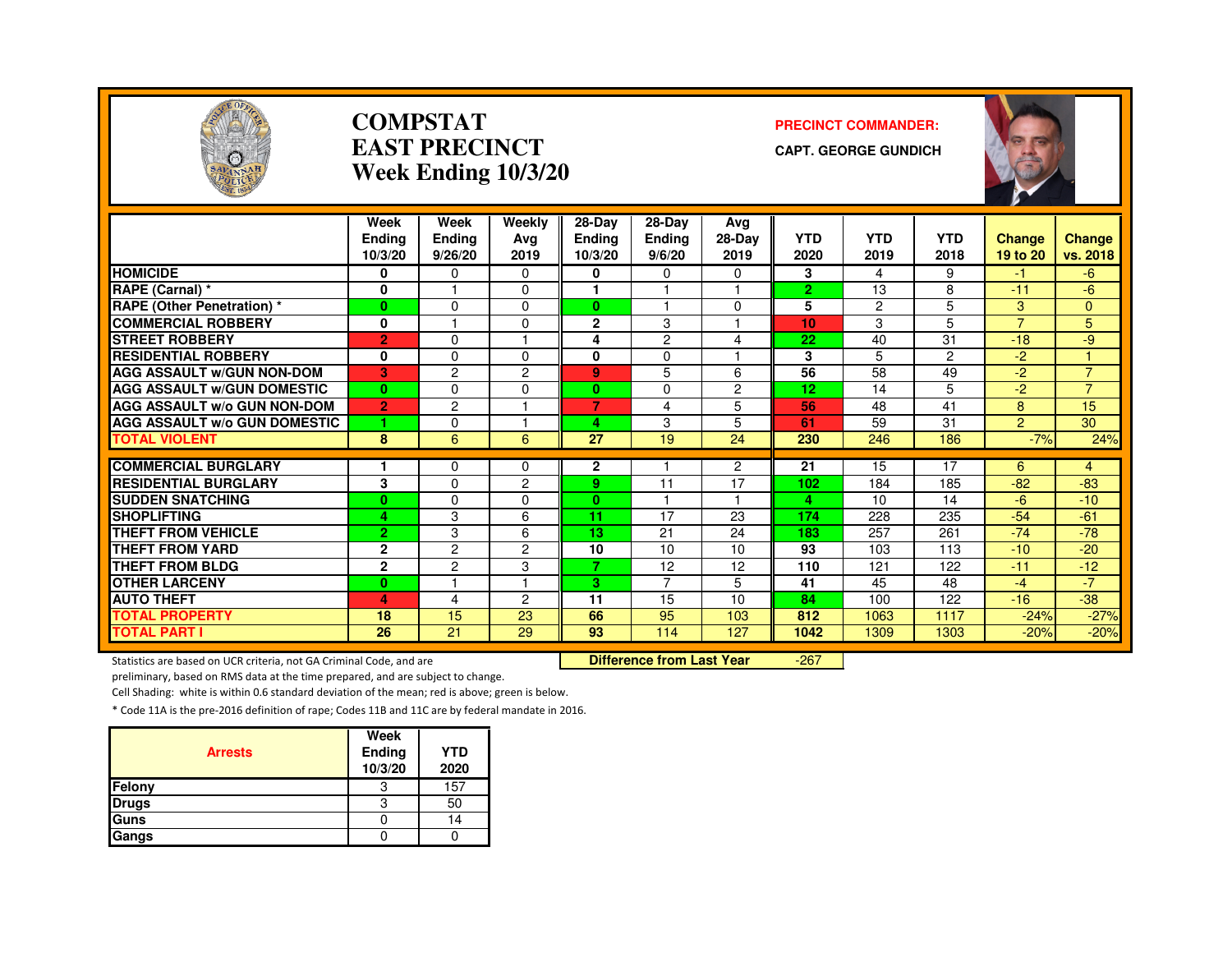

#### **COMPSTATEAST PRECINCTWeek Ending 10/3/20**

#### **PRECINCT COMMANDER:**

**CAPT. GEORGE GUNDICH**



|                                     | Week<br><b>Ending</b><br>10/3/20 | Week<br><b>Ending</b><br>9/26/20 | Weekly<br>Ava<br>2019 | $28$ -Day<br><b>Ending</b><br>10/3/20 | 28-Day<br>Ending<br>9/6/20 | Avg<br>$28-Dav$<br>2019 | <b>YTD</b><br>2020 | <b>YTD</b><br>2019 | <b>YTD</b><br>2018 | <b>Change</b><br>19 to 20 | <b>Change</b><br>vs. 2018 |
|-------------------------------------|----------------------------------|----------------------------------|-----------------------|---------------------------------------|----------------------------|-------------------------|--------------------|--------------------|--------------------|---------------------------|---------------------------|
| <b>HOMICIDE</b>                     | 0                                | $\Omega$                         | $\Omega$              | 0                                     | 0                          | 0                       | 3                  | 4                  | 9                  | $-1$                      | -6                        |
| RAPE (Carnal) *                     | 0                                |                                  | $\Omega$              |                                       |                            | $\blacktriangleleft$    | $\overline{2}$     | 13                 | 8                  | $-11$                     | $-6$                      |
| <b>RAPE (Other Penetration) *</b>   | $\bf{0}$                         | $\Omega$                         | $\Omega$              | $\mathbf{0}$                          | $\overline{\phantom{a}}$   | 0                       | 5                  | $\overline{c}$     | 5                  | 3                         | $\Omega$                  |
| <b>COMMERCIAL ROBBERY</b>           | 0                                |                                  | 0                     | $\mathbf{2}$                          | 3                          |                         | 10                 | 3                  | 5                  | $\overline{7}$            | 5                         |
| <b>STREET ROBBERY</b>               | $\overline{2}$                   | $\Omega$                         |                       | 4                                     | 2                          | 4                       | 22                 | 40                 | 31                 | $-18$                     | -9                        |
| <b>RESIDENTIAL ROBBERY</b>          | 0                                | $\Omega$                         | $\Omega$              | 0                                     | 0                          |                         | 3                  | 5                  | $\overline{2}$     | $-2$                      |                           |
| <b>AGG ASSAULT W/GUN NON-DOM</b>    | 3                                | $\overline{c}$                   | $\overline{2}$        | 9                                     | 5                          | 6                       | $\overline{56}$    | $\overline{58}$    | 49                 | $-2$                      | $\overline{7}$            |
| <b>AGG ASSAULT W/GUN DOMESTIC</b>   | $\bf{0}$                         | $\Omega$                         | $\Omega$              | $\mathbf{0}$                          | 0                          | $\overline{c}$          | 12                 | 14                 | 5                  | $-2$                      | $\overline{7}$            |
| <b>AGG ASSAULT w/o GUN NON-DOM</b>  | $\overline{2}$                   | 2                                |                       | 7                                     | 4                          | 5                       | 56                 | 48                 | 41                 | 8                         | 15                        |
| <b>AGG ASSAULT W/o GUN DOMESTIC</b> | и                                | $\Omega$                         |                       | 4.                                    | 3                          | 5                       | 61                 | 59                 | 31                 | $\overline{2}$            | 30                        |
| <b>TOTAL VIOLENT</b>                | 8                                | 6                                | 6                     | 27                                    | 19                         | 24                      | 230                | 246                | 186                | $-7%$                     | 24%                       |
|                                     |                                  |                                  |                       |                                       |                            |                         |                    |                    |                    |                           |                           |
| <b>COMMERCIAL BURGLARY</b>          |                                  | $\Omega$                         | 0                     | $\mathbf{2}$                          |                            | $\overline{c}$          | 21                 | 15                 | 17                 | 6                         | 4                         |
| <b>RESIDENTIAL BURGLARY</b>         | 3                                | $\Omega$                         | 2                     | 9.                                    | 11                         | 17                      | 102                | 184                | 185                | $-82$                     | $-83$                     |
| <b>ISUDDEN SNATCHING</b>            | $\bf{0}$                         | $\Omega$                         | 0                     | $\mathbf{0}$                          |                            | ٠                       | 4                  | 10                 | 14                 | $-6$                      | $-10$                     |
| <b>SHOPLIFTING</b>                  | 4                                | 3                                | 6                     | 11                                    | 17                         | 23                      | 174                | 228                | 235                | $-54$                     | $-61$                     |
| THEFT FROM VEHICLE                  | $\overline{2}$                   | 3                                | 6                     | 13                                    | 21                         | 24                      | 183                | 257                | 261                | $-74$                     | $-78$                     |
| <b>THEFT FROM YARD</b>              | $\mathbf{2}$                     | $\overline{c}$                   | 2                     | 10                                    | 10                         | 10                      | 93                 | 103                | 113                | $-10$                     | $-20$                     |
| <b>THEFT FROM BLDG</b>              | $\mathbf{2}$                     | $\overline{c}$                   | 3                     | $\overline{\mathbf{z}}$               | 12                         | 12                      | 110                | 121                | 122                | $-11$                     | $-12$                     |
| <b>OTHER LARCENY</b>                | $\bf{0}$                         |                                  |                       | 3.                                    | $\overline{7}$             | 5                       | 41                 | 45                 | 48                 | $-4$                      | $-7$                      |
| <b>AUTO THEFT</b>                   | 4                                | 4                                | 2                     | 11                                    | 15                         | 10                      | 84                 | 100                | 122                | $-16$                     | $-38$                     |
| <b>TOTAL PROPERTY</b>               | 18                               | 15                               | 23                    | 66                                    | 95                         | 103                     | 812                | 1063               | 1117               | $-24%$                    | $-27%$                    |
| <b>TOTAL PART I</b>                 | 26                               | 21                               | 29                    | 93                                    | 114                        | 127                     | 1042               | 1309               | 1303               | $-20%$                    | $-20%$                    |

Statistics are based on UCR criteria, not GA Criminal Code, and are **Difference from Last Year** 

-267

preliminary, based on RMS data at the time prepared, and are subject to change.

Cell Shading: white is within 0.6 standard deviation of the mean; red is above; green is below.

| <b>Arrests</b> | Week<br>Ending<br>10/3/20 | <b>YTD</b><br>2020 |
|----------------|---------------------------|--------------------|
| Felony         | З                         | 157                |
| <b>Drugs</b>   | 3                         | 50                 |
| Guns           |                           | 14                 |
| Gangs          |                           |                    |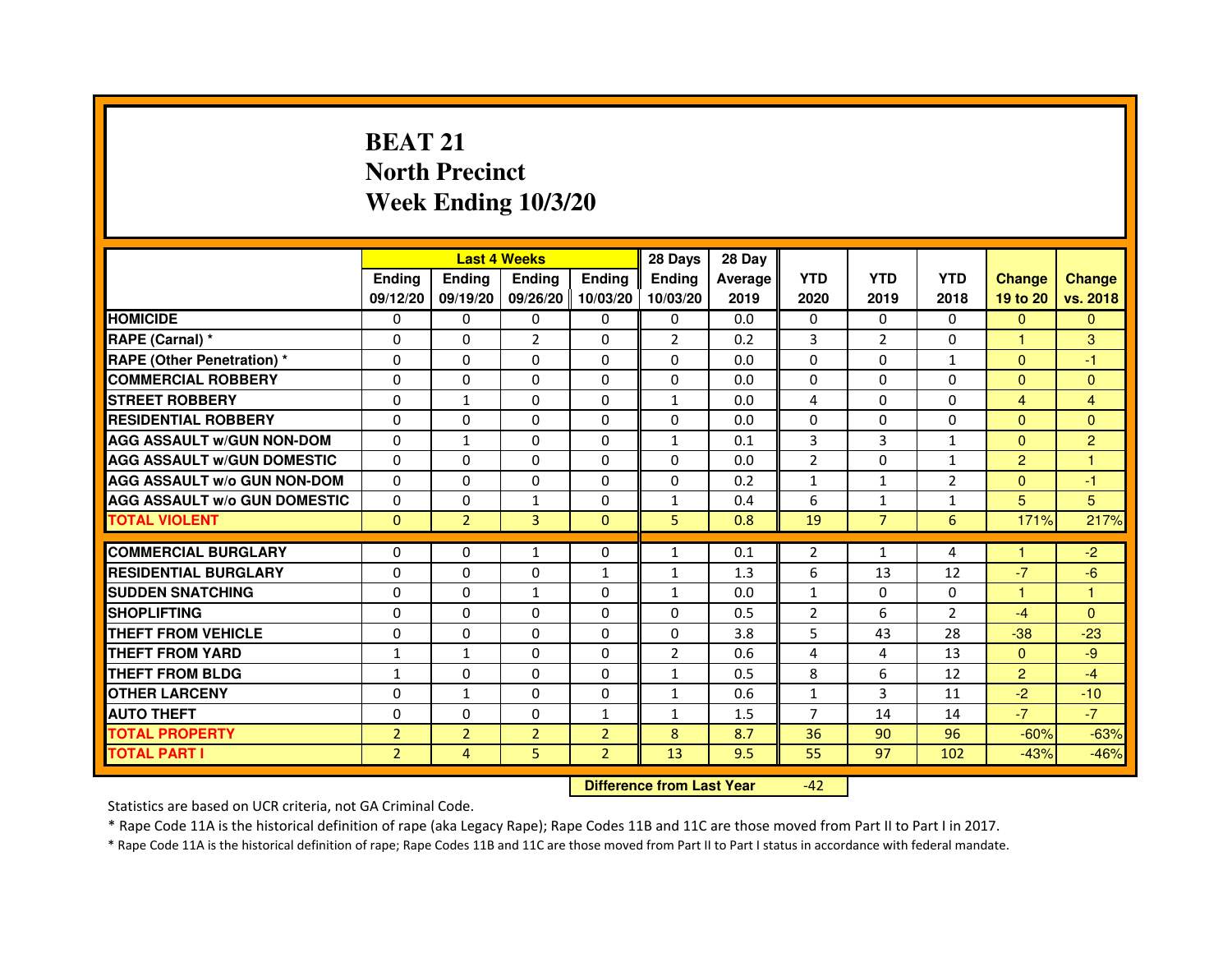# **BEAT 21 North PrecinctWeek Ending 10/3/20**

|                                     |                | <b>Last 4 Weeks</b> |                |                | 28 Days        | 28 Day  |                |                |                |                |                |
|-------------------------------------|----------------|---------------------|----------------|----------------|----------------|---------|----------------|----------------|----------------|----------------|----------------|
|                                     | <b>Endina</b>  | <b>Endina</b>       | <b>Endina</b>  | <b>Ending</b>  | <b>Endina</b>  | Average | <b>YTD</b>     | <b>YTD</b>     | <b>YTD</b>     | <b>Change</b>  | <b>Change</b>  |
|                                     | 09/12/20       | 09/19/20            | 09/26/20       | 10/03/20       | 10/03/20       | 2019    | 2020           | 2019           | 2018           | 19 to 20       | vs. 2018       |
| <b>HOMICIDE</b>                     | $\Omega$       | 0                   | 0              | 0              | 0              | 0.0     | $\mathbf{0}$   | 0              | $\mathbf{0}$   | $\mathbf{0}$   | $\mathbf{0}$   |
| RAPE (Carnal) *                     | 0              | $\Omega$            | $\overline{2}$ | $\Omega$       | $\overline{2}$ | 0.2     | 3              | 2              | $\Omega$       | $\mathbf{1}$   | 3              |
| RAPE (Other Penetration) *          | 0              | $\Omega$            | 0              | $\Omega$       | $\Omega$       | 0.0     | $\Omega$       | $\Omega$       | $\mathbf{1}$   | $\Omega$       | $-1$           |
| <b>COMMERCIAL ROBBERY</b>           | 0              | 0                   | 0              | 0              | 0              | 0.0     | 0              | 0              | $\Omega$       | $\Omega$       | $\mathbf{0}$   |
| <b>STREET ROBBERY</b>               | 0              | $\mathbf{1}$        | 0              | 0              | $\mathbf{1}$   | 0.0     | 4              | 0              | 0              | $\overline{4}$ | 4              |
| <b>RESIDENTIAL ROBBERY</b>          | 0              | $\Omega$            | 0              | $\Omega$       | $\Omega$       | 0.0     | $\Omega$       | $\Omega$       | $\Omega$       | $\Omega$       | $\Omega$       |
| <b>AGG ASSAULT w/GUN NON-DOM</b>    | $\Omega$       | 1                   | $\Omega$       | $\Omega$       | $\mathbf{1}$   | 0.1     | 3              | 3              | $\mathbf{1}$   | $\Omega$       | $\overline{c}$ |
| <b>AGG ASSAULT W/GUN DOMESTIC</b>   | $\Omega$       | 0                   | $\Omega$       | 0              | $\Omega$       | 0.0     | $\overline{2}$ | $\Omega$       | $\mathbf{1}$   | $\overline{2}$ | 1              |
| <b>AGG ASSAULT W/o GUN NON-DOM</b>  | 0              | 0                   | $\Omega$       | $\Omega$       | $\Omega$       | 0.2     | $\mathbf{1}$   | $\mathbf{1}$   | $\overline{2}$ | $\Omega$       | $-1$           |
| <b>AGG ASSAULT W/o GUN DOMESTIC</b> | $\Omega$       | $\Omega$            | $\mathbf{1}$   | $\mathbf{0}$   | 1              | 0.4     | 6              | $\mathbf{1}$   | 1              | 5              | 5              |
| <b>TOTAL VIOLENT</b>                | $\Omega$       | $\overline{2}$      | 3              | $\mathbf{0}$   | 5              | 0.8     | 19             | $\overline{7}$ | 6              | 171%           | 217%           |
|                                     |                |                     |                |                |                |         |                |                |                |                |                |
| <b>COMMERCIAL BURGLARY</b>          | 0              | 0                   | 1              | 0              | $\mathbf{1}$   | 0.1     | $\overline{2}$ | $\mathbf{1}$   | $\overline{a}$ | 1              | $-2$           |
| <b>RESIDENTIAL BURGLARY</b>         | 0              | 0                   | 0              | $\mathbf{1}$   | 1              | 1.3     | 6              | 13             | 12             | $-7$           | $-6$           |
| <b>SUDDEN SNATCHING</b>             | 0              | 0                   | $\mathbf{1}$   | 0              | $\mathbf{1}$   | 0.0     | $\mathbf{1}$   | 0              | $\Omega$       | 1              | 1              |
| <b>SHOPLIFTING</b>                  | $\Omega$       | 0                   | 0              | 0              | $\Omega$       | 0.5     | $\overline{2}$ | 6              | $\overline{2}$ | $-4$           | $\Omega$       |
| <b>THEFT FROM VEHICLE</b>           | 0              | $\Omega$            | $\Omega$       | $\mathbf{0}$   | $\Omega$       | 3.8     | 5              | 43             | 28             | $-38$          | $-23$          |
| <b>THEFT FROM YARD</b>              | 1              | $\mathbf{1}$        | $\Omega$       | $\Omega$       | $\mathcal{P}$  | 0.6     | $\overline{4}$ | 4              | 13             | $\Omega$       | -9             |
| THEFT FROM BLDG                     | 1              | 0                   | 0              | 0              | 1              | 0.5     | 8              | 6              | 12             | $\overline{2}$ | $-4$           |
| <b>OTHER LARCENY</b>                | 0              | $\mathbf{1}$        | 0              | 0              | $\mathbf{1}$   | 0.6     | $\mathbf{1}$   | 3              | 11             | $-2$           | $-10$          |
| <b>AUTO THEFT</b>                   | 0              | 0                   | 0              | $\mathbf{1}$   | $\mathbf{1}$   | 1.5     | $\overline{7}$ | 14             | 14             | $-7$           | $-7$           |
| <b>TOTAL PROPERTY</b>               | $\overline{2}$ | $\overline{2}$      | $\overline{2}$ | $\overline{2}$ | 8              | 8.7     | 36             | 90             | 96             | $-60%$         | $-63%$         |
| <b>TOTAL PART I</b>                 | $\overline{2}$ | 4                   | 5              | $\overline{2}$ | 13             | 9.5     | 55             | 97             | 102            | $-43%$         | $-46%$         |

 **Difference from Last Year**

-42

Statistics are based on UCR criteria, not GA Criminal Code.

\* Rape Code 11A is the historical definition of rape (aka Legacy Rape); Rape Codes 11B and 11C are those moved from Part II to Part I in 2017.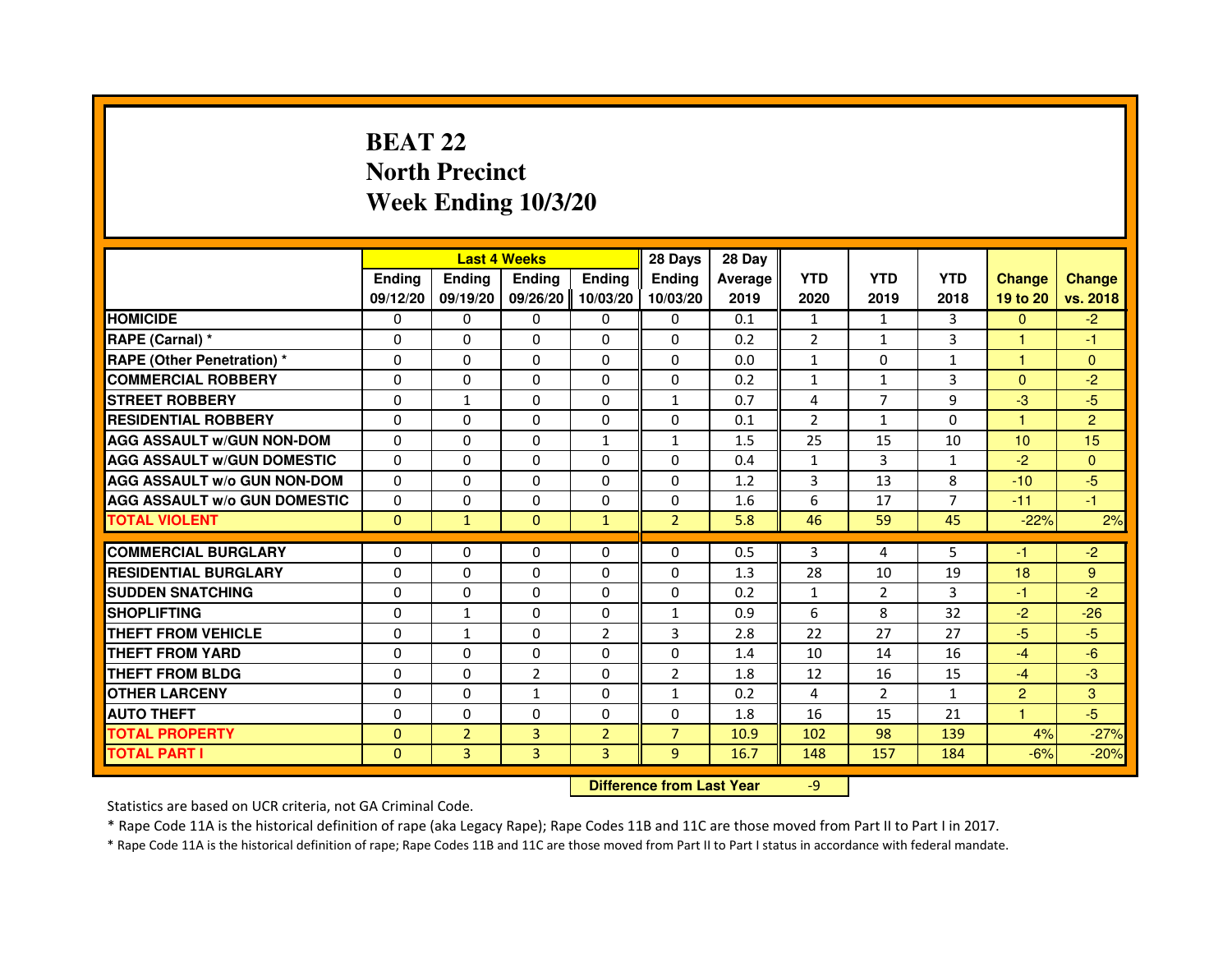## **BEAT 22 North PrecinctWeek Ending 10/3/20**

|                                     |               | <b>Last 4 Weeks</b> |                                  |                | 28 Days        | 28 Day  |                |                |                |                |                |
|-------------------------------------|---------------|---------------------|----------------------------------|----------------|----------------|---------|----------------|----------------|----------------|----------------|----------------|
|                                     | <b>Ending</b> | <b>Ending</b>       | <b>Ending</b>                    | <b>Ending</b>  | <b>Ending</b>  | Average | <b>YTD</b>     | <b>YTD</b>     | <b>YTD</b>     | <b>Change</b>  | <b>Change</b>  |
|                                     | 09/12/20      | 09/19/20            | 09/26/20                         | 10/03/20       | 10/03/20       | 2019    | 2020           | 2019           | 2018           | 19 to 20       | vs. 2018       |
| <b>HOMICIDE</b>                     | $\Omega$      | $\Omega$            | $\mathbf{0}$                     | $\mathbf{0}$   | $\mathbf{0}$   | 0.1     | $\mathbf{1}$   | $\mathbf{1}$   | 3              | $\Omega$       | $-2$           |
| RAPE (Carnal) *                     | 0             | $\mathbf{0}$        | 0                                | $\Omega$       | $\mathbf{0}$   | 0.2     | $\overline{2}$ | $\mathbf{1}$   | 3              | $\mathbf{1}$   | $-1$           |
| <b>RAPE (Other Penetration) *</b>   | $\Omega$      | $\Omega$            | $\Omega$                         | $\Omega$       | $\mathbf{0}$   | 0.0     | $\mathbf{1}$   | $\mathbf{0}$   | $\mathbf{1}$   | $\mathbf{1}$   | $\mathbf{0}$   |
| <b>COMMERCIAL ROBBERY</b>           | $\Omega$      | 0                   | $\Omega$                         | $\Omega$       | 0              | 0.2     | $\mathbf{1}$   | $\mathbf{1}$   | 3              | $\Omega$       | $-2$           |
| <b>STREET ROBBERY</b>               | 0             | $\mathbf{1}$        | 0                                | $\Omega$       | $\mathbf{1}$   | 0.7     | 4              | $\overline{7}$ | 9              | $-3$           | $-5$           |
| <b>RESIDENTIAL ROBBERY</b>          | 0             | $\Omega$            | 0                                | $\Omega$       | $\Omega$       | 0.1     | $\overline{2}$ | $\mathbf{1}$   | $\Omega$       | 1              | $\overline{2}$ |
| <b>AGG ASSAULT W/GUN NON-DOM</b>    | $\Omega$      | $\Omega$            | 0                                | $\mathbf{1}$   | $\mathbf{1}$   | 1.5     | 25             | 15             | 10             | 10             | 15             |
| <b>AGG ASSAULT w/GUN DOMESTIC</b>   | $\Omega$      | $\Omega$            | $\Omega$                         | $\Omega$       | $\Omega$       | 0.4     | $\mathbf{1}$   | 3              | $\mathbf{1}$   | $-2$           | $\Omega$       |
| <b>AGG ASSAULT w/o GUN NON-DOM</b>  | $\Omega$      | $\mathbf{0}$        | 0                                | $\mathbf{0}$   | 0              | 1.2     | 3              | 13             | 8              | $-10$          | $-5$           |
| <b>AGG ASSAULT W/o GUN DOMESTIC</b> | 0             | 0                   | 0                                | $\Omega$       | $\mathbf{0}$   | 1.6     | 6              | 17             | $\overline{7}$ | $-11$          | $-1$           |
| <b>TOTAL VIOLENT</b>                | $\mathbf{0}$  | $\mathbf{1}$        | $\mathbf{0}$                     | $\mathbf{1}$   | $\overline{2}$ | 5.8     | 46             | 59             | 45             | $-22%$         | 2%             |
| <b>COMMERCIAL BURGLARY</b>          | 0             | 0                   | 0                                | $\mathbf{0}$   | 0              | 0.5     | 3              | 4              | 5              | $-1$           | $-2$           |
| <b>RESIDENTIAL BURGLARY</b>         | $\Omega$      | $\Omega$            | $\Omega$                         | $\Omega$       | $\mathbf{0}$   | 1.3     | 28             | 10             | 19             | 18             | 9              |
| <b>SUDDEN SNATCHING</b>             | $\Omega$      | $\Omega$            | $\Omega$                         | $\Omega$       | $\Omega$       | 0.2     | $\mathbf{1}$   | $\overline{2}$ | 3              | $-1$           | $-2$           |
| <b>SHOPLIFTING</b>                  | 0             | $\mathbf{1}$        | 0                                | 0              | $\mathbf{1}$   | 0.9     | 6              | 8              | 32             | $-2$           | $-26$          |
| THEFT FROM VEHICLE                  | 0             | $\mathbf{1}$        | 0                                | $\overline{2}$ | 3              | 2.8     | 22             | 27             | 27             | $-5$           | $-5$           |
| <b>THEFT FROM YARD</b>              | 0             | 0                   | $\Omega$                         | 0              | 0              | 1.4     | 10             | 14             | 16             | $-4$           | $-6$           |
| <b>THEFT FROM BLDG</b>              | $\Omega$      | $\Omega$            | $\overline{2}$                   | $\Omega$       | $\overline{2}$ | 1.8     | 12             | 16             | 15             | $-4$           | $-3$           |
| <b>OTHER LARCENY</b>                | 0             | $\Omega$            | $\mathbf{1}$                     | $\Omega$       | $\mathbf{1}$   | 0.2     | 4              | $\overline{2}$ | $\mathbf{1}$   | $\overline{2}$ | 3              |
| <b>AUTO THEFT</b>                   | $\Omega$      | $\Omega$            | $\Omega$                         | $\Omega$       | $\mathbf{0}$   | 1.8     | 16             | 15             | 21             | $\mathbf{1}$   | $-5$           |
| <b>TOTAL PROPERTY</b>               | $\Omega$      | $\overline{2}$      | $\overline{3}$                   | $\overline{2}$ | $\overline{7}$ | 10.9    | 102            | 98             | 139            | 4%             | $-27%$         |
| <b>TOTAL PART I</b>                 | $\mathbf{0}$  | 3                   | 3                                | 3              | 9              | 16.7    | 148            | 157            | 184            | $-6%$          | $-20%$         |
|                                     |               |                     | <b>Difference from Last Year</b> |                | $-9$           |         |                |                |                |                |                |

 **Difference from Last Year**

Statistics are based on UCR criteria, not GA Criminal Code.

\* Rape Code 11A is the historical definition of rape (aka Legacy Rape); Rape Codes 11B and 11C are those moved from Part II to Part I in 2017.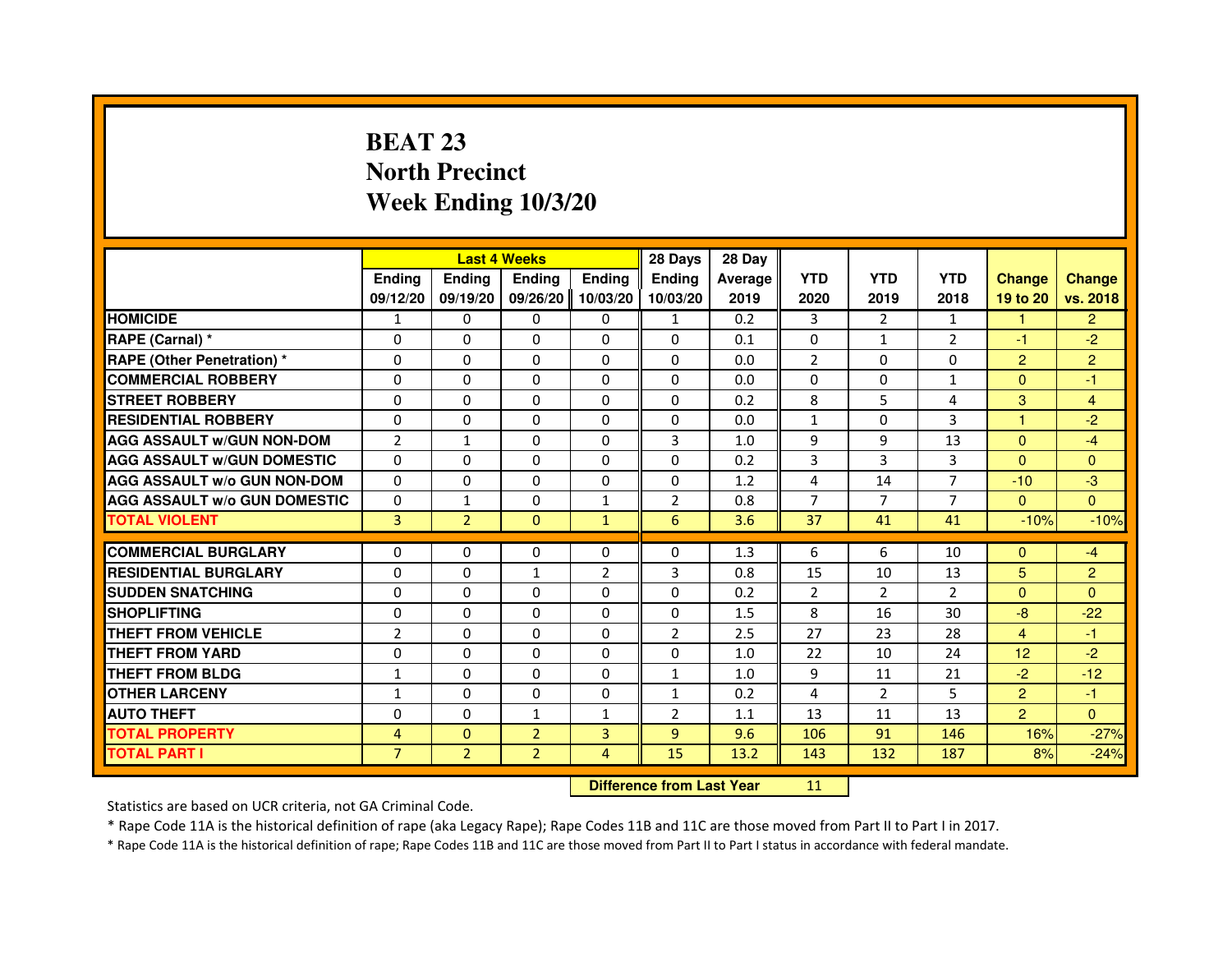## **BEAT 23 North PrecinctWeek Ending 10/3/20**

|                                     |                |                | <b>Last 4 Weeks</b> |                | 28 Days                          | 28 Day  |                |                |                |                |                |
|-------------------------------------|----------------|----------------|---------------------|----------------|----------------------------------|---------|----------------|----------------|----------------|----------------|----------------|
|                                     | <b>Ending</b>  | <b>Ending</b>  | <b>Ending</b>       | <b>Ending</b>  | <b>Ending</b>                    | Average | <b>YTD</b>     | <b>YTD</b>     | <b>YTD</b>     | <b>Change</b>  | <b>Change</b>  |
|                                     | 09/12/20       | 09/19/20       | 09/26/20            | 10/03/20       | 10/03/20                         | 2019    | 2020           | 2019           | 2018           | 19 to 20       | vs. 2018       |
| <b>HOMICIDE</b>                     | $\mathbf{1}$   | $\Omega$       | $\Omega$            | $\Omega$       | $\mathbf{1}$                     | 0.2     | 3              | 2              | $\mathbf{1}$   | 1.             | $\overline{2}$ |
| RAPE (Carnal) *                     | 0              | 0              | 0                   | $\Omega$       | 0                                | 0.1     | $\Omega$       | $\mathbf{1}$   | $\overline{2}$ | $-1$           | $-2$           |
| <b>RAPE (Other Penetration) *</b>   | $\Omega$       | $\Omega$       | $\Omega$            | $\Omega$       | $\Omega$                         | 0.0     | $\overline{2}$ | $\Omega$       | $\Omega$       | $\overline{2}$ | $\overline{2}$ |
| <b>COMMERCIAL ROBBERY</b>           | $\Omega$       | $\Omega$       | $\Omega$            | $\Omega$       | $\Omega$                         | 0.0     | $\Omega$       | $\Omega$       | $\mathbf{1}$   | $\Omega$       | $-1$           |
| <b>STREET ROBBERY</b>               | $\Omega$       | $\Omega$       | $\Omega$            | $\Omega$       | $\Omega$                         | 0.2     | 8              | 5              | 4              | 3              | 4              |
| <b>RESIDENTIAL ROBBERY</b>          | $\Omega$       | $\Omega$       | $\Omega$            | $\Omega$       | 0                                | 0.0     | $\mathbf{1}$   | $\Omega$       | 3              | 1              | $-2$           |
| <b>AGG ASSAULT W/GUN NON-DOM</b>    | $\overline{2}$ | $\mathbf{1}$   | $\Omega$            | $\Omega$       | 3                                | 1.0     | 9              | 9              | 13             | $\Omega$       | $-4$           |
| <b>AGG ASSAULT W/GUN DOMESTIC</b>   | $\Omega$       | $\Omega$       | $\Omega$            | $\Omega$       | $\Omega$                         | 0.2     | 3              | 3              | 3              | $\Omega$       | $\Omega$       |
| <b>AGG ASSAULT W/o GUN NON-DOM</b>  | $\Omega$       | 0              | 0                   | 0              | 0                                | 1.2     | 4              | 14             | $\overline{7}$ | $-10$          | $-3$           |
| <b>AGG ASSAULT W/o GUN DOMESTIC</b> | $\Omega$       | 1              | 0                   | 1              | $\overline{2}$                   | 0.8     | $\overline{7}$ | $\overline{7}$ | $\overline{7}$ | $\Omega$       | $\Omega$       |
| <b>TOTAL VIOLENT</b>                | 3              | $\overline{2}$ | $\mathbf{0}$        | $\mathbf{1}$   | 6                                | 3.6     | 37             | 41             | 41             | $-10%$         | $-10%$         |
| <b>COMMERCIAL BURGLARY</b>          | 0              | 0              | 0                   | 0              | 0                                | 1.3     | 6              | 6              | 10             | $\Omega$       | $-4$           |
| <b>RESIDENTIAL BURGLARY</b>         | $\Omega$       | $\Omega$       | $\mathbf{1}$        | $\overline{2}$ | 3                                | 0.8     | 15             | 10             | 13             | $5\phantom{.}$ | $\overline{2}$ |
| <b>SUDDEN SNATCHING</b>             | $\Omega$       | $\Omega$       | $\Omega$            | $\Omega$       | $\Omega$                         | 0.2     | $\overline{2}$ | $\overline{2}$ | $\mathcal{P}$  | $\Omega$       | $\Omega$       |
| <b>SHOPLIFTING</b>                  | 0              | 0              | 0                   | 0              | 0                                | 1.5     | 8              | 16             | 30             | $-8$           | $-22$          |
| THEFT FROM VEHICLE                  | $\overline{2}$ | $\Omega$       | 0                   | $\Omega$       | $\overline{2}$                   | 2.5     | 27             | 23             | 28             | 4              | $-1$           |
| THEFT FROM YARD                     | 0              | 0              | $\Omega$            | 0              | 0                                | 1.0     | 22             | 10             | 24             | 12             | $-2$           |
| <b>THEFT FROM BLDG</b>              | $\mathbf{1}$   | $\Omega$       | $\Omega$            | $\Omega$       | $\mathbf{1}$                     | 1.0     | 9              | 11             | 21             | $-2$           | $-12$          |
| <b>OTHER LARCENY</b>                | $\mathbf{1}$   | $\Omega$       | $\Omega$            | $\Omega$       | $\mathbf{1}$                     | 0.2     | 4              | $\overline{2}$ | 5              | $\overline{2}$ | $-1$           |
| <b>AUTO THEFT</b>                   | $\Omega$       | $\Omega$       | $\mathbf{1}$        | $\mathbf{1}$   | $\overline{2}$                   | 1.1     | 13             | 11             | 13             | $\overline{2}$ | $\Omega$       |
| <b>TOTAL PROPERTY</b>               | 4              | $\Omega$       | $\overline{2}$      | 3              | $\overline{9}$                   | 9.6     | 106            | 91             | 146            | 16%            | $-27%$         |
| <b>TOTAL PART I</b>                 | $\overline{7}$ | $\overline{2}$ | $\overline{2}$      | 4              | 15                               | 13.2    | 143            | 132            | 187            | 8%             | $-24%$         |
|                                     |                |                |                     |                | <b>Difference from Last Year</b> |         | 11             |                |                |                |                |

 **Difference from Last Year**

Statistics are based on UCR criteria, not GA Criminal Code.

\* Rape Code 11A is the historical definition of rape (aka Legacy Rape); Rape Codes 11B and 11C are those moved from Part II to Part I in 2017.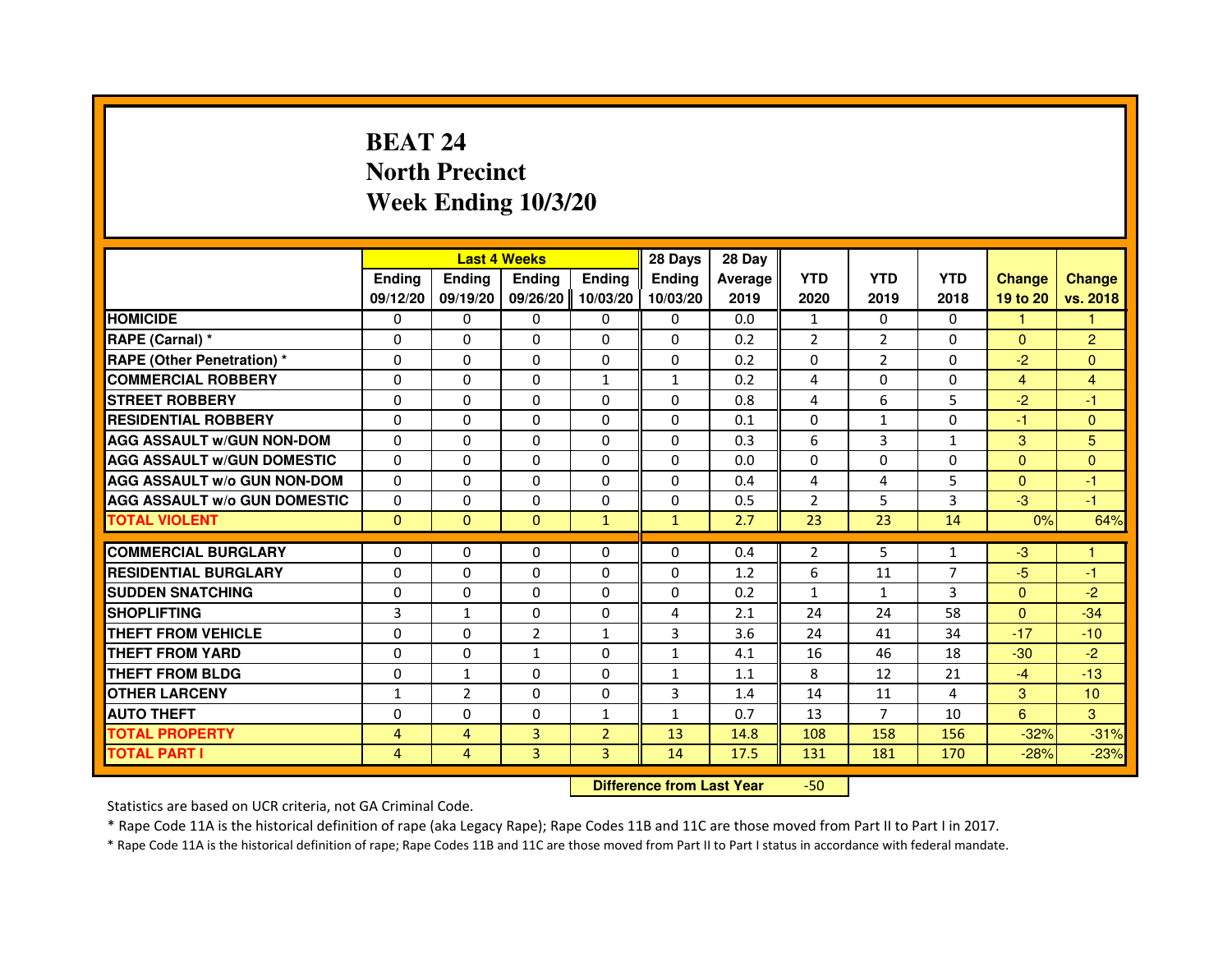## **BEAT 24 North PrecinctWeek Ending 10/3/20**

|                                     |               |                | <b>Last 4 Weeks</b> |                | 28 Days                          | 28 Day  |                |                |                |                |                |
|-------------------------------------|---------------|----------------|---------------------|----------------|----------------------------------|---------|----------------|----------------|----------------|----------------|----------------|
|                                     | <b>Ending</b> | Ending         | <b>Ending</b>       | <b>Ending</b>  | <b>Endina</b>                    | Average | <b>YTD</b>     | <b>YTD</b>     | <b>YTD</b>     | <b>Change</b>  | <b>Change</b>  |
|                                     | 09/12/20      | 09/19/20       | 09/26/20            | 10/03/20       | 10/03/20                         | 2019    | 2020           | 2019           | 2018           | 19 to 20       | vs. 2018       |
| <b>HOMICIDE</b>                     | 0             | $\Omega$       | $\Omega$            | 0              | 0                                | 0.0     | $\mathbf{1}$   | 0              | $\Omega$       | $\mathbf{1}$   | 1.             |
| RAPE (Carnal) *                     | 0             | 0              | 0                   | 0              | 0                                | 0.2     | 2              | $\overline{2}$ | 0              | $\Omega$       | $\overline{2}$ |
| RAPE (Other Penetration) *          | $\Omega$      | 0              | $\Omega$            | $\Omega$       | $\Omega$                         | 0.2     | $\Omega$       | $\overline{2}$ | $\Omega$       | $-2$           | $\mathbf{0}$   |
| <b>COMMERCIAL ROBBERY</b>           | $\Omega$      | $\Omega$       | $\Omega$            | $\mathbf{1}$   | $\mathbf{1}$                     | 0.2     | 4              | $\Omega$       | $\Omega$       | $\overline{4}$ | $\overline{4}$ |
| <b>STREET ROBBERY</b>               | $\Omega$      | $\Omega$       | $\Omega$            | $\Omega$       | $\Omega$                         | 0.8     | 4              | 6              | 5              | $-2$           | $-1$           |
| <b>RESIDENTIAL ROBBERY</b>          | 0             | 0              | $\Omega$            | 0              | 0                                | 0.1     | 0              | $\mathbf{1}$   | $\Omega$       | $-1$           | $\mathbf{0}$   |
| <b>AGG ASSAULT W/GUN NON-DOM</b>    | $\Omega$      | $\Omega$       | $\Omega$            | $\Omega$       | $\Omega$                         | 0.3     | 6              | $\overline{3}$ | $\mathbf{1}$   | 3              | 5              |
| <b>AGG ASSAULT W/GUN DOMESTIC</b>   | $\Omega$      | $\Omega$       | $\Omega$            | $\Omega$       | $\Omega$                         | 0.0     | $\Omega$       | $\Omega$       | $\Omega$       | $\Omega$       | $\Omega$       |
| <b>AGG ASSAULT W/o GUN NON-DOM</b>  | $\Omega$      | $\Omega$       | $\Omega$            | $\Omega$       | $\Omega$                         | 0.4     | 4              | 4              | 5              | $\Omega$       | $-1$           |
| <b>AGG ASSAULT w/o GUN DOMESTIC</b> | $\Omega$      | $\Omega$       | 0                   | $\Omega$       | $\Omega$                         | 0.5     | $\overline{2}$ | 5              | 3              | $-3$           | $-1$           |
| <b>TOTAL VIOLENT</b>                | $\mathbf{0}$  | $\mathbf{0}$   | $\mathbf{0}$        | $\mathbf{1}$   | $\mathbf{1}$                     | 2.7     | 23             | 23             | 14             | 0%             | 64%            |
| <b>COMMERCIAL BURGLARY</b>          | 0             | 0              | 0                   | 0              | 0                                | 0.4     | 2              | 5              | $\mathbf{1}$   | $-3$           | 1              |
| <b>RESIDENTIAL BURGLARY</b>         | 0             | $\Omega$       | $\Omega$            | $\Omega$       | $\Omega$                         | 1.2     | 6              | 11             | $\overline{7}$ | $-5$           | $-1$           |
| <b>SUDDEN SNATCHING</b>             | $\Omega$      | $\Omega$       | $\Omega$            | $\Omega$       | $\Omega$                         | 0.2     | $\mathbf{1}$   | $\mathbf{1}$   | 3              | $\Omega$       | $-2$           |
| <b>SHOPLIFTING</b>                  | 3             | $\mathbf{1}$   | 0                   | 0              | 4                                | 2.1     | 24             | 24             | 58             | $\mathbf{0}$   | $-34$          |
| THEFT FROM VEHICLE                  | 0             | 0              | $\overline{2}$      | $\mathbf{1}$   | 3                                | 3.6     | 24             | 41             | 34             | $-17$          | $-10$          |
| <b>THEFT FROM YARD</b>              | $\Omega$      | $\Omega$       | $\mathbf{1}$        | $\Omega$       | $\mathbf{1}$                     | 4.1     | 16             | 46             | 18             | $-30$          | $-2$           |
| <b>THEFT FROM BLDG</b>              | $\Omega$      | $\mathbf{1}$   | $\Omega$            | $\Omega$       | $\mathbf{1}$                     | 1.1     | 8              | 12             | 21             | $-4$           | $-13$          |
| <b>OTHER LARCENY</b>                | 1             | $\overline{2}$ | 0                   | 0              | 3                                | 1.4     | 14             | 11             | 4              | 3              | 10             |
| <b>AUTO THEFT</b>                   | $\Omega$      | $\Omega$       | $\Omega$            | $\mathbf{1}$   | $\mathbf{1}$                     | 0.7     | 13             | $\overline{7}$ | 10             | 6              | 3              |
| <b>TOTAL PROPERTY</b>               | 4             | $\overline{4}$ | 3                   | $\overline{2}$ | 13                               | 14.8    | 108            | 158            | 156            | $-32%$         | $-31%$         |
| <b>TOTAL PART I</b>                 | 4             | 4              | 3                   | 3              | 14                               | 17.5    | 131            | 181            | 170            | $-28%$         | $-23%$         |
|                                     |               |                |                     |                | <b>Difference from Last Year</b> |         | $-50$          |                |                |                |                |

 **Difference from Last Year**

Statistics are based on UCR criteria, not GA Criminal Code.

\* Rape Code 11A is the historical definition of rape (aka Legacy Rape); Rape Codes 11B and 11C are those moved from Part II to Part I in 2017.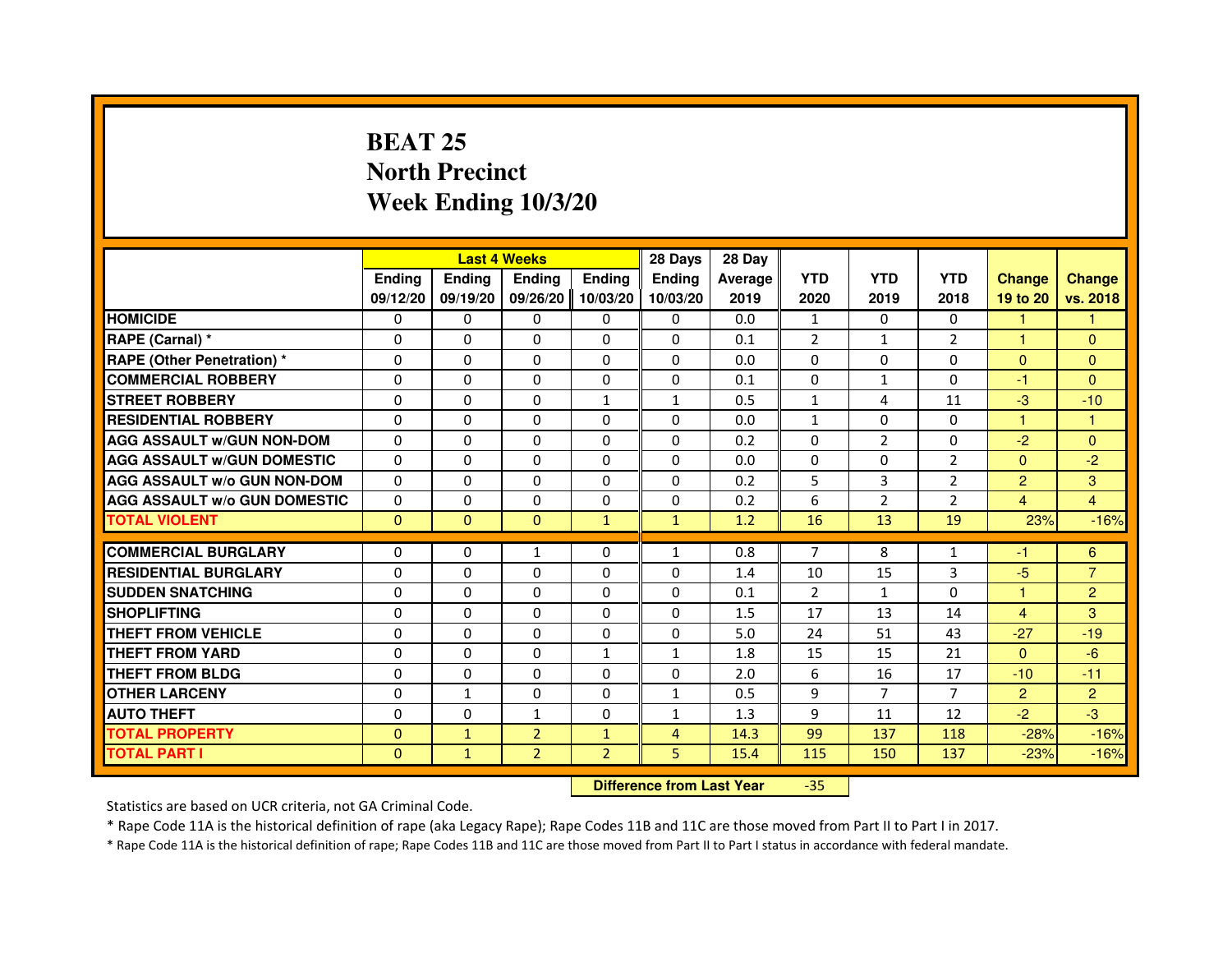### **BEAT 25 North PrecinctWeek Ending 10/3/20**

|                                     |               |               | <b>Last 4 Weeks</b>              |                | 28 Days        | 28 Day  |                |                |                |                |                |
|-------------------------------------|---------------|---------------|----------------------------------|----------------|----------------|---------|----------------|----------------|----------------|----------------|----------------|
|                                     | <b>Ending</b> | <b>Ending</b> | <b>Ending</b>                    | <b>Ending</b>  | <b>Ending</b>  | Average | <b>YTD</b>     | <b>YTD</b>     | <b>YTD</b>     | <b>Change</b>  | <b>Change</b>  |
|                                     | 09/12/20      | 09/19/20      | 09/26/20                         | 10/03/20       | 10/03/20       | 2019    | 2020           | 2019           | 2018           | 19 to 20       | vs. 2018       |
| <b>HOMICIDE</b>                     | $\Omega$      | $\Omega$      | $\Omega$                         | $\Omega$       | 0              | 0.0     | $\mathbf{1}$   | $\Omega$       | $\Omega$       | 1              | 1.             |
| RAPE (Carnal) *                     | 0             | 0             | 0                                | $\Omega$       | 0              | 0.1     | $\overline{2}$ | $\mathbf{1}$   | $\overline{2}$ | 1              | $\Omega$       |
| <b>RAPE (Other Penetration) *</b>   | $\Omega$      | $\Omega$      | $\Omega$                         | $\Omega$       | $\Omega$       | 0.0     | $\Omega$       | $\Omega$       | $\Omega$       | $\Omega$       | $\mathbf{0}$   |
| <b>COMMERCIAL ROBBERY</b>           | $\Omega$      | $\Omega$      | $\Omega$                         | $\Omega$       | $\Omega$       | 0.1     | $\Omega$       | $\mathbf{1}$   | $\Omega$       | $-1$           | $\Omega$       |
| <b>STREET ROBBERY</b>               | $\Omega$      | $\Omega$      | $\Omega$                         | $\mathbf{1}$   | $\mathbf{1}$   | 0.5     | $\mathbf{1}$   | 4              | 11             | $-3$           | $-10$          |
| <b>RESIDENTIAL ROBBERY</b>          | $\Omega$      | $\Omega$      | $\Omega$                         | $\Omega$       | $\Omega$       | 0.0     | $\mathbf{1}$   | $\Omega$       | $\Omega$       | 1              | 1              |
| <b>AGG ASSAULT w/GUN NON-DOM</b>    | $\Omega$      | $\Omega$      | $\Omega$                         | $\Omega$       | $\Omega$       | 0.2     | $\Omega$       | $\overline{2}$ | $\Omega$       | $-2$           | $\Omega$       |
| <b>AGG ASSAULT w/GUN DOMESTIC</b>   | $\Omega$      | $\Omega$      | $\Omega$                         | $\Omega$       | $\Omega$       | 0.0     | $\Omega$       | $\Omega$       | $\overline{2}$ | $\Omega$       | $-2$           |
| <b>AGG ASSAULT w/o GUN NON-DOM</b>  | $\Omega$      | 0             | 0                                | 0              | 0              | 0.2     | 5              | 3              | $\overline{2}$ | $\overline{2}$ | 3              |
| <b>AGG ASSAULT w/o GUN DOMESTIC</b> | $\Omega$      | $\Omega$      | $\Omega$                         | $\Omega$       | $\Omega$       | 0.2     | 6              | $\overline{2}$ | $\overline{2}$ | 4              | 4              |
| <b>TOTAL VIOLENT</b>                | $\mathbf{0}$  | $\mathbf 0$   | $\mathbf{0}$                     | $\mathbf{1}$   | $\mathbf{1}$   | 1.2     | 16             | 13             | 19             | 23%            | $-16%$         |
| <b>COMMERCIAL BURGLARY</b>          | 0             | 0             | 1                                | 0              | $\mathbf{1}$   | 0.8     | 7              | 8              | 1              | -1             | 6              |
| <b>RESIDENTIAL BURGLARY</b>         | $\Omega$      | $\Omega$      | $\Omega$                         | $\Omega$       | $\Omega$       | 1.4     | 10             | 15             | 3              | $-5$           | $\overline{7}$ |
| <b>SUDDEN SNATCHING</b>             | $\Omega$      | $\Omega$      | $\Omega$                         | $\Omega$       | $\Omega$       | 0.1     | $\overline{2}$ | $\mathbf{1}$   | $\Omega$       | 1              | $\overline{2}$ |
| <b>SHOPLIFTING</b>                  | 0             | 0             | 0                                | 0              | 0              | 1.5     | 17             | 13             | 14             | $\overline{4}$ | 3              |
| THEFT FROM VEHICLE                  | $\Omega$      | $\Omega$      | $\Omega$                         | $\Omega$       | 0              | 5.0     | 24             | 51             | 43             | $-27$          | $-19$          |
| <b>THEFT FROM YARD</b>              | 0             | 0             | $\Omega$                         | $\mathbf{1}$   | $\mathbf{1}$   | 1.8     | 15             | 15             | 21             | $\mathbf{0}$   | $-6$           |
| <b>THEFT FROM BLDG</b>              | $\Omega$      | $\Omega$      | $\Omega$                         | $\Omega$       | $\Omega$       | 2.0     | 6              | 16             | 17             | $-10$          | $-11$          |
| <b>OTHER LARCENY</b>                | $\Omega$      | $\mathbf{1}$  | $\Omega$                         | $\Omega$       | $\mathbf{1}$   | 0.5     | 9              | $\overline{7}$ | $\overline{7}$ | $\overline{2}$ | $\overline{2}$ |
| <b>AUTO THEFT</b>                   | $\Omega$      | $\Omega$      | $\mathbf{1}$                     | $\Omega$       | $\mathbf{1}$   | 1.3     | 9              | 11             | 12             | $-2$           | $-3$           |
| <b>TOTAL PROPERTY</b>               | $\Omega$      | $\mathbf{1}$  | $\overline{2}$                   | $\mathbf{1}$   | $\overline{4}$ | 14.3    | 99             | 137            | 118            | $-28%$         | $-16%$         |
| <b>TOTAL PART I</b>                 | $\mathbf{0}$  | $\mathbf{1}$  | $\overline{2}$                   | $\overline{2}$ | 5              | 15.4    | 115            | 150            | 137            | $-23%$         | $-16%$         |
|                                     |               |               |                                  |                |                |         |                |                |                |                |                |
|                                     |               |               | <b>Difference from Last Year</b> |                | $-35$          |         |                |                |                |                |                |

 **Difference from Last Year**

Statistics are based on UCR criteria, not GA Criminal Code.

\* Rape Code 11A is the historical definition of rape (aka Legacy Rape); Rape Codes 11B and 11C are those moved from Part II to Part I in 2017.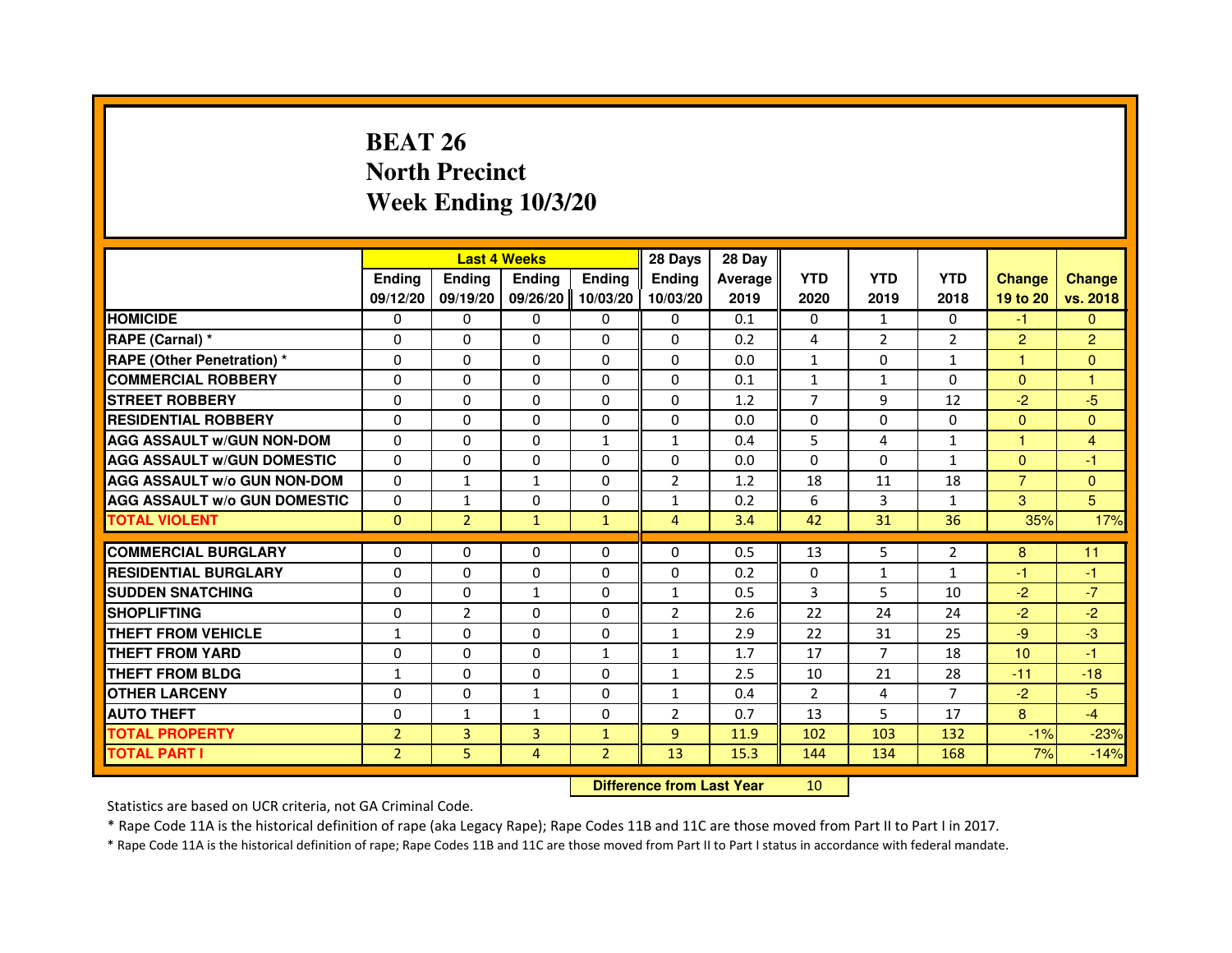## **BEAT 26 North PrecinctWeek Ending 10/3/20**

|                                     |                |                | <b>Last 4 Weeks</b> |                | 28 Days                          | 28 Day  |                |                |                |                |                |
|-------------------------------------|----------------|----------------|---------------------|----------------|----------------------------------|---------|----------------|----------------|----------------|----------------|----------------|
|                                     | <b>Ending</b>  | <b>Ending</b>  | <b>Ending</b>       | <b>Ending</b>  | <b>Ending</b>                    | Average | <b>YTD</b>     | <b>YTD</b>     | <b>YTD</b>     | <b>Change</b>  | <b>Change</b>  |
|                                     | 09/12/20       | 09/19/20       | 09/26/20            | 10/03/20       | 10/03/20                         | 2019    | 2020           | 2019           | 2018           | 19 to 20       | vs. 2018       |
| <b>HOMICIDE</b>                     | $\Omega$       | $\Omega$       | $\Omega$            | $\Omega$       | 0                                | 0.1     | $\Omega$       | $\mathbf{1}$   | $\Omega$       | $-1$           | $\Omega$       |
| RAPE (Carnal) *                     | 0              | 0              | 0                   | 0              | 0                                | 0.2     | 4              | $\overline{2}$ | $\overline{2}$ | $\overline{2}$ | $\overline{2}$ |
| <b>RAPE (Other Penetration) *</b>   | $\Omega$       | $\Omega$       | $\Omega$            | $\Omega$       | $\Omega$                         | 0.0     | $\mathbf{1}$   | $\Omega$       | $\mathbf{1}$   | $\mathbf{1}$   | $\mathbf{0}$   |
| <b>COMMERCIAL ROBBERY</b>           | $\Omega$       | $\Omega$       | $\Omega$            | $\Omega$       | $\Omega$                         | 0.1     | $\mathbf{1}$   | $\mathbf{1}$   | $\Omega$       | $\Omega$       | $\mathbf{1}$   |
| <b>STREET ROBBERY</b>               | $\Omega$       | $\Omega$       | $\Omega$            | $\Omega$       | $\Omega$                         | 1.2     | $\overline{7}$ | 9              | 12             | $-2$           | $-5$           |
| <b>RESIDENTIAL ROBBERY</b>          | $\Omega$       | $\Omega$       | $\Omega$            | $\Omega$       | $\Omega$                         | 0.0     | $\Omega$       | $\Omega$       | $\Omega$       | $\Omega$       | $\Omega$       |
| <b>AGG ASSAULT W/GUN NON-DOM</b>    | $\Omega$       | $\Omega$       | $\Omega$            | $\mathbf{1}$   | $\mathbf{1}$                     | 0.4     | 5              | 4              | $\mathbf{1}$   | $\mathbf{1}$   | 4              |
| <b>AGG ASSAULT W/GUN DOMESTIC</b>   | $\Omega$       | $\Omega$       | $\Omega$            | $\Omega$       | $\Omega$                         | 0.0     | $\Omega$       | $\Omega$       | 1              | $\Omega$       | $-1$           |
| <b>AGG ASSAULT W/o GUN NON-DOM</b>  | $\Omega$       | 1              | $\mathbf{1}$        | 0              | $\overline{2}$                   | 1.2     | 18             | 11             | 18             | $\overline{7}$ | $\mathbf{0}$   |
| <b>AGG ASSAULT W/o GUN DOMESTIC</b> | $\Omega$       | 1              | 0                   | $\Omega$       | $\mathbf{1}$                     | 0.2     | 6              | 3              | $\mathbf{1}$   | 3              | 5              |
| <b>TOTAL VIOLENT</b>                | $\mathbf{0}$   | $\overline{2}$ | $\mathbf{1}$        | $\mathbf{1}$   | $\overline{4}$                   | 3.4     | 42             | 31             | 36             | 35%            | 17%            |
| <b>COMMERCIAL BURGLARY</b>          | 0              | 0              | 0                   | 0              | 0                                | 0.5     | 13             | 5              | 2              | 8              | 11             |
| <b>RESIDENTIAL BURGLARY</b>         | $\Omega$       | $\Omega$       | $\Omega$            | $\Omega$       | $\Omega$                         | 0.2     | $\Omega$       | $\mathbf{1}$   | $\mathbf{1}$   | $-1$           | $-1$           |
| <b>SUDDEN SNATCHING</b>             | $\Omega$       | $\Omega$       | $\mathbf{1}$        | $\Omega$       | $\mathbf{1}$                     | 0.5     | 3              | 5              | 10             | $-2$           | $-7$           |
| <b>SHOPLIFTING</b>                  | 0              | $\overline{2}$ | 0                   | 0              | 2                                | 2.6     | 22             | 24             | 24             | $-2$           | $-2$           |
| THEFT FROM VEHICLE                  | $\mathbf{1}$   | $\Omega$       | 0                   | $\Omega$       | $\mathbf{1}$                     | 2.9     | 22             | 31             | 25             | $-9$           | $-3$           |
| THEFT FROM YARD                     | 0              | 0              | $\Omega$            | $\mathbf{1}$   | $\mathbf{1}$                     | 1.7     | 17             | $\overline{7}$ | 18             | 10             | $-1$           |
| <b>THEFT FROM BLDG</b>              | $\mathbf{1}$   | $\Omega$       | $\Omega$            | $\Omega$       | $\mathbf{1}$                     | 2.5     | 10             | 21             | 28             | $-11$          | $-18$          |
| <b>OTHER LARCENY</b>                | $\Omega$       | $\Omega$       | $\mathbf{1}$        | $\Omega$       | $\mathbf{1}$                     | 0.4     | $\overline{2}$ | 4              | $\overline{7}$ | $-2$           | $-5$           |
| <b>AUTO THEFT</b>                   | $\Omega$       | $\mathbf{1}$   | $\mathbf{1}$        | $\Omega$       | $\overline{2}$                   | 0.7     | 13             | 5              | 17             | 8              | $-4$           |
| <b>TOTAL PROPERTY</b>               | $\overline{2}$ | 3              | $\overline{3}$      | $\mathbf{1}$   | $\overline{9}$                   | 11.9    | 102            | 103            | 132            | $-1%$          | $-23%$         |
| <b>TOTAL PART I</b>                 | $\overline{2}$ | 5              | 4                   | $\overline{2}$ | 13                               | 15.3    | 144            | 134            | 168            | 7%             | $-14%$         |
|                                     |                |                |                     |                | <b>Difference from Last Year</b> |         | 10             |                |                |                |                |

 **Difference from Last Year**

Statistics are based on UCR criteria, not GA Criminal Code.

\* Rape Code 11A is the historical definition of rape (aka Legacy Rape); Rape Codes 11B and 11C are those moved from Part II to Part I in 2017.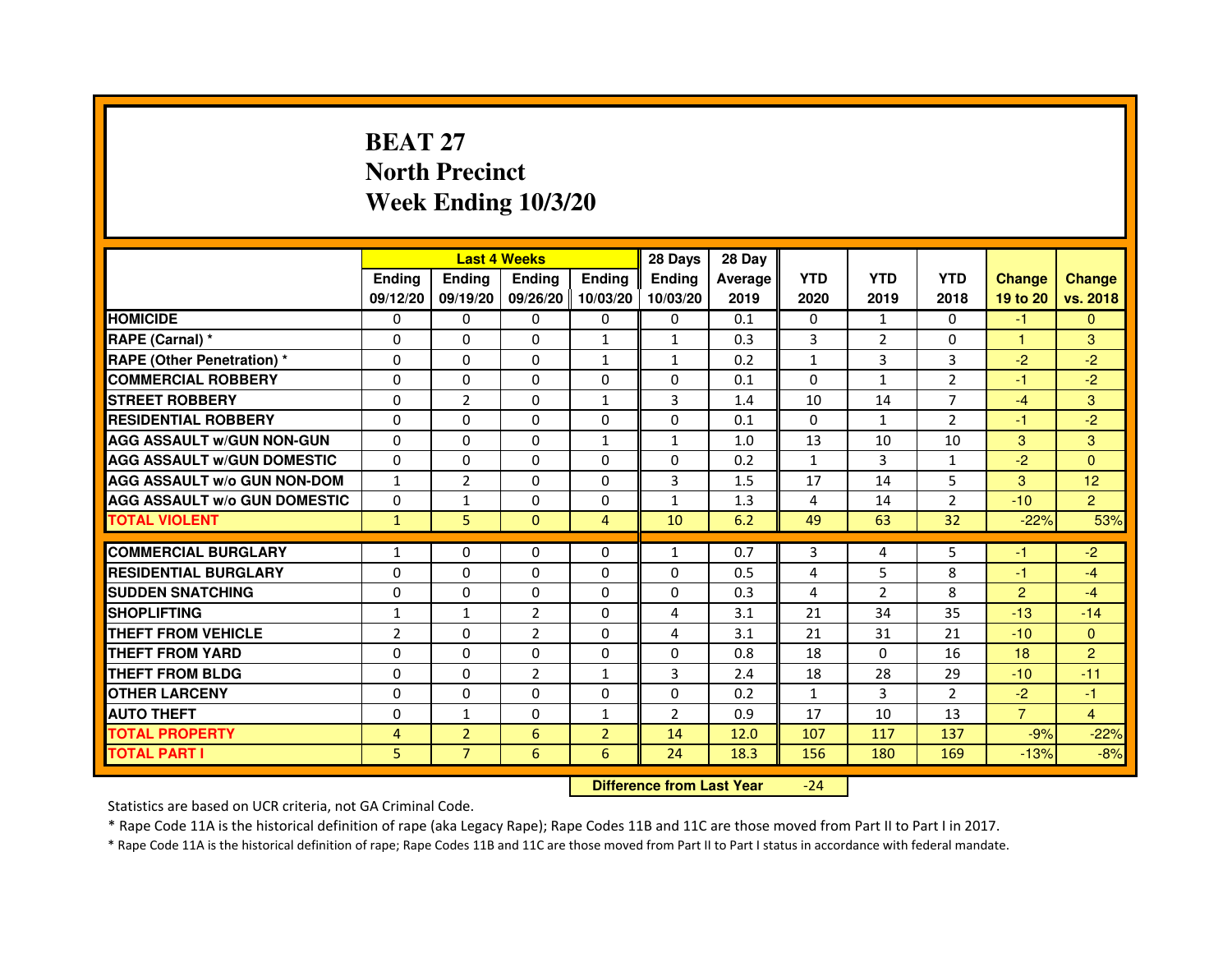# **BEAT 27 North PrecinctWeek Ending 10/3/20**

|                                     |                | <b>Last 4 Weeks</b> |                |                | 28 Days        | 28 Day  |                |                |                |                |                |
|-------------------------------------|----------------|---------------------|----------------|----------------|----------------|---------|----------------|----------------|----------------|----------------|----------------|
|                                     | <b>Endina</b>  | <b>Endina</b>       | <b>Endina</b>  | <b>Ending</b>  | <b>Endina</b>  | Average | <b>YTD</b>     | <b>YTD</b>     | <b>YTD</b>     | <b>Change</b>  | <b>Change</b>  |
|                                     | 09/12/20       | 09/19/20            | 09/26/20       | 10/03/20       | 10/03/20       | 2019    | 2020           | 2019           | 2018           | 19 to 20       | vs. 2018       |
| <b>HOMICIDE</b>                     | 0              | 0                   | $\mathbf{0}$   | 0              | 0              | 0.1     | $\mathbf{0}$   | 1              | $\mathbf{0}$   | $-1$           | $\mathbf{0}$   |
| RAPE (Carnal) *                     | $\Omega$       | $\Omega$            | $\Omega$       | $\mathbf{1}$   | $\mathbf{1}$   | 0.3     | 3              | 2              | $\Omega$       | $\mathbf{1}$   | 3              |
| <b>RAPE (Other Penetration) *</b>   | 0              | $\Omega$            | 0              | $\mathbf{1}$   | $\mathbf{1}$   | 0.2     | $\mathbf{1}$   | 3              | 3              | $-2$           | $-2$           |
| <b>COMMERCIAL ROBBERY</b>           | 0              | 0                   | 0              | 0              | $\Omega$       | 0.1     | $\Omega$       | $\mathbf{1}$   | 2              | $-1$           | $-2$           |
| <b>STREET ROBBERY</b>               | 0              | $\overline{2}$      | 0              | 1              | 3              | 1.4     | 10             | 14             | 7              | $-4$           | 3              |
| <b>RESIDENTIAL ROBBERY</b>          | 0              | $\Omega$            | $\Omega$       | $\Omega$       | $\Omega$       | 0.1     | $\Omega$       | $\mathbf{1}$   | $\overline{2}$ | $-1$           | $-2$           |
| <b>AGG ASSAULT W/GUN NON-GUN</b>    | $\Omega$       | $\mathbf 0$         | $\Omega$       | $\mathbf{1}$   | $\mathbf{1}$   | 1.0     | 13             | 10             | 10             | 3              | 3              |
| <b>AGG ASSAULT W/GUN DOMESTIC</b>   | 0              | 0                   | 0              | 0              | 0              | 0.2     | $\mathbf{1}$   | 3              | $\mathbf{1}$   | $-2$           | $\Omega$       |
| <b>AGG ASSAULT W/o GUN NON-DOM</b>  | $\mathbf{1}$   | $\overline{2}$      | 0              | $\Omega$       | 3              | 1.5     | 17             | 14             | 5              | 3              | 12             |
| <b>AGG ASSAULT W/o GUN DOMESTIC</b> | $\Omega$       | $\mathbf{1}$        | 0              | $\Omega$       | $\mathbf{1}$   | 1.3     | 4              | 14             | $\overline{2}$ | $-10$          | $\overline{2}$ |
| <b>TOTAL VIOLENT</b>                | $\mathbf{1}$   | 5                   | $\Omega$       | $\overline{4}$ | 10             | 6.2     | 49             | 63             | 32             | $-22%$         | 53%            |
|                                     |                |                     |                |                |                |         |                |                |                |                |                |
| <b>COMMERCIAL BURGLARY</b>          | 1              | 0                   | 0              | 0              | $\mathbf{1}$   | 0.7     | 3              | 4              | 5              | -1             | $-2$           |
| <b>RESIDENTIAL BURGLARY</b>         | 0              | $\Omega$            | 0              | $\Omega$       | $\Omega$       | 0.5     | 4              | 5              | 8              | $-1$           | $-4$           |
| <b>SUDDEN SNATCHING</b>             | 0              | 0                   | 0              | 0              | $\Omega$       | 0.3     | $\overline{4}$ | $\overline{2}$ | 8              | $\overline{2}$ | $-4$           |
| <b>SHOPLIFTING</b>                  | $\mathbf{1}$   | $\mathbf{1}$        | $\overline{2}$ | $\Omega$       | 4              | 3.1     | 21             | 34             | 35             | $-13$          | $-14$          |
| <b>THEFT FROM VEHICLE</b>           | $\overline{2}$ | $\Omega$            | $\overline{2}$ | $\Omega$       | 4              | 3.1     | 21             | 31             | 21             | $-10$          | $\Omega$       |
| <b>THEFT FROM YARD</b>              | $\Omega$       | $\Omega$            | $\Omega$       | $\Omega$       | $\Omega$       | 0.8     | 18             | $\Omega$       | 16             | 18             | 2              |
| <b>THEFT FROM BLDG</b>              | 0              | 0                   | $\overline{2}$ | 1              | 3              | 2.4     | 18             | 28             | 29             | $-10$          | $-11$          |
| <b>OTHER LARCENY</b>                | 0              | 0                   | $\Omega$       | $\Omega$       | $\Omega$       | 0.2     | $\mathbf{1}$   | 3              | $\mathcal{P}$  | $-2$           | $-1$           |
| <b>AUTO THEFT</b>                   | $\mathbf 0$    | 1                   | $\Omega$       | $\mathbf{1}$   | $\overline{2}$ | 0.9     | 17             | 10             | 13             | $\overline{7}$ | $\overline{4}$ |
| <b>TOTAL PROPERTY</b>               | 4              | $\overline{2}$      | 6              | $\overline{2}$ | 14             | 12.0    | 107            | 117            | 137            | $-9%$          | $-22%$         |
| <b>TOTAL PART I</b>                 | 5              | $\overline{7}$      | 6              | 6              | 24             | 18.3    | 156            | 180            | 169            | $-13%$         | $-8%$          |

 **Difference from Last Year**-24

Statistics are based on UCR criteria, not GA Criminal Code.

\* Rape Code 11A is the historical definition of rape (aka Legacy Rape); Rape Codes 11B and 11C are those moved from Part II to Part I in 2017.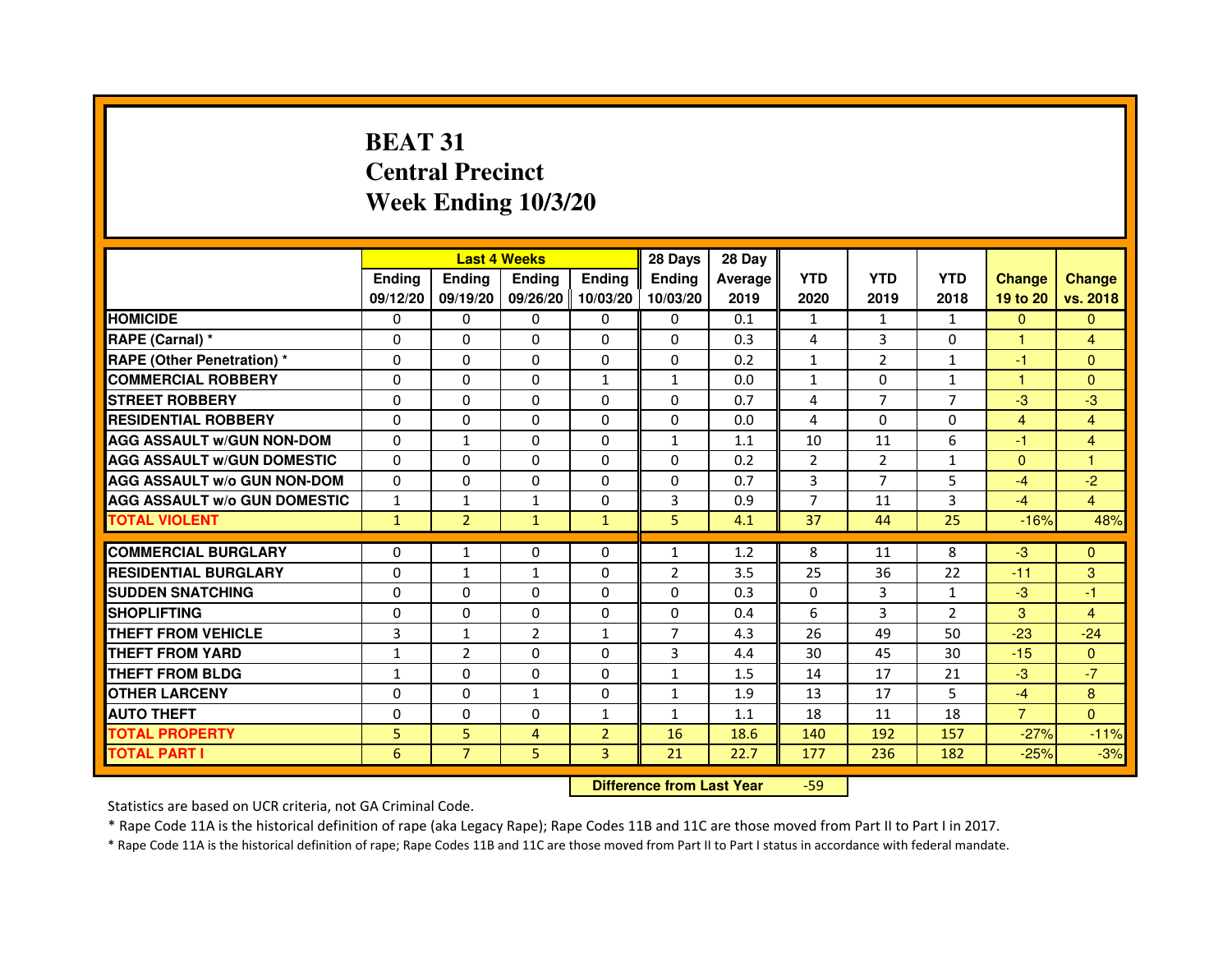# **BEAT 31 Central PrecinctWeek Ending 10/3/20**

|                                     |               | <b>Last 4 Weeks</b> |                   |                | 28 Days        | 28 Day  |                |                |                |                |                |
|-------------------------------------|---------------|---------------------|-------------------|----------------|----------------|---------|----------------|----------------|----------------|----------------|----------------|
|                                     | <b>Endina</b> | <b>Ending</b>       | <b>Ending</b>     | <b>Endina</b>  | <b>Endina</b>  | Average | <b>YTD</b>     | <b>YTD</b>     | <b>YTD</b>     | <b>Change</b>  | <b>Change</b>  |
|                                     | 09/12/20      | 09/19/20            | 09/26/20 10/03/20 |                | 10/03/20       | 2019    | 2020           | 2019           | 2018           | 19 to 20       | vs. 2018       |
| <b>HOMICIDE</b>                     | 0             | 0                   | 0                 | 0              | 0              | 0.1     | 1              | $\mathbf{1}$   | $\mathbf{1}$   | $\mathbf{0}$   | $\mathbf{0}$   |
| RAPE (Carnal) *                     | $\Omega$      | $\Omega$            | $\Omega$          | $\Omega$       | $\Omega$       | 0.3     | 4              | 3              | $\Omega$       | $\mathbf{1}$   | $\overline{4}$ |
| <b>RAPE (Other Penetration) *</b>   | $\Omega$      | $\Omega$            | $\Omega$          | $\Omega$       | $\Omega$       | 0.2     | $\mathbf{1}$   | $\overline{2}$ | $\mathbf{1}$   | $-1$           | $\Omega$       |
| <b>COMMERCIAL ROBBERY</b>           | 0             | 0                   | $\Omega$          | $\mathbf{1}$   | 1              | 0.0     | $\mathbf{1}$   | 0              | $\mathbf{1}$   | 1              | $\Omega$       |
| <b>STREET ROBBERY</b>               | $\Omega$      | 0                   | $\Omega$          | 0              | 0              | 0.7     | 4              | 7              | 7              | $-3$           | -3             |
| <b>RESIDENTIAL ROBBERY</b>          | $\Omega$      | $\Omega$            | $\Omega$          | 0              | 0              | 0.0     | 4              | $\Omega$       | $\mathbf 0$    | $\overline{4}$ | $\overline{4}$ |
| <b>AGG ASSAULT w/GUN NON-DOM</b>    | $\Omega$      | $\mathbf 1$         | $\mathbf 0$       | 0              | $\mathbf{1}$   | 1.1     | 10             | 11             | 6              | $-1$           | $\overline{4}$ |
| <b>AGG ASSAULT W/GUN DOMESTIC</b>   | $\Omega$      | 0                   | 0                 | 0              | 0              | 0.2     | $\overline{2}$ | $\overline{2}$ | $\mathbf{1}$   | $\mathbf{0}$   | 1              |
| <b>AGG ASSAULT W/o GUN NON-DOM</b>  | $\Omega$      | $\Omega$            | $\Omega$          | $\Omega$       | $\Omega$       | 0.7     | 3              | 7              | 5              | $-4$           | $-2$           |
| <b>AGG ASSAULT W/o GUN DOMESTIC</b> | 1             | 1                   | $\mathbf{1}$      | 0              | 3              | 0.9     | $\overline{7}$ | 11             | 3              | $-4$           | $\overline{4}$ |
| <b>TOTAL VIOLENT</b>                | $\mathbf{1}$  | $\overline{2}$      | $\mathbf{1}$      | $\mathbf{1}$   | 5              | 4.1     | 37             | 44             | 25             | $-16%$         | 48%            |
|                                     |               |                     |                   |                |                |         |                |                |                |                |                |
| <b>COMMERCIAL BURGLARY</b>          | $\Omega$      | $\mathbf{1}$        | $\Omega$          | $\Omega$       | $\mathbf{1}$   | 1.2     | 8              | 11             | 8              | $-3$           | $\Omega$       |
| <b>RESIDENTIAL BURGLARY</b>         | $\Omega$      | 1                   | 1                 | 0              | $\overline{2}$ | 3.5     | 25             | 36             | 22             | $-11$          | 3              |
| <b>SUDDEN SNATCHING</b>             | $\Omega$      | $\Omega$            | 0                 | 0              | 0              | 0.3     | $\Omega$       | 3              | 1              | $-3$           | $-1$           |
| <b>SHOPLIFTING</b>                  | 0             | $\mathbf 0$         | 0                 | 0              | 0              | 0.4     | 6              | 3              | $\overline{2}$ | 3              | 4              |
| <b>THEFT FROM VEHICLE</b>           | 3             | 1                   | $\overline{2}$    | $\mathbf{1}$   | $\overline{7}$ | 4.3     | 26             | 49             | 50             | $-23$          | $-24$          |
| <b>THEFT FROM YARD</b>              | $\mathbf{1}$  | $\overline{2}$      | $\Omega$          | $\Omega$       | 3              | 4.4     | 30             | 45             | 30             | $-15$          | $\Omega$       |
| <b>THEFT FROM BLDG</b>              | $\mathbf{1}$  | $\Omega$            | 0                 | 0              | 1              | 1.5     | 14             | 17             | 21             | $-3$           | $-7$           |
| <b>OTHER LARCENY</b>                | $\Omega$      | $\Omega$            | 1                 | 0              | 1              | 1.9     | 13             | 17             | 5              | $-4$           | 8              |
| <b>AUTO THEFT</b>                   | $\mathbf 0$   | $\mathbf 0$         | $\Omega$          | $\mathbf{1}$   | $\mathbf{1}$   | 1.1     | 18             | 11             | 18             | $\overline{7}$ | $\Omega$       |
| <b>TOTAL PROPERTY</b>               | 5             | 5                   | 4                 | $\overline{2}$ | 16             | 18.6    | 140            | 192            | 157            | $-27%$         | $-11%$         |
| <b>TOTAL PART I</b>                 | 6             | $\overline{7}$      | 5                 | 3              | 21             | 22.7    | 177            | 236            | 182            | $-25%$         | $-3%$          |

 **Difference from Last Year**-59

Statistics are based on UCR criteria, not GA Criminal Code.

\* Rape Code 11A is the historical definition of rape (aka Legacy Rape); Rape Codes 11B and 11C are those moved from Part II to Part I in 2017.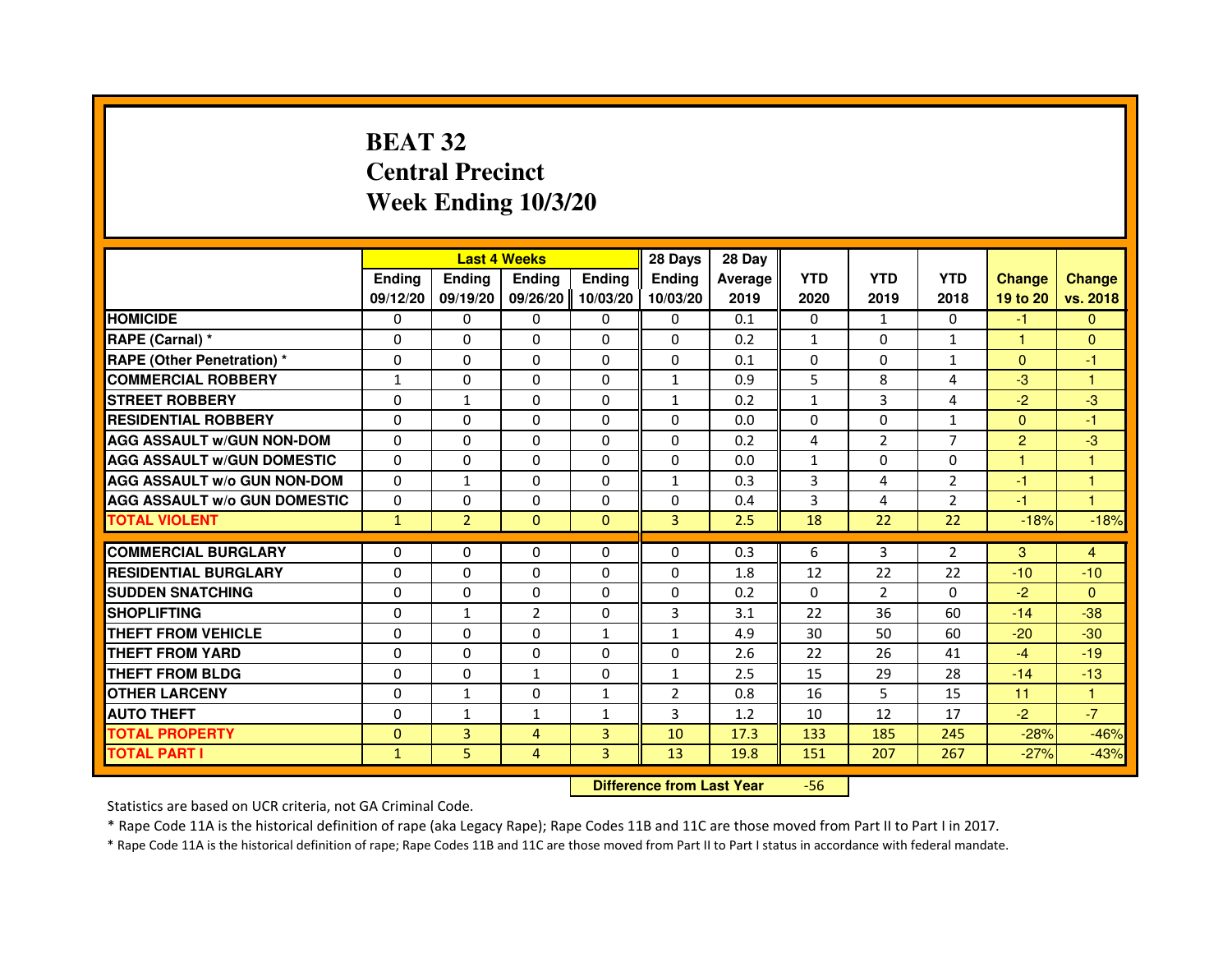## **BEAT 32 Central PrecinctWeek Ending 10/3/20**

|                                     |               | <b>Last 4 Weeks</b> |                |               | 28 Days        | 28 Day  |              |                |                |                |                      |
|-------------------------------------|---------------|---------------------|----------------|---------------|----------------|---------|--------------|----------------|----------------|----------------|----------------------|
|                                     | <b>Endina</b> | Ending              | <b>Endina</b>  | <b>Endina</b> | <b>Endina</b>  | Average | <b>YTD</b>   | <b>YTD</b>     | <b>YTD</b>     | <b>Change</b>  | <b>Change</b>        |
|                                     | 09/12/20      | 09/19/20            | 09/26/20       | 10/03/20      | 10/03/20       | 2019    | 2020         | 2019           | 2018           | 19 to 20       | vs. 2018             |
| <b>HOMICIDE</b>                     | 0             | 0                   | 0              | 0             | 0              | 0.1     | 0            | $\mathbf{1}$   | $\mathbf{0}$   | $-1$           | $\mathbf{0}$         |
| RAPE (Carnal) *                     | $\Omega$      | $\Omega$            | $\Omega$       | $\Omega$      | $\Omega$       | 0.2     | $\mathbf{1}$ | $\mathbf{0}$   | $\mathbf{1}$   | $\mathbf{1}$   | $\mathbf{0}$         |
| <b>RAPE (Other Penetration)*</b>    | $\Omega$      | 0                   | $\Omega$       | 0             | $\Omega$       | 0.1     | $\Omega$     | $\mathbf{0}$   | $\mathbf{1}$   | $\mathbf{0}$   | -1                   |
| <b>COMMERCIAL ROBBERY</b>           | $\mathbf{1}$  | 0                   | 0              | 0             | $\mathbf{1}$   | 0.9     | 5            | 8              | 4              | $-3$           | 1                    |
| <b>STREET ROBBERY</b>               | $\Omega$      | $\mathbf{1}$        | $\Omega$       | $\Omega$      | $\mathbf{1}$   | 0.2     | $\mathbf{1}$ | 3              | 4              | $-2$           | $-3$                 |
| <b>RESIDENTIAL ROBBERY</b>          | 0             | 0                   | 0              | 0             | 0              | 0.0     | 0            | 0              | $\mathbf{1}$   | $\mathbf{0}$   | -1                   |
| <b>AGG ASSAULT w/GUN NON-DOM</b>    | $\Omega$      | $\Omega$            | $\Omega$       | $\Omega$      | $\Omega$       | 0.2     | 4            | $\overline{2}$ | $\overline{7}$ | $\overline{2}$ | -3                   |
| <b>AGG ASSAULT W/GUN DOMESTIC</b>   | $\Omega$      | 0                   | $\Omega$       | $\Omega$      | $\Omega$       | 0.0     | $\mathbf{1}$ | $\mathbf{0}$   | $\Omega$       | $\mathbf{1}$   | 1                    |
| <b>AGG ASSAULT w/o GUN NON-DOM</b>  | $\Omega$      | $\mathbf{1}$        | 0              | 0             | $\mathbf{1}$   | 0.3     | 3            | 4              | $\overline{2}$ | $-1$           | 1                    |
| <b>AGG ASSAULT W/o GUN DOMESTIC</b> | $\Omega$      | $\Omega$            | $\Omega$       | $\Omega$      | 0              | 0.4     | 3            | 4              | $\overline{2}$ | $-1$           | $\blacktriangleleft$ |
| <b>TOTAL VIOLENT</b>                | $\mathbf{1}$  | $\overline{2}$      | $\mathbf{0}$   | $\Omega$      | 3              | 2.5     | 18           | 22             | 22             | $-18%$         | $-18%$               |
|                                     |               |                     |                |               |                |         |              |                |                |                |                      |
| <b>COMMERCIAL BURGLARY</b>          | 0             | 0                   | 0              | 0             | 0              | 0.3     | 6            | 3              | 2              | 3              | $\overline{4}$       |
| <b>RESIDENTIAL BURGLARY</b>         | 0             | 0                   | 0              | 0             | 0              | 1.8     | 12           | 22             | 22             | $-10$          | $-10$                |
| <b>SUDDEN SNATCHING</b>             | $\Omega$      | $\Omega$            | $\Omega$       | $\Omega$      | $\Omega$       | 0.2     | $\Omega$     | $\overline{2}$ | $\Omega$       | $-2$           | $\Omega$             |
| <b>SHOPLIFTING</b>                  | $\Omega$      | $\mathbf{1}$        | $\overline{2}$ | $\Omega$      | 3              | 3.1     | 22           | 36             | 60             | $-14$          | $-38$                |
| THEFT FROM VEHICLE                  | $\Omega$      | $\Omega$            | $\Omega$       | $\mathbf{1}$  | $\mathbf{1}$   | 4.9     | 30           | 50             | 60             | $-20$          | $-30$                |
| <b>THEFT FROM YARD</b>              | $\Omega$      | $\Omega$            | 0              | $\Omega$      | $\Omega$       | 2.6     | 22           | 26             | 41             | $-4$           | $-19$                |
| <b>THEFT FROM BLDG</b>              | 0             | 0                   | $\mathbf{1}$   | 0             | $\mathbf{1}$   | 2.5     | 15           | 29             | 28             | $-14$          | $-13$                |
| <b>OTHER LARCENY</b>                | $\Omega$      | $\mathbf{1}$        | $\Omega$       | $\mathbf{1}$  | $\overline{2}$ | 0.8     | 16           | 5              | 15             | 11             | $\mathbf{1}$         |
| <b>AUTO THEFT</b>                   | $\Omega$      | $\mathbf{1}$        | $\mathbf{1}$   | $\mathbf{1}$  | 3              | 1.2     | 10           | 12             | 17             | $-2$           | $-7$                 |
| <b>TOTAL PROPERTY</b>               | $\Omega$      | 3                   | 4              | 3             | 10             | 17.3    | 133          | 185            | 245            | $-28%$         | $-46%$               |
| <b>TOTAL PART I</b>                 | $\mathbf{1}$  | 5.                  | 4              | 3             | 13             | 19.8    | 151          | 207            | 267            | $-27%$         | $-43%$               |

 **Difference from Last Year**-56

Statistics are based on UCR criteria, not GA Criminal Code.

\* Rape Code 11A is the historical definition of rape (aka Legacy Rape); Rape Codes 11B and 11C are those moved from Part II to Part I in 2017.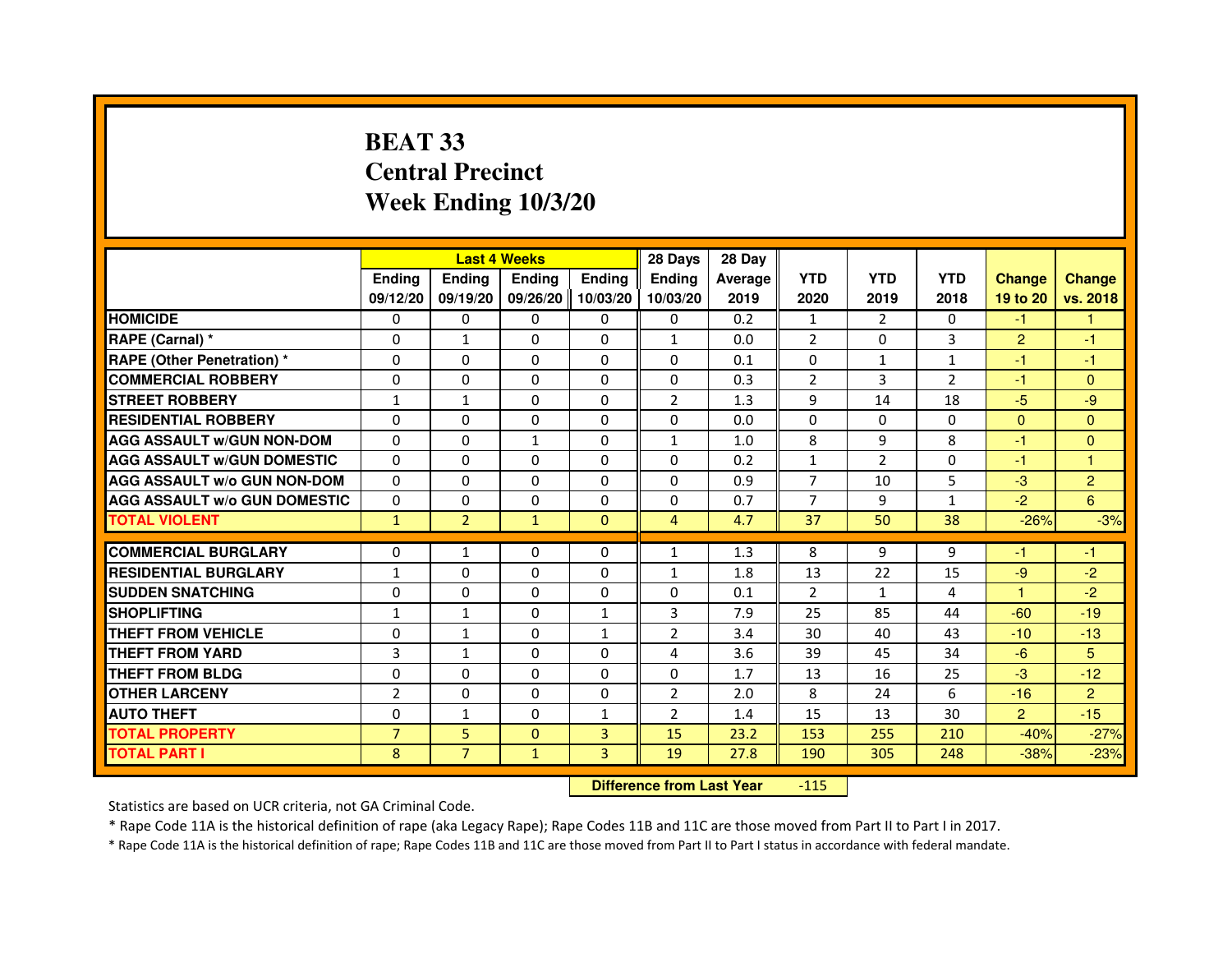## **BEAT 33 Central PrecinctWeek Ending 10/3/20**

|                                     |                | <b>Last 4 Weeks</b> |               |                     | 28 Days        | 28 Day  |                |                |                |                |                |
|-------------------------------------|----------------|---------------------|---------------|---------------------|----------------|---------|----------------|----------------|----------------|----------------|----------------|
|                                     | <b>Endina</b>  | <b>Endina</b>       | <b>Ending</b> | <b>Ending</b>       | <b>Endina</b>  | Average | <b>YTD</b>     | <b>YTD</b>     | <b>YTD</b>     | <b>Change</b>  | <b>Change</b>  |
|                                     | 09/12/20       | 09/19/20            |               | 09/26/20   10/03/20 | 10/03/20       | 2019    | 2020           | 2019           | 2018           | 19 to 20       | vs. 2018       |
| <b>HOMICIDE</b>                     | 0              | 0                   | 0             | 0                   | 0              | 0.2     | $\mathbf{1}$   | $\overline{2}$ | $\mathbf{0}$   | -1.            |                |
| RAPE (Carnal) *                     | $\Omega$       | $\mathbf{1}$        | $\Omega$      | $\Omega$            | $\mathbf{1}$   | 0.0     | 2              | $\Omega$       | 3              | $\overline{2}$ | $-1$           |
| <b>RAPE (Other Penetration) *</b>   | $\Omega$       | $\Omega$            | 0             | $\mathbf{0}$        | $\Omega$       | 0.1     | $\Omega$       | $\mathbf{1}$   | $\mathbf{1}$   | $-1$           | $-1$           |
| <b>COMMERCIAL ROBBERY</b>           | 0              | $\Omega$            | $\Omega$      | 0                   | $\Omega$       | 0.3     | $\overline{2}$ | 3              | $\overline{2}$ | -1             | $\mathbf{0}$   |
| <b>STREET ROBBERY</b>               | 1              | $\mathbf{1}$        | 0             | 0                   | $\overline{2}$ | 1.3     | 9              | 14             | 18             | $-5$           | -9             |
| <b>RESIDENTIAL ROBBERY</b>          | 0              | 0                   | $\Omega$      | $\Omega$            | $\Omega$       | 0.0     | $\Omega$       | 0              | $\Omega$       | $\Omega$       | $\mathbf{0}$   |
| <b>AGG ASSAULT W/GUN NON-DOM</b>    | $\Omega$       | $\Omega$            | $\mathbf{1}$  | $\Omega$            | $\mathbf{1}$   | 1.0     | 8              | 9              | 8              | $-1$           | $\Omega$       |
| <b>AGG ASSAULT W/GUN DOMESTIC</b>   | $\Omega$       | $\Omega$            | 0             | 0                   | $\Omega$       | 0.2     | $\mathbf{1}$   | $\overline{2}$ | 0              | $-1$           | $\overline{1}$ |
| <b>AGG ASSAULT W/o GUN NON-DOM</b>  | $\Omega$       | 0                   | $\Omega$      | $\Omega$            | $\Omega$       | 0.9     | $\overline{7}$ | 10             | 5              | $-3$           | $\overline{2}$ |
| <b>AGG ASSAULT W/o GUN DOMESTIC</b> | $\Omega$       | 0                   | 0             | $\mathbf{0}$        | 0              | 0.7     | $\overline{7}$ | 9              | $\mathbf{1}$   | $-2$           | 6              |
| <b>TOTAL VIOLENT</b>                | $\mathbf{1}$   | $\overline{2}$      | $\mathbf{1}$  | $\mathbf{0}$        | $\overline{4}$ | 4.7     | 37             | 50             | 38             | $-26%$         | $-3%$          |
|                                     |                |                     |               |                     |                |         |                |                |                |                |                |
| <b>COMMERCIAL BURGLARY</b>          | 0              | $\mathbf{1}$        | 0             | 0                   | $\mathbf{1}$   | 1.3     | 8              | 9              | 9              | -1             | $-1$           |
| <b>RESIDENTIAL BURGLARY</b>         | $\mathbf{1}$   | 0                   | 0             | $\mathbf{0}$        | 1              | 1.8     | 13             | 22             | 15             | $-9$           | $-2$           |
| <b>SUDDEN SNATCHING</b>             | $\Omega$       | $\mathbf 0$         | 0             | $\Omega$            | $\Omega$       | 0.1     | $\overline{2}$ | $\mathbf{1}$   | 4              | -1             | $-2$           |
| <b>SHOPLIFTING</b>                  | $\mathbf{1}$   | $\mathbf{1}$        | 0             | $\mathbf{1}$        | 3              | 7.9     | 25             | 85             | 44             | $-60$          | $-19$          |
| <b>THEFT FROM VEHICLE</b>           | $\Omega$       | $\mathbf{1}$        | 0             | 1                   | $\overline{2}$ | 3.4     | 30             | 40             | 43             | $-10$          | $-13$          |
| <b>THEFT FROM YARD</b>              | 3              | $\mathbf{1}$        | $\Omega$      | $\Omega$            | $\overline{4}$ | 3.6     | 39             | 45             | 34             | $-6$           | 5              |
| THEFT FROM BLDG                     | $\Omega$       | $\Omega$            | 0             | 0                   | $\Omega$       | 1.7     | 13             | 16             | 25             | $-3$           | $-12$          |
| <b>OTHER LARCENY</b>                | $\overline{2}$ | 0                   | $\Omega$      | $\Omega$            | $\overline{2}$ | 2.0     | 8              | 24             | 6              | $-16$          | $\overline{2}$ |
| <b>AUTO THEFT</b>                   | 0              | 1                   | $\Omega$      | 1                   | $\overline{2}$ | 1.4     | 15             | 13             | 30             | $\overline{2}$ | $-15$          |
| <b>TOTAL PROPERTY</b>               | $\overline{7}$ | 5                   | $\Omega$      | 3                   | 15             | 23.2    | 153            | 255            | 210            | $-40%$         | $-27%$         |
| <b>TOTAL PART I</b>                 | 8              | $\overline{7}$      | $\mathbf{1}$  | 3                   | 19             | 27.8    | 190            | 305            | 248            | $-38%$         | $-23%$         |

 **Difference from Last Year**-115

Statistics are based on UCR criteria, not GA Criminal Code.

\* Rape Code 11A is the historical definition of rape (aka Legacy Rape); Rape Codes 11B and 11C are those moved from Part II to Part I in 2017.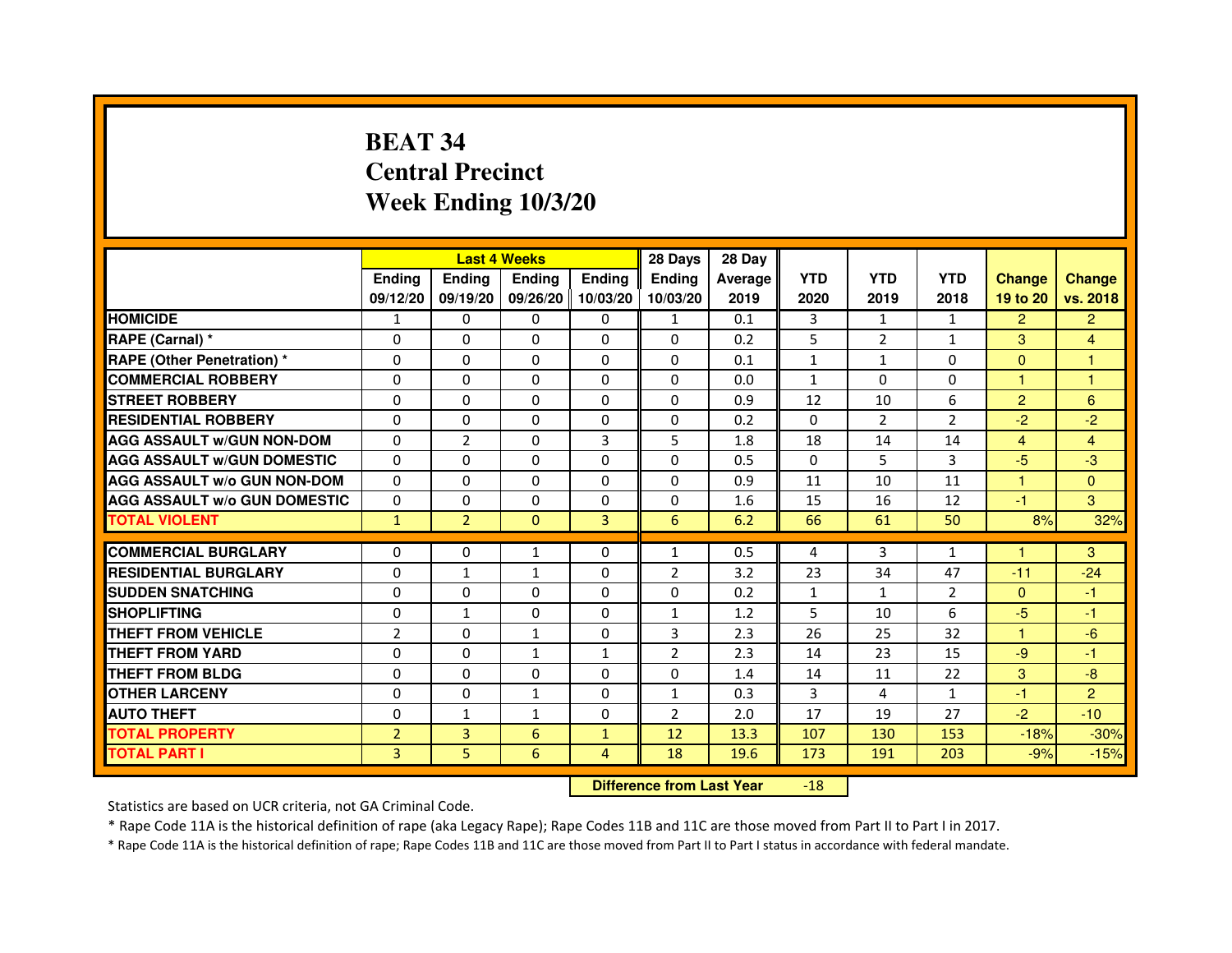# **BEAT 34 Central PrecinctWeek Ending 10/3/20**

|                                     |                |                | <b>Last 4 Weeks</b> |              | 28 Days        | 28 Day  |              |                |                |                      |                      |
|-------------------------------------|----------------|----------------|---------------------|--------------|----------------|---------|--------------|----------------|----------------|----------------------|----------------------|
|                                     | <b>Ending</b>  | <b>Endina</b>  | <b>Ending</b>       | Ending       | <b>Ending</b>  | Average | <b>YTD</b>   | <b>YTD</b>     | <b>YTD</b>     | <b>Change</b>        | <b>Change</b>        |
|                                     | 09/12/20       | 09/19/20       | 09/26/20            | 10/03/20     | 10/03/20       | 2019    | 2020         | 2019           | 2018           | 19 to 20             | vs. 2018             |
| <b>HOMICIDE</b>                     | 1              | 0              | $\mathbf{0}$        | $\Omega$     | $\mathbf{1}$   | 0.1     | 3            | $\mathbf{1}$   | $\mathbf{1}$   | $\overline{2}$       | $\overline{2}$       |
| RAPE (Carnal) *                     | $\Omega$       | $\Omega$       | $\Omega$            | $\mathbf{0}$ | $\Omega$       | 0.2     | 5            | 2              | $\mathbf{1}$   | 3                    | 4                    |
| <b>RAPE (Other Penetration)*</b>    | 0              | 0              | $\Omega$            | $\mathbf{0}$ | 0              | 0.1     | $\mathbf{1}$ | $\mathbf{1}$   | 0              | $\Omega$             | 1                    |
| <b>COMMERCIAL ROBBERY</b>           | 0              | $\mathbf 0$    | 0                   | $\Omega$     | $\Omega$       | 0.0     | 1            | $\Omega$       | $\Omega$       |                      | $\blacktriangleleft$ |
| <b>STREET ROBBERY</b>               | $\Omega$       | $\Omega$       | 0                   | $\mathbf{0}$ | 0              | 0.9     | 12           | 10             | 6              | $\overline{2}$       | 6                    |
| <b>RESIDENTIAL ROBBERY</b>          | $\Omega$       | 0              | $\Omega$            | $\mathbf{0}$ | $\Omega$       | 0.2     | $\Omega$     | $\overline{2}$ | $\overline{2}$ | $-2$                 | $-2$                 |
| <b>AGG ASSAULT w/GUN NON-DOM</b>    | $\Omega$       | $\overline{2}$ | $\Omega$            | 3            | 5              | 1.8     | 18           | 14             | 14             | $\overline{4}$       | $\overline{4}$       |
| <b>AGG ASSAULT W/GUN DOMESTIC</b>   | $\Omega$       | $\Omega$       | 0                   | $\Omega$     | $\Omega$       | 0.5     | $\Omega$     | 5              | 3              | $-5$                 | $-3$                 |
| <b>AGG ASSAULT W/o GUN NON-DOM</b>  | $\Omega$       | 0              | 0                   | 0            | $\Omega$       | 0.9     | 11           | 10             | 11             | 1                    | $\overline{0}$       |
| <b>AGG ASSAULT W/o GUN DOMESTIC</b> | $\Omega$       | 0              | 0                   | 0            | 0              | 1.6     | 15           | 16             | 12             | $-1$                 | 3                    |
| <b>TOTAL VIOLENT</b>                | $\mathbf{1}$   | $\overline{2}$ | $\mathbf{0}$        | 3            | 6              | 6.2     | 66           | 61             | 50             | 8%                   | 32%                  |
|                                     |                |                |                     |              |                |         |              |                |                |                      |                      |
| <b>COMMERCIAL BURGLARY</b>          | 0              | 0              | 1                   | 0            | $\mathbf{1}$   | 0.5     | 4            | 3              | $\mathbf{1}$   |                      | 3                    |
| <b>RESIDENTIAL BURGLARY</b>         | 0              | $\mathbf{1}$   | 1                   | 0            | $\overline{2}$ | 3.2     | 23           | 34             | 47             | $-11$                | $-24$                |
| <b>SUDDEN SNATCHING</b>             | 0              | 0              | 0                   | $\Omega$     | 0              | 0.2     | $\mathbf{1}$ | $\mathbf{1}$   | $\overline{2}$ | $\Omega$             | -1                   |
| <b>SHOPLIFTING</b>                  | $\Omega$       | $\mathbf{1}$   | $\Omega$            | $\mathbf{0}$ | $\mathbf{1}$   | 1.2     | 5            | 10             | 6              | $-5$                 | $-1$                 |
| THEFT FROM VEHICLE                  | $\overline{2}$ | $\Omega$       | $\mathbf{1}$        | 0            | 3              | 2.3     | 26           | 25             | 32             | $\blacktriangleleft$ | $-6$                 |
| <b>THEFT FROM YARD</b>              | 0              | 0              | 1                   | $\mathbf{1}$ | $\overline{2}$ | 2.3     | 14           | 23             | 15             | $-9$                 | $-1$                 |
| THEFT FROM BLDG                     | $\Omega$       | $\Omega$       | 0                   | 0            | 0              | 1.4     | 14           | 11             | 22             | 3                    | $-8$                 |
| <b>OTHER LARCENY</b>                | 0              | $\Omega$       | $\mathbf{1}$        | 0            | $\mathbf{1}$   | 0.3     | 3            | 4              | $\mathbf{1}$   | $-1$                 | $\overline{2}$       |
| <b>AUTO THEFT</b>                   | $\Omega$       | $\mathbf{1}$   | $\mathbf{1}$        | $\mathbf{0}$ | $\overline{2}$ | 2.0     | 17           | 19             | 27             | $-2$                 | $-10$                |
| <b>TOTAL PROPERTY</b>               | $\overline{2}$ | 3              | 6                   | $\mathbf{1}$ | 12             | 13.3    | 107          | 130            | 153            | $-18%$               | $-30%$               |
| <b>TOTAL PART I</b>                 | 3              | 5              | 6                   | 4            | 18             | 19.6    | 173          | 191            | 203            | $-9%$                | $-15%$               |

 **Difference from Last Year**-18

Statistics are based on UCR criteria, not GA Criminal Code.

\* Rape Code 11A is the historical definition of rape (aka Legacy Rape); Rape Codes 11B and 11C are those moved from Part II to Part I in 2017.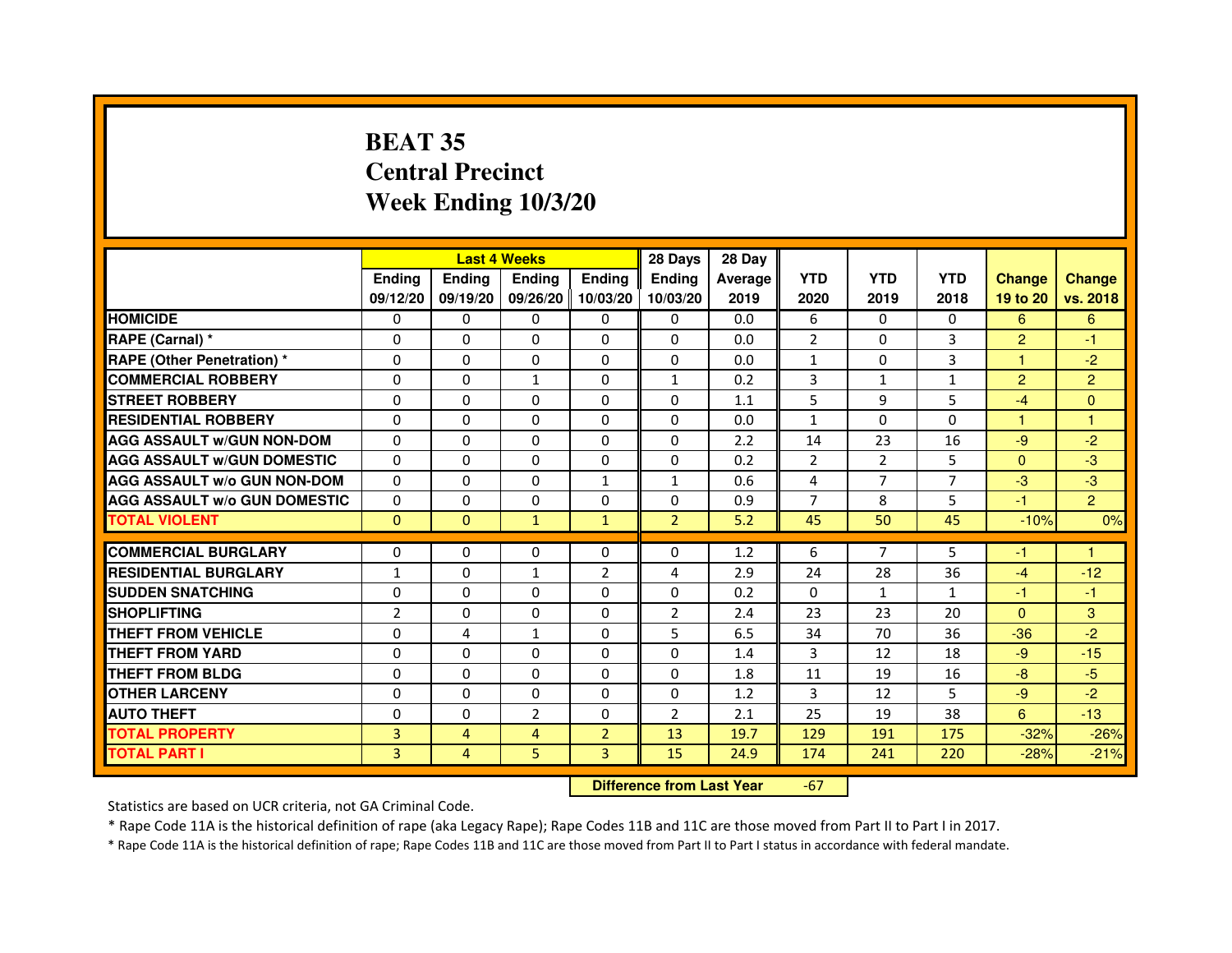# **BEAT 35 Central PrecinctWeek Ending 10/3/20**

|                                     |                | <b>Last 4 Weeks</b> |                     |                | 28 Days        | 28 Day  |                |                |              |                |                |
|-------------------------------------|----------------|---------------------|---------------------|----------------|----------------|---------|----------------|----------------|--------------|----------------|----------------|
|                                     | <b>Endina</b>  | <b>Ending</b>       | <b>Endina</b>       | <b>Ending</b>  | <b>Endina</b>  | Average | <b>YTD</b>     | <b>YTD</b>     | <b>YTD</b>   | <b>Change</b>  | <b>Change</b>  |
|                                     | 09/12/20       | 09/19/20            | 09/26/20   10/03/20 |                | 10/03/20       | 2019    | 2020           | 2019           | 2018         | 19 to 20       | vs. 2018       |
| <b>HOMICIDE</b>                     | 0              | 0                   | 0                   | 0              | 0              | 0.0     | 6              | 0              | 0            | 6              | 6              |
| RAPE (Carnal) *                     | $\Omega$       | $\Omega$            | $\Omega$            | $\Omega$       | $\Omega$       | 0.0     | $\overline{2}$ | $\Omega$       | 3            | $\overline{2}$ | $-1$           |
| <b>RAPE (Other Penetration)</b> *   | $\Omega$       | $\Omega$            | $\Omega$            | $\Omega$       | 0              | 0.0     | $\mathbf{1}$   | 0              | 3            | 1              | $-2$           |
| <b>COMMERCIAL ROBBERY</b>           | 0              | 0                   | $\mathbf{1}$        | 0              | 1              | 0.2     | 3              | 1              | 1            | $\overline{2}$ | $\overline{2}$ |
| <b>STREET ROBBERY</b>               | 0              | 0                   | 0                   | 0              | 0              | 1.1     | 5              | 9              | 5            | $-4$           | $\Omega$       |
| <b>RESIDENTIAL ROBBERY</b>          | $\Omega$       | $\Omega$            | $\Omega$            | 0              | 0              | 0.0     | $\mathbf{1}$   | $\Omega$       | $\Omega$     | $\mathbf{1}$   | 1              |
| <b>AGG ASSAULT W/GUN NON-DOM</b>    | $\Omega$       | $\Omega$            | $\Omega$            | $\Omega$       | $\Omega$       | 2.2     | 14             | 23             | 16           | $-9$           | $-2$           |
| <b>AGG ASSAULT w/GUN DOMESTIC</b>   | $\Omega$       | $\Omega$            | $\Omega$            | $\Omega$       | 0              | 0.2     | $\overline{2}$ | $\overline{2}$ | 5            | $\Omega$       | $-3$           |
| <b>AGG ASSAULT W/o GUN NON-DOM</b>  | $\Omega$       | $\Omega$            | $\Omega$            | $\mathbf{1}$   | 1              | 0.6     | 4              | 7              | 7            | $-3$           | -3             |
| <b>AGG ASSAULT W/o GUN DOMESTIC</b> | $\Omega$       | $\Omega$            | $\Omega$            | 0              | 0              | 0.9     | $\overline{7}$ | 8              | 5            | $-1$           | $\overline{2}$ |
| <b>TOTAL VIOLENT</b>                | $\Omega$       | $\Omega$            | $\mathbf{1}$        | $\mathbf{1}$   | $\overline{2}$ | 5.2     | 45             | 50             | 45           | $-10%$         | 0%             |
|                                     |                |                     |                     |                |                |         |                |                |              |                |                |
| <b>COMMERCIAL BURGLARY</b>          | $\Omega$       | 0                   | 0                   | $\Omega$       | $\Omega$       | 1.2     | 6              | $\overline{7}$ | 5            | $-1$           | 1              |
| <b>RESIDENTIAL BURGLARY</b>         | $\mathbf{1}$   | 0                   | $\mathbf{1}$        | $\overline{2}$ | 4              | 2.9     | 24             | 28             | 36           | $-4$           | $-12$          |
| <b>SUDDEN SNATCHING</b>             | 0              | $\Omega$            | 0                   | $\Omega$       | 0              | 0.2     | $\Omega$       | $\mathbf{1}$   | $\mathbf{1}$ | $-1$           | $-1$           |
| <b>SHOPLIFTING</b>                  | $\overline{2}$ | $\Omega$            | $\Omega$            | 0              | $\overline{2}$ | 2.4     | 23             | 23             | 20           | $\Omega$       | 3              |
| <b>THEFT FROM VEHICLE</b>           | $\Omega$       | 4                   | $\mathbf{1}$        | $\Omega$       | 5              | 6.5     | 34             | 70             | 36           | $-36$          | $-2$           |
| <b>THEFT FROM YARD</b>              | 0              | $\Omega$            | $\Omega$            | $\Omega$       | $\Omega$       | 1.4     | 3              | 12             | 18           | $-9$           | $-15$          |
| <b>THEFT FROM BLDG</b>              | 0              | 0                   | 0                   | 0              | 0              | 1.8     | 11             | 19             | 16           | $-8$           | $-5$           |
| <b>OTHER LARCENY</b>                | $\Omega$       | $\Omega$            | $\Omega$            | $\Omega$       | 0              | 1.2     | 3              | 12             | 5            | $-9$           | $-2$           |
| <b>AUTO THEFT</b>                   | $\Omega$       | 0                   | $\overline{2}$      | 0              | $\overline{2}$ | 2.1     | 25             | 19             | 38           | 6              | $-13$          |
| <b>TOTAL PROPERTY</b>               | 3              | 4                   | 4                   | $\overline{2}$ | 13             | 19.7    | 129            | 191            | 175          | $-32%$         | $-26%$         |
| <b>TOTAL PART I</b>                 | $\overline{3}$ | 4                   | 5                   | 3              | 15             | 24.9    | 174            | 241            | 220          | $-28%$         | $-21%$         |

 **Difference from Last Year**

-67

Statistics are based on UCR criteria, not GA Criminal Code.

\* Rape Code 11A is the historical definition of rape (aka Legacy Rape); Rape Codes 11B and 11C are those moved from Part II to Part I in 2017.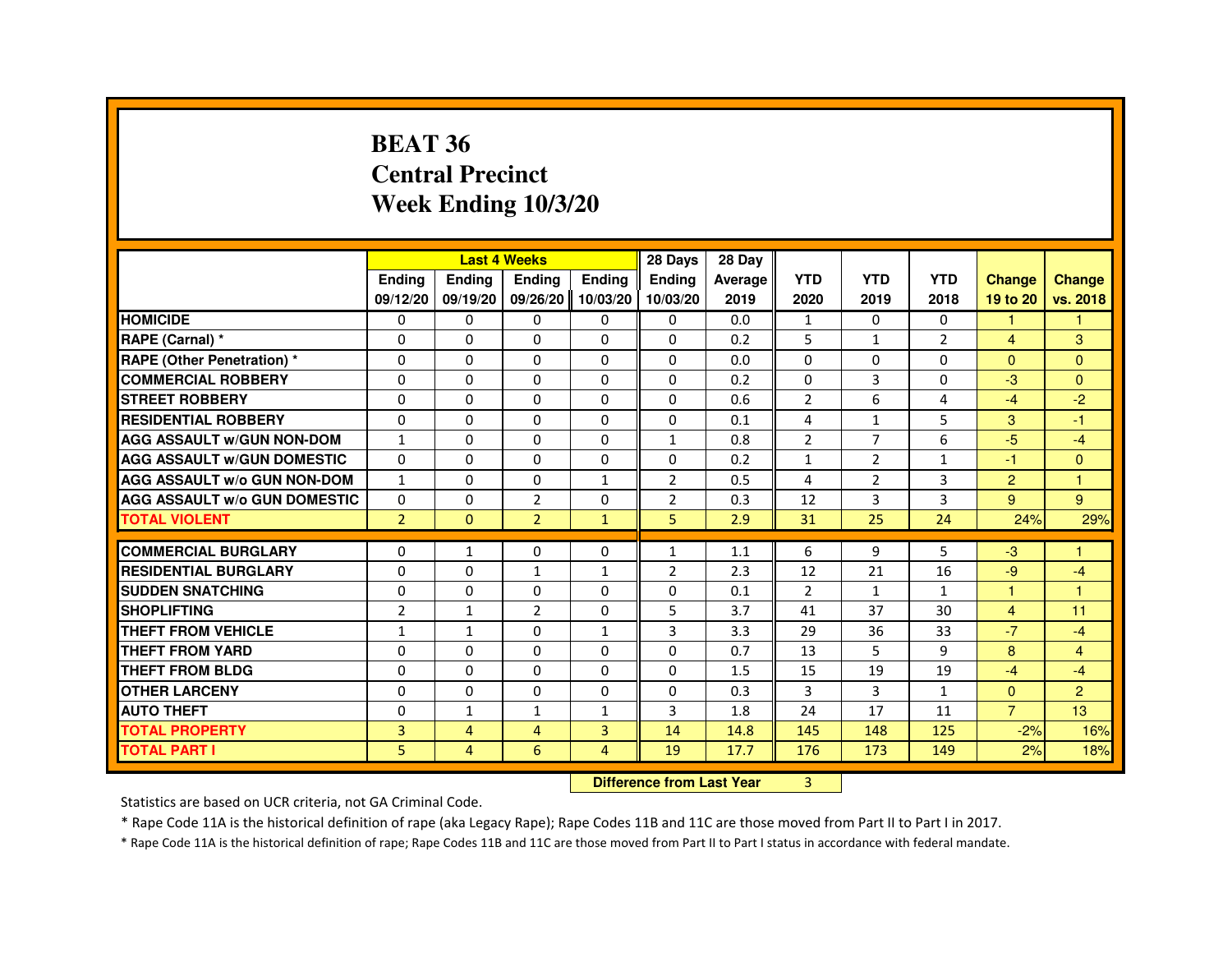#### **BEAT 36 Central PrecinctWeek Ending 10/3/20**

|                                     |                |              | <b>Last 4 Weeks</b> |                | 28 Days        | 28 Day  |                |                |                |                      |                |
|-------------------------------------|----------------|--------------|---------------------|----------------|----------------|---------|----------------|----------------|----------------|----------------------|----------------|
|                                     | Ending         | Ending       | Ending              | <b>Endina</b>  | <b>Endina</b>  | Average | <b>YTD</b>     | <b>YTD</b>     | <b>YTD</b>     | <b>Change</b>        | <b>Change</b>  |
|                                     | 09/12/20       | 09/19/20     | 09/26/20            | 10/03/20       | 10/03/20       | 2019    | 2020           | 2019           | 2018           | 19 to 20             | vs. 2018       |
| <b>HOMICIDE</b>                     | $\Omega$       | $\Omega$     | $\Omega$            | 0              | $\Omega$       | 0.0     | $\mathbf{1}$   | $\Omega$       | $\Omega$       | $\blacktriangleleft$ | $\mathbf{1}$   |
| RAPE (Carnal) *                     | 0              | $\Omega$     | $\Omega$            | 0              | $\Omega$       | 0.2     | 5              | $\mathbf{1}$   | $\overline{2}$ | $\overline{4}$       | 3              |
| <b>RAPE (Other Penetration) *</b>   | 0              | $\Omega$     | $\Omega$            | $\Omega$       | 0              | 0.0     | $\Omega$       | $\Omega$       | $\Omega$       | $\Omega$             | $\Omega$       |
| <b>COMMERCIAL ROBBERY</b>           | 0              | $\Omega$     | $\Omega$            | $\Omega$       | 0              | 0.2     | $\Omega$       | 3              | $\Omega$       | -3                   | $\Omega$       |
| <b>STREET ROBBERY</b>               | $\Omega$       | $\mathbf 0$  | $\Omega$            | $\Omega$       | 0              | 0.6     | $\overline{2}$ | 6              | 4              | $-4$                 | $-2$           |
| <b>RESIDENTIAL ROBBERY</b>          | $\Omega$       | $\Omega$     | $\Omega$            | $\Omega$       | $\Omega$       | 0.1     | $\overline{4}$ | $\mathbf{1}$   | 5              | 3                    | $-1$           |
| <b>AGG ASSAULT W/GUN NON-DOM</b>    | $\mathbf{1}$   | $\Omega$     | 0                   | $\Omega$       | $\mathbf{1}$   | 0.8     | $\overline{2}$ | $\overline{7}$ | 6              | $-5$                 | $-4$           |
| <b>AGG ASSAULT w/GUN DOMESTIC</b>   | 0              | 0            | 0                   | 0              | 0              | 0.2     | 1              | 2              | $\mathbf{1}$   | -1                   | $\mathbf{0}$   |
| <b>AGG ASSAULT W/o GUN NON-DOM</b>  | $\mathbf{1}$   | $\Omega$     | 0                   | $\mathbf{1}$   | $\overline{2}$ | 0.5     | 4              | 2              | 3              | 2                    | н              |
| <b>AGG ASSAULT W/o GUN DOMESTIC</b> | $\Omega$       | $\Omega$     | $\overline{2}$      | 0              | $\overline{2}$ | 0.3     | 12             | 3              | 3              | 9                    | 9              |
| <b>TOTAL VIOLENT</b>                | $\overline{2}$ | $\mathbf{0}$ | $\overline{2}$      | $\mathbf{1}$   | 5              | 2.9     | 31             | 25             | 24             | 24%                  | 29%            |
|                                     |                |              |                     |                |                |         |                |                |                |                      |                |
| <b>COMMERCIAL BURGLARY</b>          | 0              | $\mathbf{1}$ | 0                   | 0              | 1              | 1.1     | 6              | 9              | 5              | -3                   |                |
| <b>RESIDENTIAL BURGLARY</b>         | 0              | 0            | 1                   | $\mathbf{1}$   | $\overline{2}$ | 2.3     | 12             | 21             | 16             | -9                   | $-4$           |
| <b>SUDDEN SNATCHING</b>             | $\Omega$       | $\mathbf 0$  | 0                   | $\Omega$       | 0              | 0.1     | $\overline{2}$ | $\mathbf{1}$   | $\mathbf{1}$   |                      | н              |
| <b>SHOPLIFTING</b>                  | $\overline{2}$ | $\mathbf{1}$ | $\overline{2}$      | $\Omega$       | 5              | 3.7     | 41             | 37             | 30             | $\overline{4}$       | 11             |
| THEFT FROM VEHICLE                  | $\mathbf{1}$   | $\mathbf{1}$ | $\Omega$            | $\mathbf{1}$   | 3              | 3.3     | 29             | 36             | 33             | $-7$                 | $-4$           |
| THEFT FROM YARD                     | 0              | 0            | 0                   | 0              | 0              | 0.7     | 13             | 5              | 9              | 8                    | $\overline{4}$ |
| THEFT FROM BLDG                     | 0              | 0            | 0                   | 0              | 0              | 1.5     | 15             | 19             | 19             | $-4$                 | $-4$           |
| <b>OTHER LARCENY</b>                | $\Omega$       | $\Omega$     | 0                   | 0              | 0              | 0.3     | $\overline{3}$ | 3              | $\mathbf{1}$   | $\Omega$             | 2              |
| <b>AUTO THEFT</b>                   | $\Omega$       | $\mathbf{1}$ | $\mathbf{1}$        | $\mathbf{1}$   | 3              | 1.8     | 24             | 17             | 11             | $\overline{7}$       | 13             |
| <b>TOTAL PROPERTY</b>               | 3              | 4            | 4                   | $\overline{3}$ | 14             | 14.8    | 145            | 148            | 125            | $-2%$                | 16%            |
| <b>TOTAL PART I</b>                 | 5              | 4            | 6                   | 4              | 19             | 17.7    | 176            | 173            | 149            | 2%                   | 18%            |

**Difference from Last Year** 3

Statistics are based on UCR criteria, not GA Criminal Code.

\* Rape Code 11A is the historical definition of rape (aka Legacy Rape); Rape Codes 11B and 11C are those moved from Part II to Part I in 2017.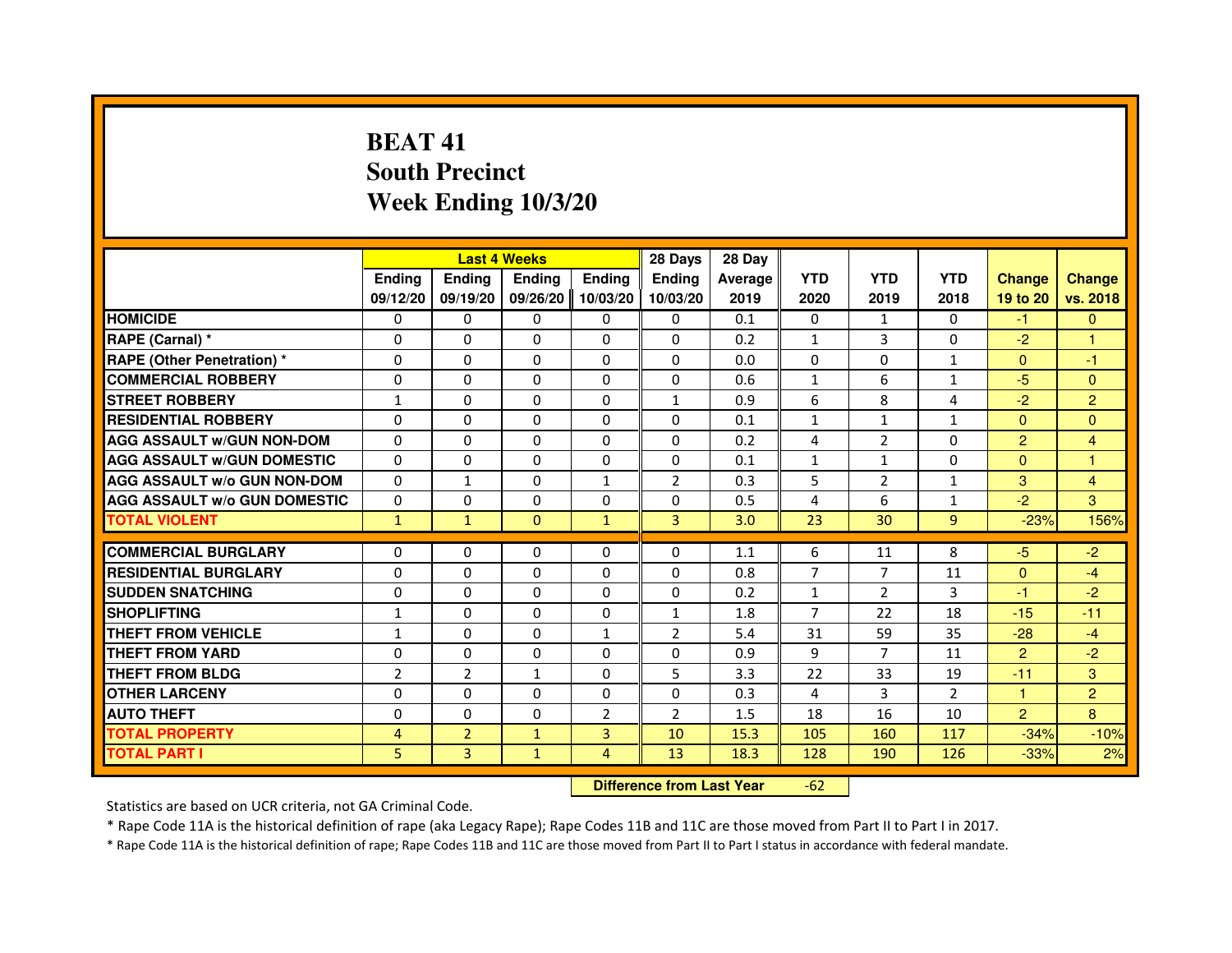## **BEAT 41 South PrecinctWeek Ending 10/3/20**

|                                     |                | <b>Last 4 Weeks</b> |                                  |                | 28 Days             | 28 Day  |                |                |                |                         |                |
|-------------------------------------|----------------|---------------------|----------------------------------|----------------|---------------------|---------|----------------|----------------|----------------|-------------------------|----------------|
|                                     | <b>Ending</b>  | <b>Ending</b>       | Ending                           | <b>Ending</b>  | Ending              | Average | <b>YTD</b>     | <b>YTD</b>     | <b>YTD</b>     | <b>Change</b>           | <b>Change</b>  |
|                                     | 09/12/20       | 09/19/20            | 09/26/20                         | 10/03/20       | 10/03/20            | 2019    | 2020           | 2019           | 2018           | 19 to 20                | vs. 2018       |
| <b>HOMICIDE</b>                     | 0              | 0                   | $\Omega$                         | 0              | 0                   | 0.1     | 0              | $\mathbf{1}$   | $\Omega$       | $-1$                    | $\mathbf{0}$   |
| RAPE (Carnal) *                     | 0              | 0                   | 0                                | 0              | 0                   | 0.2     | $\mathbf{1}$   | 3              | 0              | $-2$                    | 1              |
| <b>RAPE (Other Penetration) *</b>   | $\Omega$       | 0                   | $\Omega$                         | $\Omega$       | 0                   | 0.0     | $\Omega$       | $\Omega$       | 1              | $\Omega$                | $-1$           |
| <b>COMMERCIAL ROBBERY</b>           | $\Omega$       | $\Omega$            | $\Omega$                         | $\Omega$       | $\Omega$            | 0.6     | $\mathbf{1}$   | 6              | $\mathbf{1}$   | $-5$                    | $\mathbf{0}$   |
| <b>STREET ROBBERY</b>               | $\mathbf{1}$   | $\Omega$            | $\Omega$                         | $\Omega$       | $\mathbf{1}$        | 0.9     | 6              | 8              | $\overline{a}$ | $-2$                    | $\overline{2}$ |
| <b>RESIDENTIAL ROBBERY</b>          | 0              | 0                   | 0                                | 0              | 0                   | 0.1     | $\mathbf{1}$   | $\mathbf{1}$   | 1              | $\Omega$                | $\mathbf{0}$   |
| <b>AGG ASSAULT w/GUN NON-DOM</b>    | $\Omega$       | $\Omega$            | $\Omega$                         | $\Omega$       | $\Omega$            | 0.2     | 4              | $\overline{2}$ | $\Omega$       | $\overline{2}$          | 4              |
| <b>AGG ASSAULT w/GUN DOMESTIC</b>   | $\Omega$       | $\Omega$            | $\Omega$                         | $\Omega$       | $\Omega$            | 0.1     | $\mathbf{1}$   | $\mathbf{1}$   | $\Omega$       | $\Omega$                | $\mathbf{1}$   |
| <b>AGG ASSAULT w/o GUN NON-DOM</b>  | $\Omega$       | $\mathbf{1}$        | $\Omega$                         | $\mathbf{1}$   | $\overline{2}$      | 0.3     | 5              | 2              | $\mathbf{1}$   | 3                       | $\overline{4}$ |
| <b>AGG ASSAULT w/o GUN DOMESTIC</b> | $\Omega$       | $\Omega$            | $\Omega$                         | $\Omega$       | $\Omega$            | 0.5     | 4              | 6              | $\mathbf{1}$   | $-2$                    | 3              |
| <b>TOTAL VIOLENT</b>                | $\mathbf{1}$   | $\mathbf{1}$        | $\mathbf{0}$                     | $\mathbf{1}$   | 3                   | 3.0     | 23             | 30             | 9              | $-23%$                  | 156%           |
| <b>COMMERCIAL BURGLARY</b>          | 0              | 0                   | 0                                | 0              | 0                   | 1.1     | 6              | 11             | 8              | $-5$                    | $-2$           |
| <b>RESIDENTIAL BURGLARY</b>         | 0              | $\Omega$            | $\Omega$                         | $\Omega$       | $\Omega$            | 0.8     | $\overline{7}$ | $\overline{7}$ | 11             | $\Omega$                | $-4$           |
| <b>SUDDEN SNATCHING</b>             | $\Omega$       | $\Omega$            | $\Omega$                         | $\Omega$       | $\Omega$            | 0.2     | $\mathbf{1}$   | $\overline{2}$ | 3              | $-1$                    | $-2$           |
| <b>SHOPLIFTING</b>                  |                | 0                   | 0                                | 0              |                     | 1.8     | $\overline{7}$ | 22             | 18             | $-15$                   | $-11$          |
| <b>THEFT FROM VEHICLE</b>           | 1              | $\Omega$            | $\Omega$                         | $\mathbf{1}$   | 1<br>$\overline{2}$ | 5.4     | 31             | 59             | 35             | $-28$                   | $-4$           |
| <b>THEFT FROM YARD</b>              | 1<br>$\Omega$  | $\Omega$            | $\Omega$                         | $\Omega$       | $\Omega$            |         | 9              | $\overline{7}$ |                |                         | $-2$           |
| <b>THEFT FROM BLDG</b>              | $\overline{2}$ | $\overline{2}$      |                                  | $\Omega$       | 5                   | 0.9     | 22             | 33             | 11<br>19       | $\overline{2}$<br>$-11$ | 3              |
|                                     |                |                     | $\mathbf{1}$                     |                |                     | 3.3     |                |                |                |                         |                |
| <b>OTHER LARCENY</b>                | 0              | 0                   | 0                                | 0              | 0                   | 0.3     | 4              | 3              | $\overline{2}$ | $\mathbf{1}$            | $\overline{2}$ |
| <b>AUTO THEFT</b>                   | $\Omega$       | $\Omega$            | $\Omega$                         | $\overline{2}$ | $\overline{2}$      | 1.5     | 18             | 16             | 10             | $\overline{2}$          | 8              |
| <b>TOTAL PROPERTY</b>               | $\overline{4}$ | $\overline{2}$      | $\mathbf{1}$                     | 3              | 10                  | 15.3    | 105            | 160            | 117            | $-34%$                  | $-10%$         |
| <b>TOTAL PART I</b>                 | 5              | 3                   | $\mathbf{1}$                     | 4              | 13                  | 18.3    | 128            | 190            | 126            | $-33%$                  | 2%             |
|                                     |                |                     | <b>Difference from Last Year</b> |                | $-62$               |         |                |                |                |                         |                |

 **Difference from Last Year**

Statistics are based on UCR criteria, not GA Criminal Code.

\* Rape Code 11A is the historical definition of rape (aka Legacy Rape); Rape Codes 11B and 11C are those moved from Part II to Part I in 2017.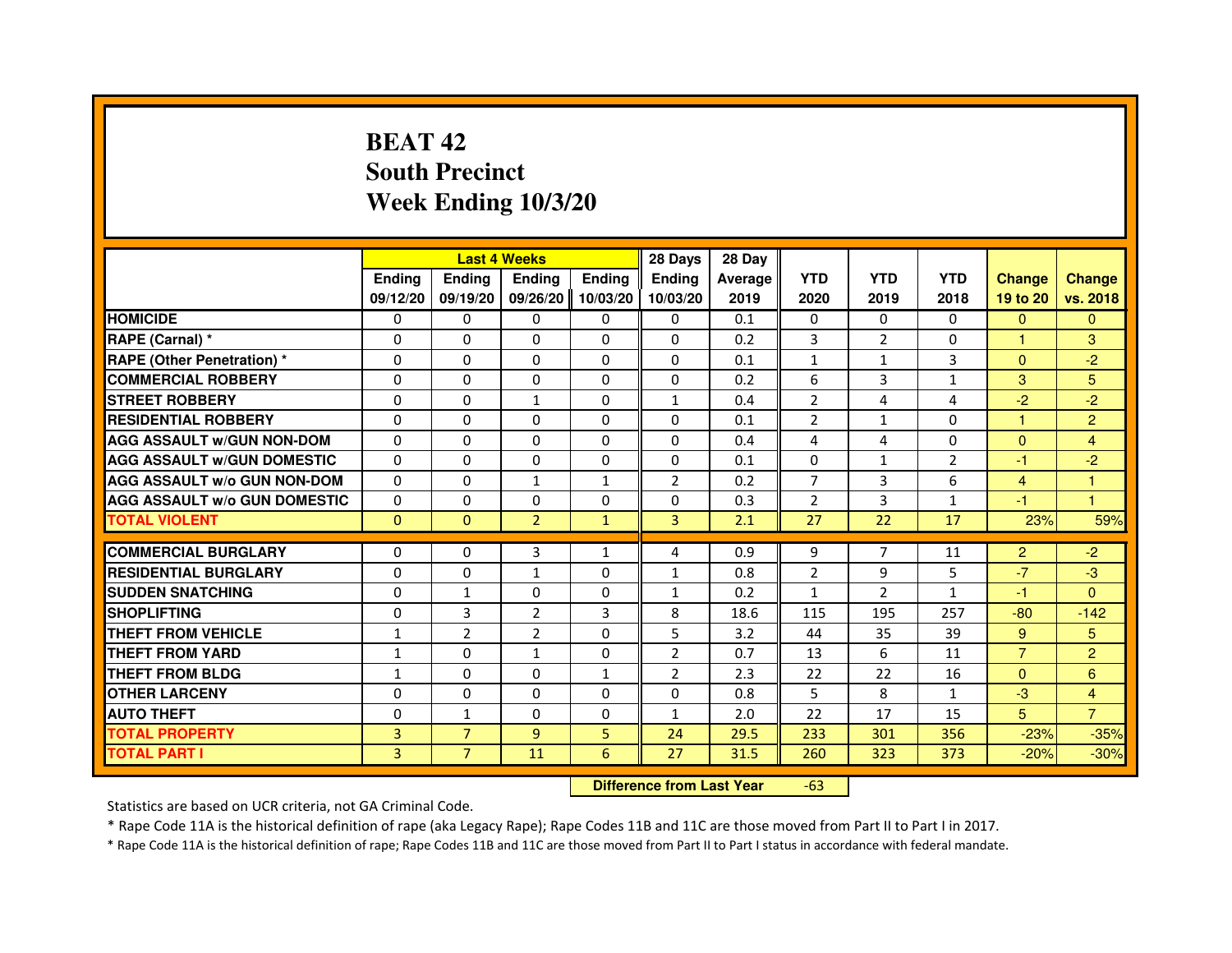## **BEAT 42 South PrecinctWeek Ending 10/3/20**

|                                     |               |                                  | <b>Last 4 Weeks</b> |               | 28 Days        | 28 Day  |                |                |                |                |                      |
|-------------------------------------|---------------|----------------------------------|---------------------|---------------|----------------|---------|----------------|----------------|----------------|----------------|----------------------|
|                                     | <b>Ending</b> | <b>Ending</b>                    | <b>Ending</b>       | <b>Ending</b> | <b>Ending</b>  | Average | <b>YTD</b>     | <b>YTD</b>     | <b>YTD</b>     | <b>Change</b>  | <b>Change</b>        |
|                                     | 09/12/20      | 09/19/20                         | 09/26/20            | 10/03/20      | 10/03/20       | 2019    | 2020           | 2019           | 2018           | 19 to 20       | vs. 2018             |
| <b>HOMICIDE</b>                     | 0             | $\mathbf{0}$                     | $\mathbf{0}$        | 0             | 0              | 0.1     | $\mathbf{0}$   | 0              | $\Omega$       | $\Omega$       | $\mathbf{0}$         |
| RAPE (Carnal) *                     | 0             | 0                                | 0                   | 0             | 0              | 0.2     | 3              | $\overline{2}$ | 0              | $\mathbf{1}$   | 3                    |
| <b>RAPE (Other Penetration) *</b>   | $\Omega$      | $\Omega$                         | 0                   | $\Omega$      | $\Omega$       | 0.1     | $\mathbf{1}$   | 1              | 3              | $\mathbf{0}$   | $-2$                 |
| <b>COMMERCIAL ROBBERY</b>           | 0             | $\Omega$                         | $\Omega$            | $\Omega$      | 0              | 0.2     | 6              | 3              | $\mathbf{1}$   | 3              | 5                    |
| <b>STREET ROBBERY</b>               | $\Omega$      | $\Omega$                         | $\mathbf{1}$        | $\Omega$      | $\mathbf{1}$   | 0.4     | $\overline{2}$ | 4              | 4              | $-2$           | $-2$                 |
| <b>RESIDENTIAL ROBBERY</b>          | 0             | 0                                | 0                   | 0             | $\Omega$       | 0.1     | $\overline{2}$ | 1              | $\Omega$       | $\mathbf{1}$   | $\overline{2}$       |
| <b>AGG ASSAULT W/GUN NON-DOM</b>    | $\Omega$      | $\Omega$                         | 0                   | $\Omega$      | $\mathbf{0}$   | 0.4     | 4              | 4              | 0              | $\mathbf{0}$   | $\overline{4}$       |
| <b>AGG ASSAULT W/GUN DOMESTIC</b>   | $\Omega$      | $\Omega$                         | 0                   | $\Omega$      | $\Omega$       | 0.1     | $\Omega$       | $\mathbf{1}$   | $\overline{2}$ | $-1$           | $-2$                 |
| <b>AGG ASSAULT W/o GUN NON-DOM</b>  | $\Omega$      | $\Omega$                         | $\mathbf{1}$        | $\mathbf{1}$  | $\overline{2}$ | 0.2     | $\overline{7}$ | 3              | 6              | 4              | 1                    |
| <b>AGG ASSAULT W/o GUN DOMESTIC</b> | 0             | $\Omega$                         | 0                   | $\Omega$      | $\Omega$       | 0.3     | $\overline{2}$ | 3              | $\mathbf{1}$   | -1             | $\blacktriangleleft$ |
| <b>TOTAL VIOLENT</b>                | $\mathbf{0}$  | $\mathbf{0}$                     | $\overline{2}$      | $\mathbf{1}$  | 3              | 2.1     | 27             | 22             | 17             | 23%            | 59%                  |
| <b>COMMERCIAL BURGLARY</b>          | 0             | 0                                | 3                   | 1             | 4              | 0.9     | 9              | 7              | 11             | $\overline{2}$ | $-2$                 |
| <b>RESIDENTIAL BURGLARY</b>         | 0             | $\Omega$                         | $\mathbf{1}$        | $\Omega$      | $\mathbf{1}$   | 0.8     | $\overline{2}$ | 9              | 5              | $-7$           | $-3$                 |
| <b>SUDDEN SNATCHING</b>             | 0             | $\mathbf{1}$                     | $\Omega$            | $\Omega$      | $\mathbf{1}$   | 0.2     | $\mathbf{1}$   | $\overline{2}$ | $\mathbf{1}$   | $-1$           | $\Omega$             |
| <b>SHOPLIFTING</b>                  | 0             | 3                                | 2                   | 3             | 8              | 18.6    | 115            | 195            | 257            | $-80$          | $-142$               |
| THEFT FROM VEHICLE                  | 1             | $\overline{2}$                   | $\overline{2}$      | $\Omega$      | 5              | 3.2     | 44             | 35             | 39             | 9              | 5                    |
| <b>THEFT FROM YARD</b>              | 1             | $\Omega$                         | 1                   | $\Omega$      | $\overline{2}$ | 0.7     | 13             | 6              | 11             | $\overline{7}$ | $\overline{2}$       |
| <b>THEFT FROM BLDG</b>              | $\mathbf{1}$  | $\Omega$                         | $\Omega$            | $\mathbf{1}$  | $\overline{2}$ | 2.3     | 22             | 22             | 16             | $\Omega$       | 6                    |
| <b>OTHER LARCENY</b>                | $\Omega$      | $\Omega$                         | 0                   | $\Omega$      | $\mathbf{0}$   | 0.8     | 5              | 8              | $\mathbf{1}$   | $-3$           | 4                    |
| <b>AUTO THEFT</b>                   | $\Omega$      | $\mathbf{1}$                     | $\Omega$            | $\Omega$      | $\mathbf{1}$   | 2.0     | 22             | 17             | 15             | 5              | $\overline{7}$       |
| <b>TOTAL PROPERTY</b>               | 3             | $\overline{7}$                   | $\overline{9}$      | 5             | 24             | 29.5    | 233            | 301            | 356            | $-23%$         | $-35%$               |
| <b>TOTAL PART I</b>                 | 3             | $\overline{7}$                   | 11                  | 6             | 27             | 31.5    | 260            | 323            | 373            | $-20%$         | $-30%$               |
|                                     |               | <b>Difference from Last Year</b> |                     | $-63$         |                |         |                |                |                |                |                      |

 **Difference from Last Year**

Statistics are based on UCR criteria, not GA Criminal Code.

\* Rape Code 11A is the historical definition of rape (aka Legacy Rape); Rape Codes 11B and 11C are those moved from Part II to Part I in 2017.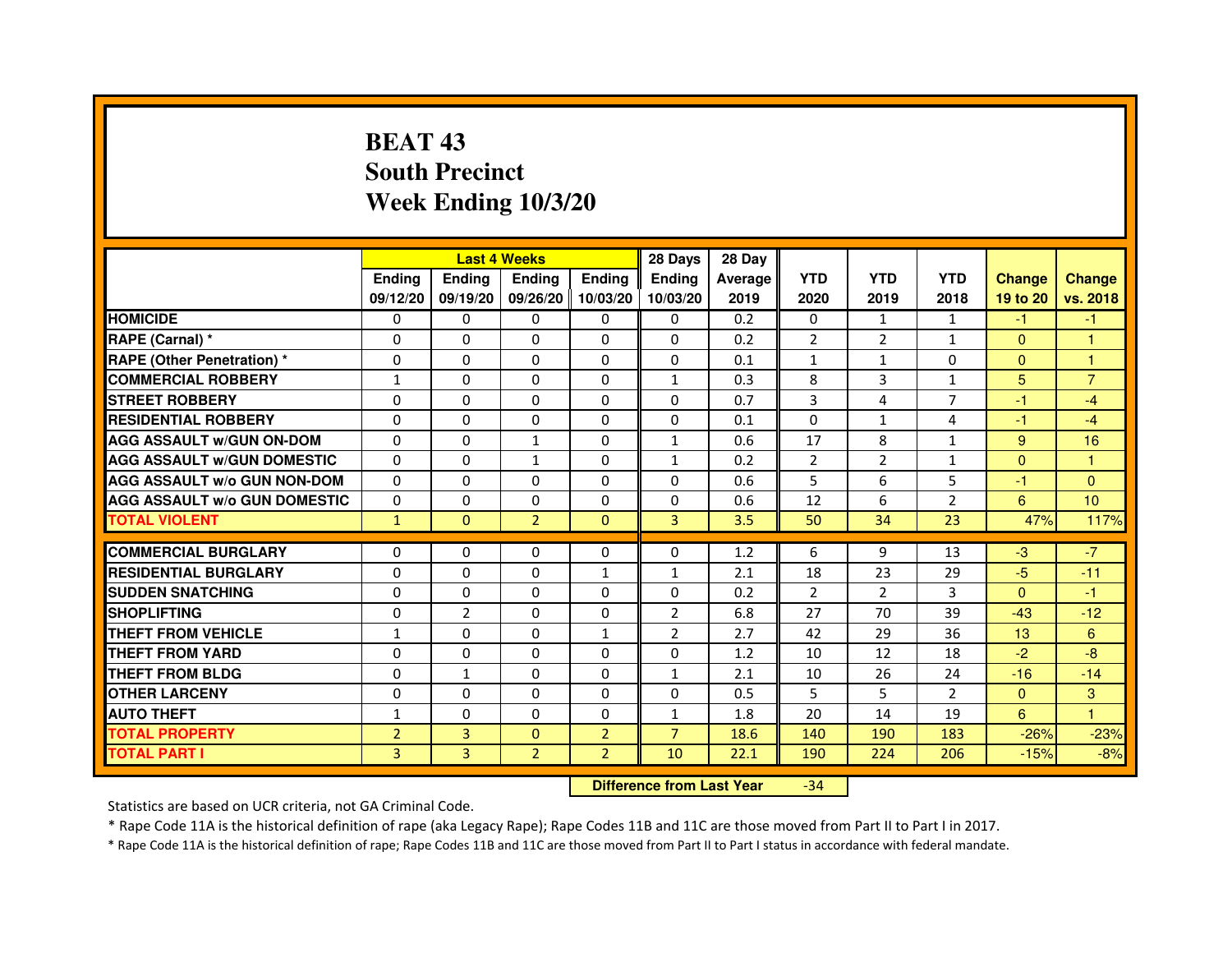# **BEAT 43 South PrecinctWeek Ending 10/3/20**

|                                     |                | <b>Last 4 Weeks</b> |                |                | 28 Days        | 28 Day  |                |                |                |               |                |
|-------------------------------------|----------------|---------------------|----------------|----------------|----------------|---------|----------------|----------------|----------------|---------------|----------------|
|                                     | <b>Endina</b>  | <b>Endina</b>       | <b>Endina</b>  | <b>Ending</b>  | <b>Endina</b>  | Average | <b>YTD</b>     | <b>YTD</b>     | <b>YTD</b>     | <b>Change</b> | <b>Change</b>  |
|                                     | 09/12/20       | 09/19/20            | 09/26/20       | 10/03/20       | 10/03/20       | 2019    | 2020           | 2019           | 2018           | 19 to 20      | vs. 2018       |
| <b>HOMICIDE</b>                     | 0              | 0                   | $\mathbf{0}$   | 0              | 0              | 0.2     | $\mathbf{0}$   | 1              | 1              | $-1$          | $-1$           |
| RAPE (Carnal) *                     | 0              | $\Omega$            | $\Omega$       | $\Omega$       | $\Omega$       | 0.2     | $\overline{2}$ | 2              | $\mathbf{1}$   | $\Omega$      | $\mathbf{1}$   |
| <b>RAPE (Other Penetration) *</b>   | 0              | $\Omega$            | 0              | $\mathbf{0}$   | 0              | 0.1     | $\mathbf{1}$   | $\mathbf{1}$   | $\Omega$       | $\Omega$      | $\mathbf{1}$   |
| <b>COMMERCIAL ROBBERY</b>           | 1              | 0                   | 0              | 0              | $\mathbf{1}$   | 0.3     | 8              | 3              | $\mathbf{1}$   | 5             | $\overline{7}$ |
| <b>STREET ROBBERY</b>               | 0              | 0                   | 0              | 0              | 0              | 0.7     | 3              | $\overline{4}$ | 7              | $-1$          | $-4$           |
| <b>RESIDENTIAL ROBBERY</b>          | 0              | $\Omega$            | $\Omega$       | $\Omega$       | $\Omega$       | 0.1     | $\Omega$       | $\mathbf{1}$   | 4              | $-1$          | $-4$           |
| <b>AGG ASSAULT w/GUN ON-DOM</b>     | $\Omega$       | $\mathbf 0$         | $\mathbf{1}$   | $\Omega$       | $\mathbf{1}$   | 0.6     | 17             | 8              | $\mathbf{1}$   | 9             | 16             |
| <b>AGG ASSAULT W/GUN DOMESTIC</b>   | 0              | 0                   | $\mathbf{1}$   | 0              | $\mathbf{1}$   | 0.2     | $\overline{2}$ | 2              | $\mathbf{1}$   | $\Omega$      | 1              |
| <b>AGG ASSAULT W/o GUN NON-DOM</b>  | $\Omega$       | 0                   | $\Omega$       | $\Omega$       | $\Omega$       | 0.6     | 5              | 6              | 5              | $-1$          | $\Omega$       |
| <b>AGG ASSAULT W/o GUN DOMESTIC</b> | $\Omega$       | $\Omega$            | 0              | $\Omega$       | 0              | 0.6     | 12             | 6              | $\overline{2}$ | 6             | 10             |
| <b>TOTAL VIOLENT</b>                | $\mathbf{1}$   | $\mathbf{0}$        | $\overline{2}$ | $\Omega$       | 3              | 3.5     | 50             | 34             | 23             | 47%           | 117%           |
|                                     |                |                     |                |                |                |         |                |                |                |               |                |
| <b>COMMERCIAL BURGLARY</b>          | 0              | 0                   | 0              | 0              | $\Omega$       | 1.2     | 6              | 9              | 13             | $-3$          | $-7$           |
| <b>RESIDENTIAL BURGLARY</b>         | 0              | $\Omega$            | 0              | $\mathbf{1}$   | 1              | 2.1     | 18             | 23             | 29             | $-5$          | $-11$          |
| <b>SUDDEN SNATCHING</b>             | 0              | 0                   | 0              | 0              | $\Omega$       | 0.2     | $\overline{2}$ | $\overline{2}$ | 3              | $\Omega$      | $-1$           |
| <b>SHOPLIFTING</b>                  | 0              | $\overline{2}$      | 0              | $\Omega$       | $\overline{2}$ | 6.8     | 27             | 70             | 39             | $-43$         | $-12$          |
| <b>THEFT FROM VEHICLE</b>           | $\mathbf{1}$   | $\Omega$            | $\Omega$       | $\mathbf{1}$   | $\overline{2}$ | 2.7     | 42             | 29             | 36             | 13            | 6              |
| <b>THEFT FROM YARD</b>              | $\Omega$       | $\Omega$            | $\Omega$       | $\Omega$       | $\Omega$       | 1.2     | 10             | 12             | 18             | $-2$          | -8             |
| <b>THEFT FROM BLDG</b>              | 0              | 1                   | 0              | 0              | 1              | 2.1     | 10             | 26             | 24             | $-16$         | $-14$          |
| <b>OTHER LARCENY</b>                | 0              | 0                   | $\Omega$       | $\Omega$       | $\Omega$       | 0.5     | 5              | 5              | $\mathcal{P}$  | $\Omega$      | 3              |
| <b>AUTO THEFT</b>                   | 1              | 0                   | $\Omega$       | $\Omega$       | $\mathbf{1}$   | 1.8     | 20             | 14             | 19             | 6             | $\mathbf{1}$   |
| <b>TOTAL PROPERTY</b>               | $\overline{2}$ | 3                   | $\Omega$       | $\overline{2}$ | $\overline{7}$ | 18.6    | 140            | 190            | 183            | $-26%$        | $-23%$         |
| <b>TOTAL PART I</b>                 | 3              | $\overline{3}$      | $\overline{2}$ | $\overline{2}$ | 10             | 22.1    | 190            | 224            | 206            | $-15%$        | $-8%$          |

 **Difference from Last Year**-34

Statistics are based on UCR criteria, not GA Criminal Code.

\* Rape Code 11A is the historical definition of rape (aka Legacy Rape); Rape Codes 11B and 11C are those moved from Part II to Part I in 2017.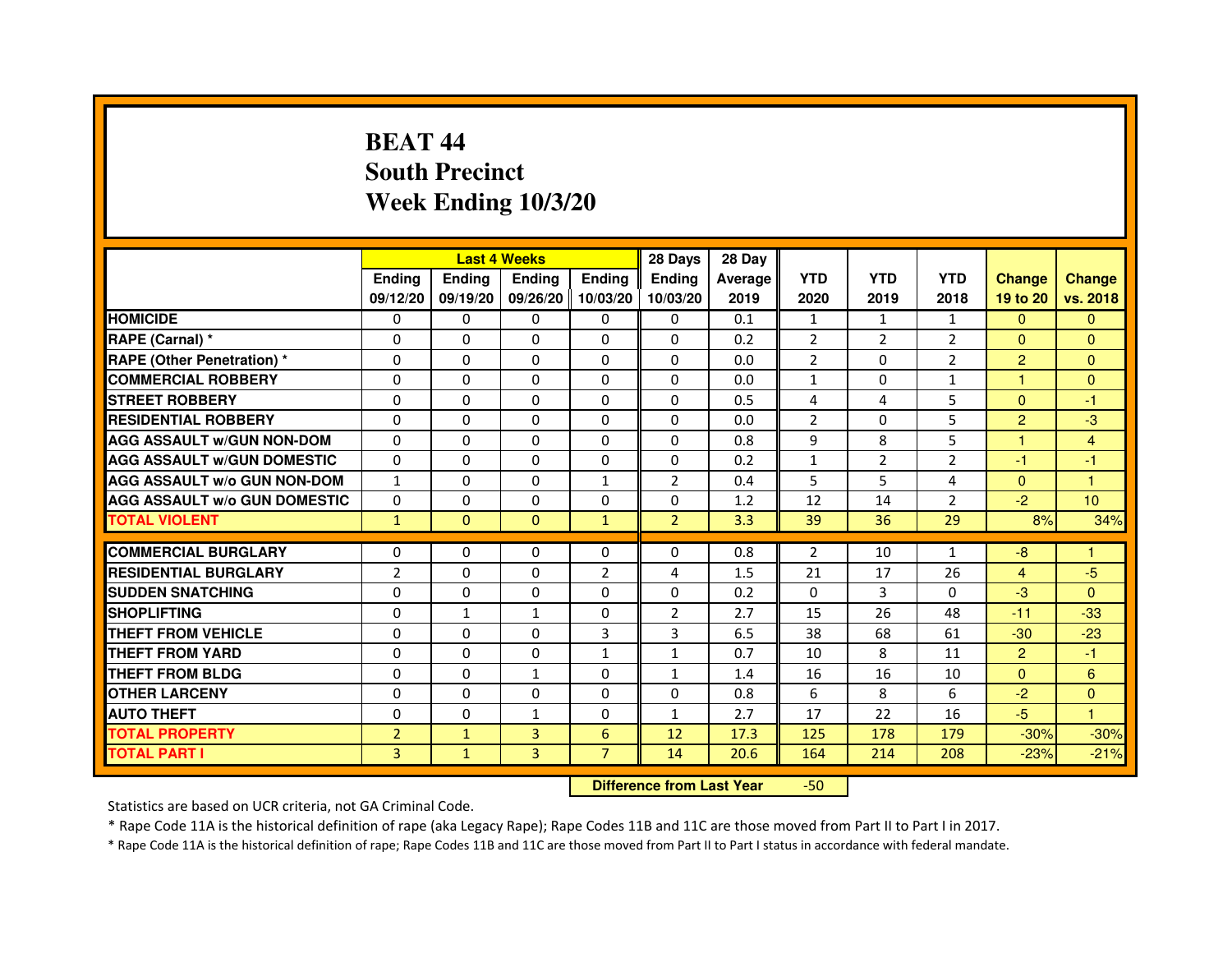# **BEAT 44 South PrecinctWeek Ending 10/3/20**

|                                     |                |               | <b>Last 4 Weeks</b> |                   | 28 Days        | 28 Day  |                |              |                |                      |                      |
|-------------------------------------|----------------|---------------|---------------------|-------------------|----------------|---------|----------------|--------------|----------------|----------------------|----------------------|
|                                     | <b>Endina</b>  | <b>Endina</b> | <b>Endina</b>       | <b>Ending</b>     | <b>Endina</b>  | Average | <b>YTD</b>     | <b>YTD</b>   | <b>YTD</b>     | <b>Change</b>        | <b>Change</b>        |
|                                     | 09/12/20       | 09/19/20      |                     | 09/26/20 10/03/20 | 10/03/20       | 2019    | 2020           | 2019         | 2018           | 19 to 20             | vs. 2018             |
| <b>HOMICIDE</b>                     | 0              | 0             | 0                   | 0                 | 0              | 0.1     | $\mathbf{1}$   | $\mathbf{1}$ | $\mathbf{1}$   | $\mathbf{0}$         | $\mathbf{0}$         |
| RAPE (Carnal) *                     | $\Omega$       | $\Omega$      | $\Omega$            | $\Omega$          | $\Omega$       | 0.2     | $\overline{2}$ | 2            | $\overline{2}$ | $\Omega$             | $\mathbf{0}$         |
| <b>RAPE (Other Penetration)*</b>    | $\Omega$       | $\Omega$      | $\Omega$            | $\Omega$          | $\Omega$       | 0.0     | 2              | $\Omega$     | $\mathcal{P}$  | $\overline{2}$       | $\mathbf{0}$         |
| <b>COMMERCIAL ROBBERY</b>           | 0              | 0             | 0                   | 0                 | $\Omega$       | 0.0     | $\mathbf{1}$   | 0            | $\mathbf{1}$   | -1                   | $\Omega$             |
| <b>STREET ROBBERY</b>               | 0              | 0             | 0                   | 0                 | 0              | 0.5     | $\overline{4}$ | 4            | 5              | $\Omega$             | $-1$                 |
| <b>RESIDENTIAL ROBBERY</b>          | $\Omega$       | $\Omega$      | $\Omega$            | $\Omega$          | $\Omega$       | 0.0     | $\overline{2}$ | $\Omega$     | 5              | $\overline{2}$       | -3                   |
| <b>AGG ASSAULT w/GUN NON-DOM</b>    | $\Omega$       | $\Omega$      | $\Omega$            | $\Omega$          | $\Omega$       | 0.8     | 9              | 8            | 5              | $\blacktriangleleft$ | $\overline{4}$       |
| <b>AGG ASSAULT W/GUN DOMESTIC</b>   | $\Omega$       | $\Omega$      | $\Omega$            | 0                 | $\Omega$       | 0.2     | $\mathbf{1}$   | 2            | $\overline{2}$ | $-1$                 | $-1$                 |
| <b>AGG ASSAULT W/o GUN NON-DOM</b>  | $\mathbf{1}$   | 0             | $\Omega$            | $\mathbf{1}$      | $\overline{2}$ | 0.4     | 5              | 5            | 4              | $\Omega$             | $\blacktriangleleft$ |
| <b>AGG ASSAULT W/o GUN DOMESTIC</b> | $\Omega$       | $\Omega$      | 0                   | 0                 | 0              | 1.2     | 12             | 14           | $\overline{2}$ | $-2$                 | 10                   |
| <b>TOTAL VIOLENT</b>                | $\mathbf{1}$   | $\Omega$      | $\Omega$            | $\mathbf{1}$      | $\overline{2}$ | 3.3     | 39             | 36           | 29             | 8%                   | 34%                  |
|                                     |                |               |                     |                   |                |         |                |              |                |                      |                      |
| <b>COMMERCIAL BURGLARY</b>          | 0              | 0             | 0                   | 0                 | $\Omega$       | 0.8     | 2              | 10           | $\mathbf{1}$   | -8                   | 1                    |
| <b>RESIDENTIAL BURGLARY</b>         | $\overline{2}$ | 0             | 0                   | $\overline{2}$    | 4              | 1.5     | 21             | 17           | 26             | 4                    | $-5$                 |
| <b>SUDDEN SNATCHING</b>             | 0              | $\Omega$      | 0                   | $\Omega$          | $\Omega$       | 0.2     | $\Omega$       | 3            | $\Omega$       | $-3$                 | $\Omega$             |
| <b>SHOPLIFTING</b>                  | $\Omega$       | $\mathbf{1}$  | $\mathbf{1}$        | $\Omega$          | $\overline{2}$ | 2.7     | 15             | 26           | 48             | $-11$                | $-33$                |
| <b>THEFT FROM VEHICLE</b>           | 0              | 0             | 0                   | 3                 | 3              | 6.5     | 38             | 68           | 61             | $-30$                | $-23$                |
| <b>THEFT FROM YARD</b>              | $\Omega$       | 0             | $\Omega$            | $\mathbf{1}$      | 1              | 0.7     | 10             | 8            | 11             | $\overline{2}$       | $-1$                 |
| <b>THEFT FROM BLDG</b>              | 0              | 0             | 1                   | $\mathbf{0}$      | 1              | 1.4     | 16             | 16           | 10             | $\Omega$             | 6                    |
| <b>OTHER LARCENY</b>                | 0              | $\Omega$      | 0                   | $\Omega$          | $\Omega$       | 0.8     | 6              | 8            | 6              | $-2$                 | $\Omega$             |
| <b>AUTO THEFT</b>                   | 0              | 0             | $\mathbf{1}$        | $\Omega$          | $\mathbf{1}$   | 2.7     | 17             | 22           | 16             | $-5$                 | $\mathbf{1}$         |
| <b>TOTAL PROPERTY</b>               | $\overline{2}$ | $\mathbf{1}$  | 3                   | 6                 | 12             | 17.3    | 125            | 178          | 179            | $-30%$               | $-30%$               |
| <b>TOTAL PART I</b>                 | 3              | $\mathbf{1}$  | 3                   | $\overline{7}$    | 14             | 20.6    | 164            | 214          | 208            | $-23%$               | $-21%$               |

 **Difference from Last Year**-50

Statistics are based on UCR criteria, not GA Criminal Code.

\* Rape Code 11A is the historical definition of rape (aka Legacy Rape); Rape Codes 11B and 11C are those moved from Part II to Part I in 2017.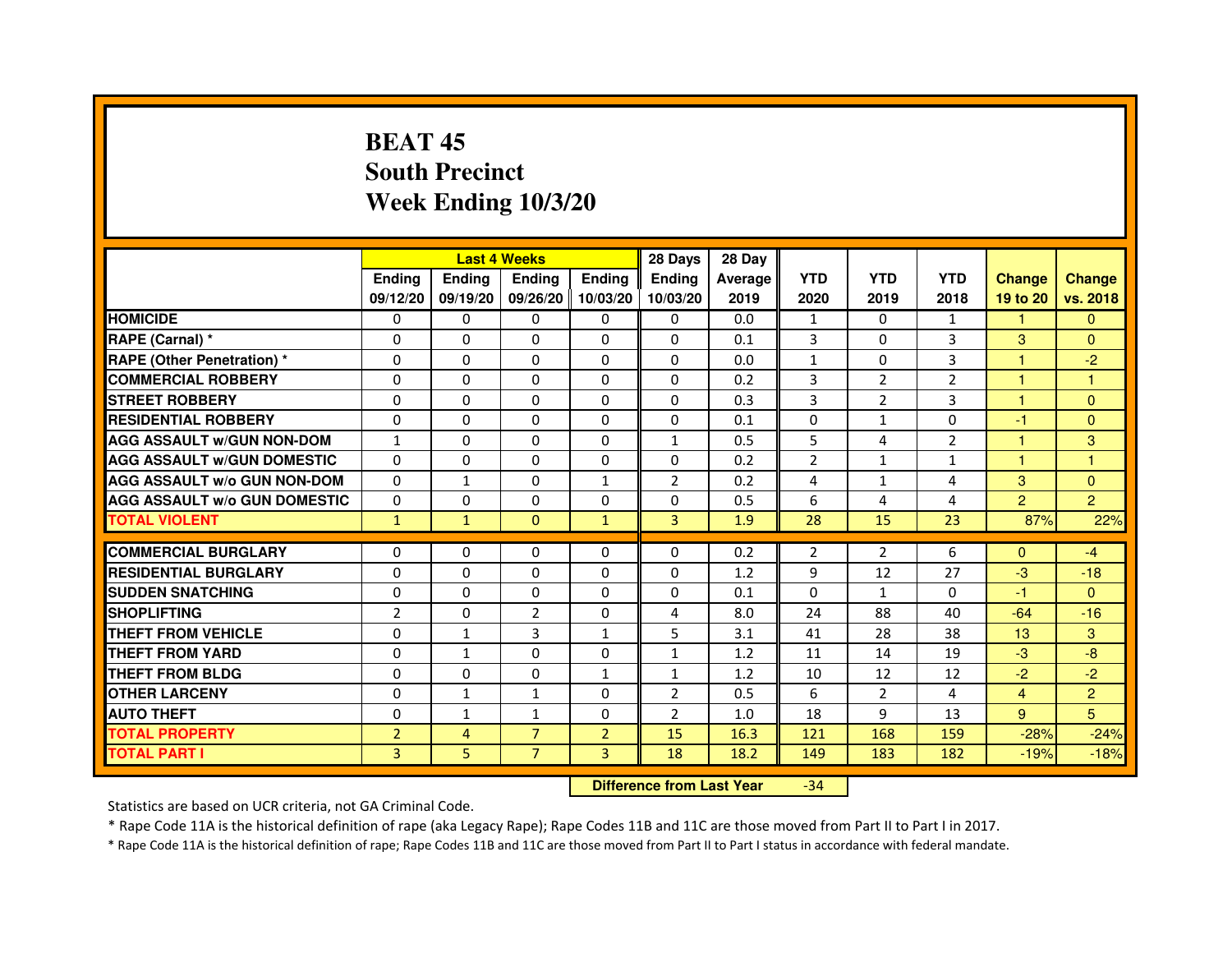# **BEAT 45 South PrecinctWeek Ending 10/3/20**

|                                     |                | <b>Last 4 Weeks</b>              |                |                | 28 Days        | 28 Day  |                |                |                |                |                |
|-------------------------------------|----------------|----------------------------------|----------------|----------------|----------------|---------|----------------|----------------|----------------|----------------|----------------|
|                                     | <b>Ending</b>  | Ending                           | <b>Ending</b>  | <b>Ending</b>  | <b>Ending</b>  | Average | <b>YTD</b>     | <b>YTD</b>     | <b>YTD</b>     | <b>Change</b>  | <b>Change</b>  |
|                                     | 09/12/20       | 09/19/20                         | 09/26/20       | 10/03/20       | 10/03/20       | 2019    | 2020           | 2019           | 2018           | 19 to 20       | vs. 2018       |
| <b>HOMICIDE</b>                     | 0              | 0                                | 0              | 0              | 0              | 0.0     | $\mathbf{1}$   | $\Omega$       | $\mathbf{1}$   | $\mathbf{1}$   | $\mathbf{0}$   |
| RAPE (Carnal) *                     | 0              | $\mathbf{0}$                     | 0              | 0              | 0              | 0.1     | 3              | 0              | 3              | 3              | $\Omega$       |
| <b>RAPE (Other Penetration) *</b>   | 0              | 0                                | 0              | $\mathbf{0}$   | $\Omega$       | 0.0     | $\mathbf{1}$   | 0              | 3              | 1              | $-2$           |
| <b>COMMERCIAL ROBBERY</b>           | $\mathbf 0$    | 0                                | $\Omega$       | $\mathbf{0}$   | $\mathbf{0}$   | 0.2     | 3              | $\overline{2}$ | $\overline{2}$ | $\mathbf{1}$   | $\mathbf{1}$   |
| <b>STREET ROBBERY</b>               | 0              | $\Omega$                         | $\Omega$       | $\mathbf{0}$   | $\Omega$       | 0.3     | 3              | 2              | 3              | $\mathbf{1}$   | $\Omega$       |
| <b>RESIDENTIAL ROBBERY</b>          | 0              | 0                                | 0              | 0              | $\Omega$       | 0.1     | $\Omega$       | $\mathbf{1}$   | $\Omega$       | $-1$           | $\mathbf{0}$   |
| <b>AGG ASSAULT W/GUN NON-DOM</b>    | $\mathbf{1}$   | $\Omega$                         | 0              | $\mathbf{0}$   | $\mathbf{1}$   | 0.5     | 5              | 4              | $\overline{2}$ | 1              | 3              |
| <b>AGG ASSAULT W/GUN DOMESTIC</b>   | $\Omega$       | $\Omega$                         | $\Omega$       | $\Omega$       | $\Omega$       | 0.2     | $\overline{2}$ | $\mathbf{1}$   | $\mathbf{1}$   | $\mathbf{1}$   | $\mathbf{1}$   |
| <b>AGG ASSAULT W/o GUN NON-DOM</b>  | $\Omega$       | $\mathbf{1}$                     | $\Omega$       | $\mathbf{1}$   | 2              | 0.2     | 4              | $\mathbf{1}$   | 4              | 3              | $\Omega$       |
| <b>AGG ASSAULT W/o GUN DOMESTIC</b> | $\Omega$       | 0                                | 0              | $\mathbf{0}$   | 0              | 0.5     | 6              | 4              | 4              | $\overline{2}$ | $\overline{2}$ |
| <b>TOTAL VIOLENT</b>                | $\mathbf{1}$   | $\mathbf{1}$                     | $\overline{0}$ | $\mathbf{1}$   | 3              | 1.9     | 28             | 15             | 23             | 87%            | 22%            |
| <b>COMMERCIAL BURGLARY</b>          | 0              | 0                                | 0              | 0              | 0              | 0.2     | 2              | 2              | 6              | $\Omega$       | $-4$           |
| <b>RESIDENTIAL BURGLARY</b>         | 0              | 0                                | $\Omega$       | $\mathbf{0}$   | $\Omega$       | 1.2     | 9              | 12             | 27             | $-3$           | $-18$          |
| <b>SUDDEN SNATCHING</b>             | 0              | $\Omega$                         | $\Omega$       | $\Omega$       | $\Omega$       | 0.1     | $\Omega$       | $\mathbf{1}$   | $\Omega$       | $-1$           | $\Omega$       |
| <b>SHOPLIFTING</b>                  | $\overline{2}$ | $\mathbf{0}$                     | $\overline{2}$ | $\mathbf{0}$   | 4              | 8.0     | 24             | 88             | 40             | $-64$          | $-16$          |
| THEFT FROM VEHICLE                  | 0              | $\mathbf{1}$                     | 3              | $\mathbf{1}$   | 5              | 3.1     | 41             | 28             | 38             | 13             | 3              |
| <b>THEFT FROM YARD</b>              | $\mathbf 0$    | $\mathbf{1}$                     | $\Omega$       | $\mathbf{0}$   | $\mathbf{1}$   | 1.2     | 11             | 14             | 19             | $-3$           | $-8$           |
| <b>THEFT FROM BLDG</b>              | 0              | $\Omega$                         | 0              | $\mathbf{1}$   | $\mathbf{1}$   | 1.2     | 10             | 12             | 12             | $-2$           | $-2$           |
| <b>OTHER LARCENY</b>                | 0              | $\mathbf{1}$                     | $\mathbf{1}$   | $\mathbf{0}$   | 2              | 0.5     | 6              | $\overline{2}$ | 4              | $\overline{4}$ | $\overline{2}$ |
| <b>AUTO THEFT</b>                   | $\Omega$       | 1                                | $\mathbf{1}$   | $\mathbf{0}$   | $\overline{2}$ | 1.0     | 18             | 9              | 13             | 9              | 5              |
| <b>TOTAL PROPERTY</b>               | $\overline{2}$ | 4                                | $\overline{7}$ | $\overline{2}$ | 15             | 16.3    | 121            | 168            | 159            | $-28%$         | $-24%$         |
| <b>TOTAL PART I</b>                 | 3              | 5                                | $\overline{7}$ | 3              | 18             | 18.2    | 149            | 183            | 182            | $-19%$         | $-18%$         |
|                                     |                | <b>Difference from Last Year</b> |                | $-34$          |                |         |                |                |                |                |                |

 **Difference from Last Year**

Statistics are based on UCR criteria, not GA Criminal Code.

\* Rape Code 11A is the historical definition of rape (aka Legacy Rape); Rape Codes 11B and 11C are those moved from Part II to Part I in 2017.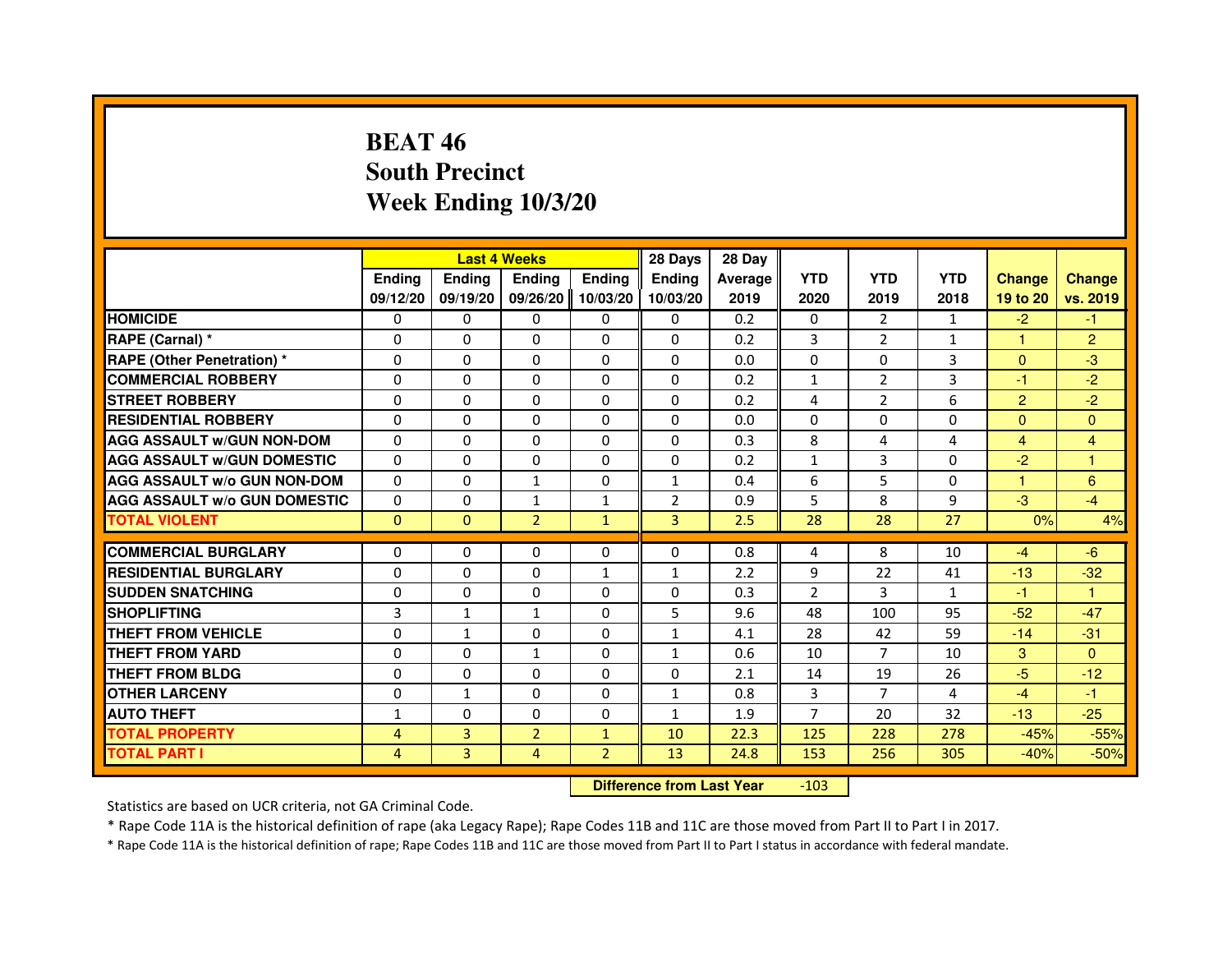## **BEAT 46 South PrecinctWeek Ending 10/3/20**

|                                     |               |               | <b>Last 4 Weeks</b> |                | 28 Days        | 28 Day  |                |                |              |                |                |
|-------------------------------------|---------------|---------------|---------------------|----------------|----------------|---------|----------------|----------------|--------------|----------------|----------------|
|                                     | <b>Endina</b> | <b>Endina</b> | <b>Endina</b>       | <b>Ending</b>  | <b>Ending</b>  | Average | <b>YTD</b>     | <b>YTD</b>     | <b>YTD</b>   | <b>Change</b>  | <b>Change</b>  |
|                                     | 09/12/20      | 09/19/20      | 09/26/20            | 10/03/20       | 10/03/20       | 2019    | 2020           | 2019           | 2018         | 19 to 20       | vs. 2019       |
| <b>HOMICIDE</b>                     | $\mathbf{0}$  | $\mathbf{0}$  | $\mathbf{0}$        | $\mathbf{0}$   | $\mathbf{0}$   | 0.2     | $\mathbf{0}$   | $\overline{2}$ | 1            | $-2$           | -1             |
| RAPE (Carnal) *                     | $\Omega$      | $\Omega$      | $\Omega$            | $\Omega$       | $\Omega$       | 0.2     | 3              | $\overline{2}$ | $\mathbf{1}$ | $\mathbf{1}$   | $\overline{2}$ |
| <b>RAPE (Other Penetration)</b> *   | 0             | $\Omega$      | 0                   | $\Omega$       | $\Omega$       | 0.0     | $\Omega$       | $\Omega$       | 3            | $\Omega$       | $-3$           |
| <b>COMMERCIAL ROBBERY</b>           | 0             | $\Omega$      | 0                   | $\Omega$       | $\mathbf{0}$   | 0.2     | $\mathbf{1}$   | $\overline{2}$ | 3            | $-1$           | $-2$           |
| <b>STREET ROBBERY</b>               | 0             | $\Omega$      | 0                   | $\Omega$       | $\mathbf{0}$   | 0.2     | 4              | $\overline{2}$ | 6            | $\overline{2}$ | $-2$           |
| <b>RESIDENTIAL ROBBERY</b>          | $\Omega$      | $\Omega$      | $\Omega$            | $\Omega$       | $\Omega$       | 0.0     | $\Omega$       | $\Omega$       | 0            | $\mathbf{0}$   | $\mathbf{0}$   |
| <b>AGG ASSAULT W/GUN NON-DOM</b>    | $\Omega$      | $\Omega$      | $\Omega$            | $\Omega$       | $\Omega$       | 0.3     | 8              | 4              | 4            | $\overline{4}$ | 4              |
| <b>AGG ASSAULT W/GUN DOMESTIC</b>   | $\mathbf{0}$  | $\mathbf{0}$  | 0                   | $\mathbf{0}$   | 0              | 0.2     | $\mathbf{1}$   | 3              | 0            | $-2$           | 1              |
| <b>AGG ASSAULT W/o GUN NON-DOM</b>  | 0             | $\Omega$      | $\mathbf{1}$        | $\Omega$       | $\mathbf{1}$   | 0.4     | 6              | 5              | $\Omega$     | 1              | 6              |
| <b>AGG ASSAULT W/o GUN DOMESTIC</b> | $\Omega$      | $\Omega$      | 1                   | $\mathbf{1}$   | $\overline{2}$ | 0.9     | 5              | 8              | 9            | $-3$           | $-4$           |
| <b>TOTAL VIOLENT</b>                | $\mathbf{0}$  | $\mathbf{0}$  | $\overline{2}$      | $\mathbf{1}$   | 3              | 2.5     | 28             | 28             | 27           | 0%             | 4%             |
|                                     |               |               |                     |                |                |         |                |                |              |                |                |
| <b>COMMERCIAL BURGLARY</b>          | 0             | $\mathbf{0}$  | 0                   | $\mathbf{0}$   | 0              | 0.8     | 4              | 8              | 10           | $-4$           | $-6$           |
| <b>RESIDENTIAL BURGLARY</b>         | 0             | $\Omega$      | 0                   | $\mathbf{1}$   | $\mathbf{1}$   | 2.2     | 9              | 22             | 41           | $-13$          | $-32$          |
| <b>SUDDEN SNATCHING</b>             | $\Omega$      | $\Omega$      | $\Omega$            | $\Omega$       | 0              | 0.3     | $\overline{2}$ | 3              | $\mathbf{1}$ | $-1$           | $\mathbf{1}$   |
| <b>SHOPLIFTING</b>                  | 3             | $\mathbf{1}$  | $\mathbf{1}$        | $\Omega$       | 5              | 9.6     | 48             | 100            | 95           | $-52$          | $-47$          |
| <b>THEFT FROM VEHICLE</b>           | 0             | 1             | 0                   | $\mathbf{0}$   | $\mathbf{1}$   | 4.1     | 28             | 42             | 59           | $-14$          | $-31$          |
| <b>THEFT FROM YARD</b>              | 0             | $\Omega$      | $\mathbf{1}$        | $\Omega$       | $\mathbf{1}$   | 0.6     | 10             | $\overline{7}$ | 10           | 3              | $\Omega$       |
| <b>THEFT FROM BLDG</b>              | $\Omega$      | $\Omega$      | $\Omega$            | $\Omega$       | $\Omega$       | 2.1     | 14             | 19             | 26           | $-5$           | $-12$          |
| <b>OTHER LARCENY</b>                | 0             | $\mathbf{1}$  | $\Omega$            | $\Omega$       | $\mathbf{1}$   | 0.8     | 3              | $\overline{7}$ | 4            | $-4$           | -1             |
| <b>AUTO THEFT</b>                   | $\mathbf{1}$  | $\Omega$      | $\Omega$            | $\Omega$       | $\mathbf{1}$   | 1.9     | $\overline{7}$ | 20             | 32           | $-13$          | $-25$          |
| <b>TOTAL PROPERTY</b>               | 4             | 3             | $\overline{2}$      | $\mathbf{1}$   | 10             | 22.3    | 125            | 228            | 278          | $-45%$         | $-55%$         |
| <b>TOTAL PART I</b>                 | 4             | 3             | 4                   | $\overline{2}$ | 13             | 24.8    | 153            | 256            | 305          | $-40%$         | $-50%$         |

 **Difference from Last Year**-103

Statistics are based on UCR criteria, not GA Criminal Code.

\* Rape Code 11A is the historical definition of rape (aka Legacy Rape); Rape Codes 11B and 11C are those moved from Part II to Part I in 2017.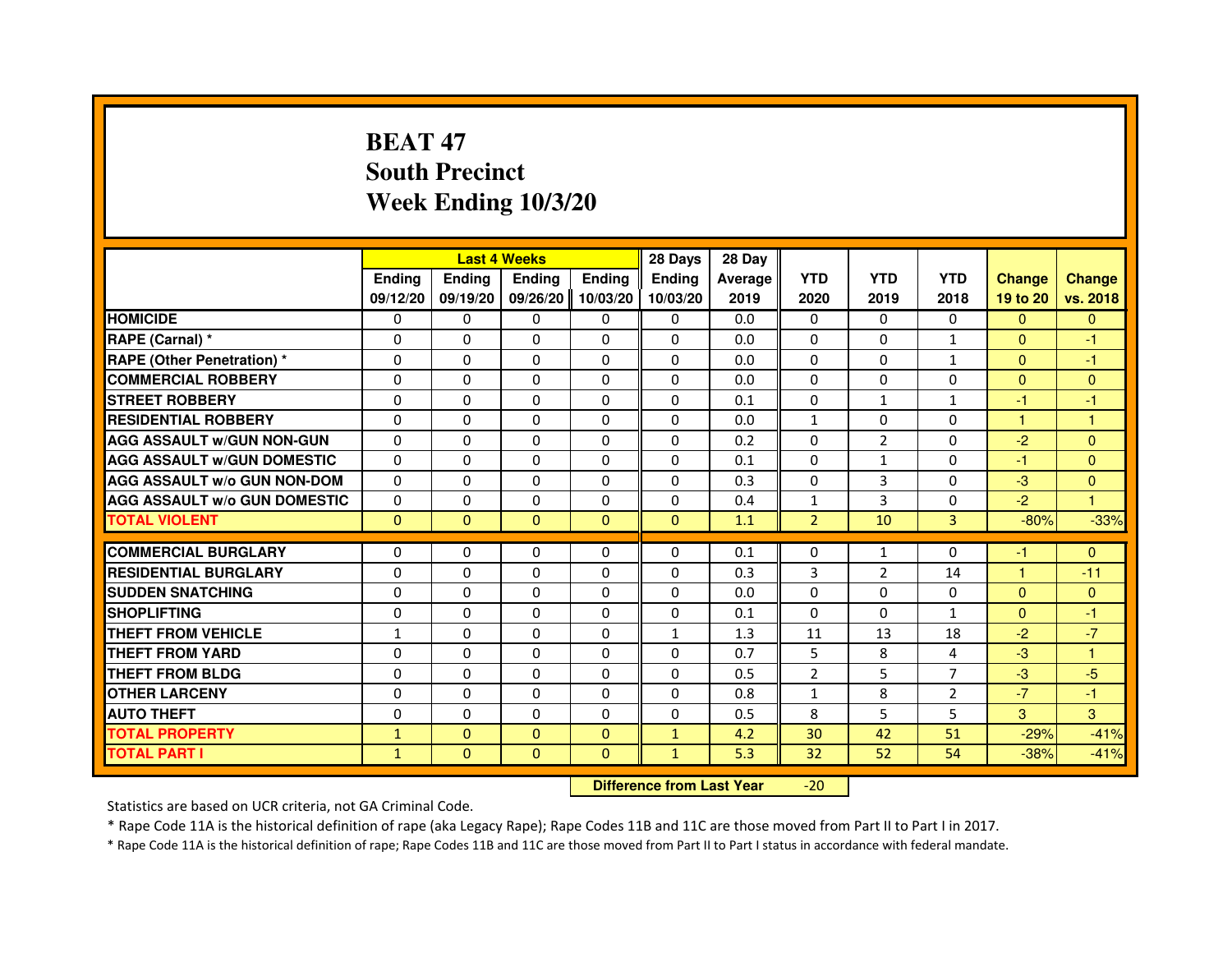# **BEAT 47 South PrecinctWeek Ending 10/3/20**

|                                     |               |                                  | <b>Last 4 Weeks</b> |               | 28 Days       | 28 Day  |                |                |                |                |                |
|-------------------------------------|---------------|----------------------------------|---------------------|---------------|---------------|---------|----------------|----------------|----------------|----------------|----------------|
|                                     | <b>Ending</b> | <b>Ending</b>                    | <b>Ending</b>       | <b>Ending</b> | <b>Ending</b> | Average | <b>YTD</b>     | <b>YTD</b>     | <b>YTD</b>     | <b>Change</b>  | <b>Change</b>  |
|                                     | 09/12/20      | 09/19/20                         | 09/26/20            | 10/03/20      | 10/03/20      | 2019    | 2020           | 2019           | 2018           | 19 to 20       | vs. 2018       |
| <b>HOMICIDE</b>                     | 0             | $\mathbf{0}$                     | $\mathbf{0}$        | 0             | 0             | 0.0     | $\mathbf{0}$   | $\Omega$       | 0              | $\Omega$       | $\mathbf{0}$   |
| RAPE (Carnal) *                     | 0             | 0                                | 0                   | 0             | 0             | 0.0     | 0              | 0              | $\mathbf{1}$   | $\mathbf{0}$   | -1             |
| <b>RAPE (Other Penetration) *</b>   | $\Omega$      | $\Omega$                         | $\Omega$            | $\Omega$      | $\Omega$      | 0.0     | $\mathbf{0}$   | $\mathbf{0}$   | $\mathbf{1}$   | $\Omega$       | -1             |
| <b>COMMERCIAL ROBBERY</b>           | 0             | $\Omega$                         | $\Omega$            | $\Omega$      | 0             | 0.0     | 0              | 0              | 0              | $\overline{0}$ | $\mathbf{0}$   |
| <b>STREET ROBBERY</b>               | $\Omega$      | $\Omega$                         | $\Omega$            | $\Omega$      | $\Omega$      | 0.1     | $\Omega$       | $\mathbf{1}$   | $\mathbf{1}$   | $-1$           | $-1$           |
| <b>RESIDENTIAL ROBBERY</b>          | 0             | 0                                | 0                   | 0             | $\Omega$      | 0.0     | $\mathbf{1}$   | 0              | $\Omega$       | $\mathbf{1}$   | 1              |
| <b>AGG ASSAULT W/GUN NON-GUN</b>    | $\Omega$      | $\Omega$                         | 0                   | $\Omega$      | $\Omega$      | 0.2     | $\Omega$       | $\overline{2}$ | 0              | $-2$           | $\mathbf{0}$   |
| <b>AGG ASSAULT W/GUN DOMESTIC</b>   | $\Omega$      | $\Omega$                         | 0                   | $\Omega$      | $\Omega$      | 0.1     | $\Omega$       | $\mathbf{1}$   | 0              | $-1$           | $\Omega$       |
| <b>AGG ASSAULT W/o GUN NON-DOM</b>  | $\Omega$      | $\Omega$                         | $\Omega$            | $\Omega$      | $\Omega$      | 0.3     | $\Omega$       | 3              | $\Omega$       | $-3$           | $\mathbf{0}$   |
| <b>AGG ASSAULT W/o GUN DOMESTIC</b> | 0             | 0                                | 0                   | $\Omega$      | $\Omega$      | 0.4     | $\mathbf{1}$   | 3              | 0              | $-2$           | $\overline{1}$ |
| <b>TOTAL VIOLENT</b>                | $\mathbf{0}$  | $\overline{0}$                   | $\mathbf{0}$        | $\mathbf{0}$  | $\mathbf{0}$  | 1.1     | $\overline{2}$ | 10             | 3              | $-80%$         | $-33%$         |
| <b>COMMERCIAL BURGLARY</b>          | 0             | 0                                | 0                   | 0             | 0             | 0.1     | 0              | 1              | 0              | $-1$           | $\mathbf{0}$   |
| <b>RESIDENTIAL BURGLARY</b>         | $\Omega$      | $\Omega$                         | 0                   | $\Omega$      | 0             | 0.3     | 3              | $\overline{2}$ | 14             | $\mathbf{1}$   | $-11$          |
| <b>SUDDEN SNATCHING</b>             | $\Omega$      | $\Omega$                         | $\Omega$            | $\Omega$      | $\Omega$      | 0.0     | $\Omega$       | $\Omega$       | $\Omega$       | $\Omega$       | $\mathbf{0}$   |
| <b>SHOPLIFTING</b>                  | 0             | $\mathbf{0}$                     | 0                   | $\mathbf{0}$  | 0             | 0.1     | $\Omega$       | $\Omega$       | $\mathbf{1}$   | $\mathbf{0}$   | $-1$           |
| THEFT FROM VEHICLE                  | 1             | $\Omega$                         | 0                   | $\Omega$      | $\mathbf{1}$  | 1.3     | 11             | 13             | 18             | $-2$           | $-7$           |
| <b>THEFT FROM YARD</b>              | $\Omega$      | $\Omega$                         | $\Omega$            | $\Omega$      | $\Omega$      | 0.7     | 5              | 8              | 4              | $-3$           | $\mathbf{1}$   |
| <b>THEFT FROM BLDG</b>              | $\Omega$      | $\Omega$                         | $\Omega$            | $\Omega$      | $\Omega$      | 0.5     | $\overline{2}$ | 5              | $\overline{7}$ | $-3$           | $-5$           |
| <b>OTHER LARCENY</b>                | $\Omega$      | $\Omega$                         | 0                   | $\Omega$      | $\Omega$      | 0.8     | $\mathbf{1}$   | 8              | $\overline{2}$ | $-7$           | $-1$           |
| <b>AUTO THEFT</b>                   | $\Omega$      | $\Omega$                         | $\Omega$            | $\Omega$      | $\Omega$      | 0.5     | 8              | 5              | 5              | 3              | 3              |
| <b>TOTAL PROPERTY</b>               | $\mathbf{1}$  | $\mathbf{0}$                     | $\Omega$            | $\Omega$      | $\mathbf{1}$  | 4.2     | 30             | 42             | 51             | $-29%$         | $-41%$         |
| <b>TOTAL PART I</b>                 | $\mathbf{1}$  | $\mathbf{0}$                     | $\mathbf{0}$        | $\mathbf{0}$  | $\mathbf{1}$  | 5.3     | 32             | 52             | 54             | $-38%$         | $-41%$         |
|                                     |               | <b>Difference from Last Year</b> |                     | $-20$         |               |         |                |                |                |                |                |

 **Difference from Last Year**

Statistics are based on UCR criteria, not GA Criminal Code.

\* Rape Code 11A is the historical definition of rape (aka Legacy Rape); Rape Codes 11B and 11C are those moved from Part II to Part I in 2017.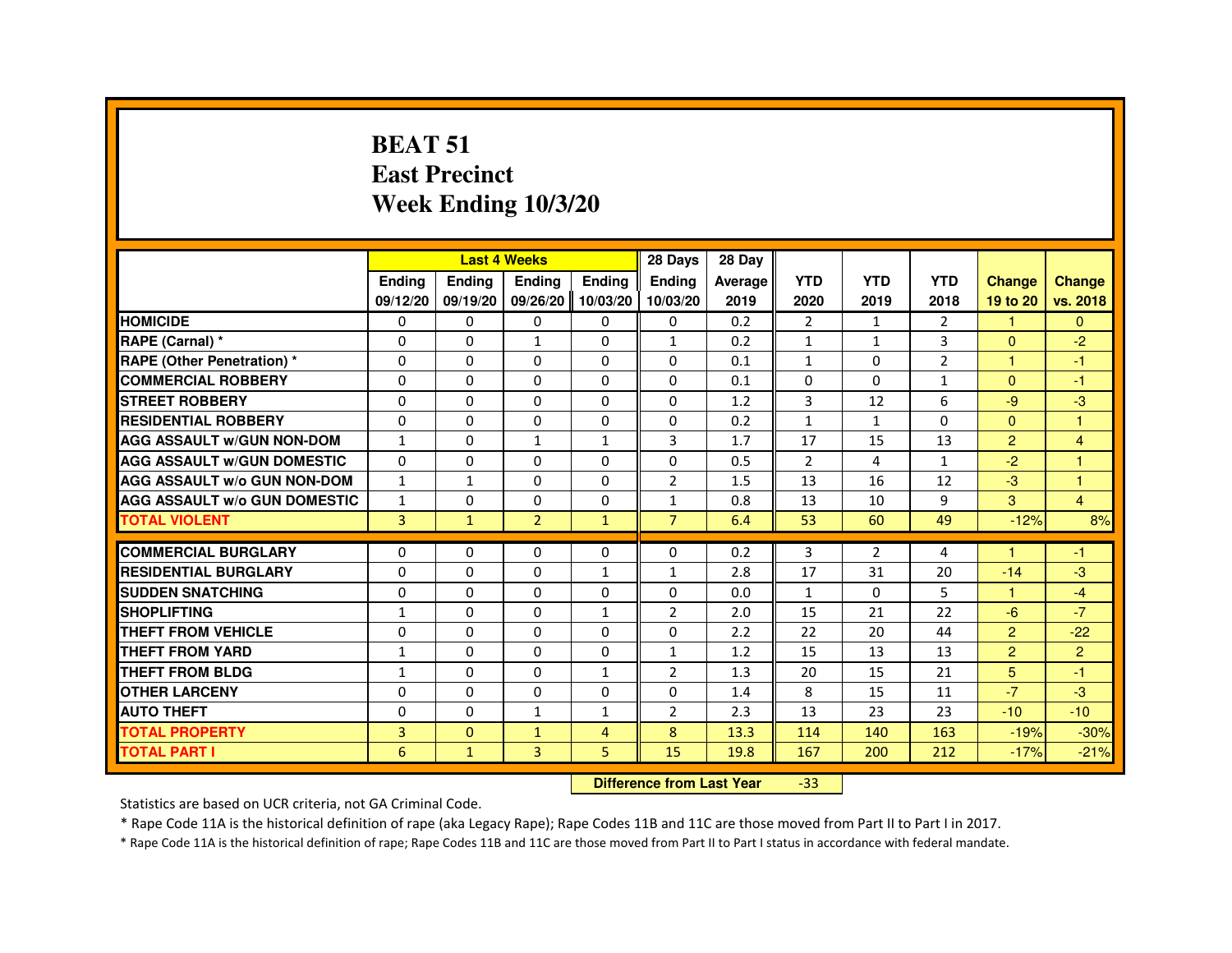#### **BEAT 51 East PrecinctWeek Ending 10/3/20**

|                                     |               |                                  | <b>Last 4 Weeks</b> |                   | 28 Days        | 28 Day  |                |              |                |                      |                |
|-------------------------------------|---------------|----------------------------------|---------------------|-------------------|----------------|---------|----------------|--------------|----------------|----------------------|----------------|
|                                     | <b>Ending</b> | Ending                           | Ending              | <b>Ending</b>     | <b>Ending</b>  | Average | <b>YTD</b>     | <b>YTD</b>   | <b>YTD</b>     | <b>Change</b>        | <b>Change</b>  |
|                                     | 09/12/20      | 09/19/20                         |                     | 09/26/20 10/03/20 | 10/03/20       | 2019    | 2020           | 2019         | 2018           | 19 to 20             | vs. 2018       |
| <b>HOMICIDE</b>                     | 0             | $\Omega$                         | $\Omega$            | $\mathbf{0}$      | 0              | 0.2     | $\overline{2}$ | $\mathbf{1}$ | $\overline{2}$ | $\mathbf{1}$         | $\Omega$       |
| RAPE (Carnal) *                     | 0             | 0                                | $\mathbf{1}$        | 0                 | $\mathbf{1}$   | 0.2     | 1              | $\mathbf{1}$ | 3              | $\mathbf{0}$         | $-2$           |
| <b>RAPE (Other Penetration) *</b>   | 0             | $\Omega$                         | 0                   | $\Omega$          | $\Omega$       | 0.1     | $\mathbf{1}$   | $\Omega$     | $\overline{2}$ | $\mathbf{1}$         | $-1$           |
| <b>COMMERCIAL ROBBERY</b>           | $\Omega$      | $\Omega$                         | $\Omega$            | $\Omega$          | $\Omega$       | 0.1     | $\Omega$       | $\Omega$     | $\mathbf{1}$   | $\Omega$             | $-1$           |
| <b>STREET ROBBERY</b>               | 0             | $\Omega$                         | $\Omega$            | 0                 | $\Omega$       | 1.2     | 3              | 12           | 6              | $-9$                 | $-3$           |
| <b>RESIDENTIAL ROBBERY</b>          | 0             | 0                                | 0                   | 0                 | 0              | 0.2     | 1              | $\mathbf{1}$ | $\Omega$       | $\mathbf{0}$         | $\overline{1}$ |
| <b>AGG ASSAULT w/GUN NON-DOM</b>    | $\mathbf{1}$  | $\Omega$                         | $\mathbf{1}$        | $\mathbf{1}$      | 3              | 1.7     | 17             | 15           | 13             | $\overline{2}$       | $\overline{4}$ |
| <b>AGG ASSAULT W/GUN DOMESTIC</b>   | $\Omega$      | 0                                | $\Omega$            | 0                 | $\Omega$       | 0.5     | $\overline{2}$ | 4            | $\mathbf{1}$   | $-2$                 | $\mathbf{1}$   |
| <b>AGG ASSAULT w/o GUN NON-DOM</b>  | $\mathbf{1}$  | $\mathbf{1}$                     | 0                   | 0                 | $\overline{2}$ | 1.5     | 13             | 16           | 12             | $-3$                 | $\overline{1}$ |
| <b>AGG ASSAULT W/o GUN DOMESTIC</b> | $\mathbf{1}$  | 0                                | 0                   | 0                 | $\mathbf{1}$   | 0.8     | 13             | 10           | 9              | 3                    | $\overline{4}$ |
| <b>TOTAL VIOLENT</b>                | 3             | $\mathbf{1}$                     | $\overline{2}$      | $\mathbf{1}$      | $\overline{7}$ | 6.4     | 53             | 60           | 49             | $-12%$               | 8%             |
| <b>COMMERCIAL BURGLARY</b>          | 0             | 0                                | 0                   | 0                 | 0              | 0.2     | 3              | 2            | 4              |                      | $-1$           |
| <b>RESIDENTIAL BURGLARY</b>         | $\Omega$      | $\Omega$                         | $\Omega$            | $\mathbf{1}$      | $\mathbf{1}$   | 2.8     | 17             | 31           | 20             | $-14$                | $-3$           |
| <b>SUDDEN SNATCHING</b>             | 0             | $\Omega$                         | $\Omega$            | $\Omega$          | $\Omega$       | 0.0     | $\mathbf{1}$   | $\Omega$     | 5              | $\blacktriangleleft$ | $-4$           |
| <b>SHOPLIFTING</b>                  | 1             | 0                                | 0                   | $\mathbf{1}$      | 2              | 2.0     | 15             | 21           | 22             | $-6$                 | $-7$           |
| THEFT FROM VEHICLE                  | 0             | 0                                | 0                   | 0                 | $\Omega$       | 2.2     | 22             | 20           | 44             | $\overline{2}$       | $-22$          |
| <b>THEFT FROM YARD</b>              | $\mathbf{1}$  | $\Omega$                         | $\Omega$            | $\Omega$          | $\mathbf{1}$   | 1.2     | 15             | 13           | 13             | $\overline{2}$       | $\overline{2}$ |
| THEFT FROM BLDG                     | $\mathbf{1}$  | $\Omega$                         | $\Omega$            | $\mathbf{1}$      | 2              | 1.3     | 20             | 15           | 21             | 5                    | $-1$           |
| <b>OTHER LARCENY</b>                | $\Omega$      | $\Omega$                         | $\Omega$            | $\Omega$          | $\Omega$       | 1.4     | 8              | 15           | 11             | $-7$                 | $-3$           |
| <b>AUTO THEFT</b>                   | 0             | 0                                | $\mathbf{1}$        | $\mathbf{1}$      | $\overline{2}$ | 2.3     | 13             | 23           | 23             | $-10$                | $-10$          |
| <b>TOTAL PROPERTY</b>               | 3             | $\Omega$                         | $\mathbf{1}$        | $\overline{4}$    | 8              | 13.3    | 114            | 140          | 163            | $-19%$               | $-30%$         |
| <b>TOTAL PART I</b>                 | 6             | $\mathbf{1}$                     | 3                   | 5                 | 15             | 19.8    | 167            | 200          | 212            | $-17%$               | $-21%$         |
|                                     |               | <b>Difference from Last Year</b> |                     | $-33$             |                |         |                |              |                |                      |                |

#### **Difference from Last Year**

Statistics are based on UCR criteria, not GA Criminal Code.

\* Rape Code 11A is the historical definition of rape (aka Legacy Rape); Rape Codes 11B and 11C are those moved from Part II to Part I in 2017.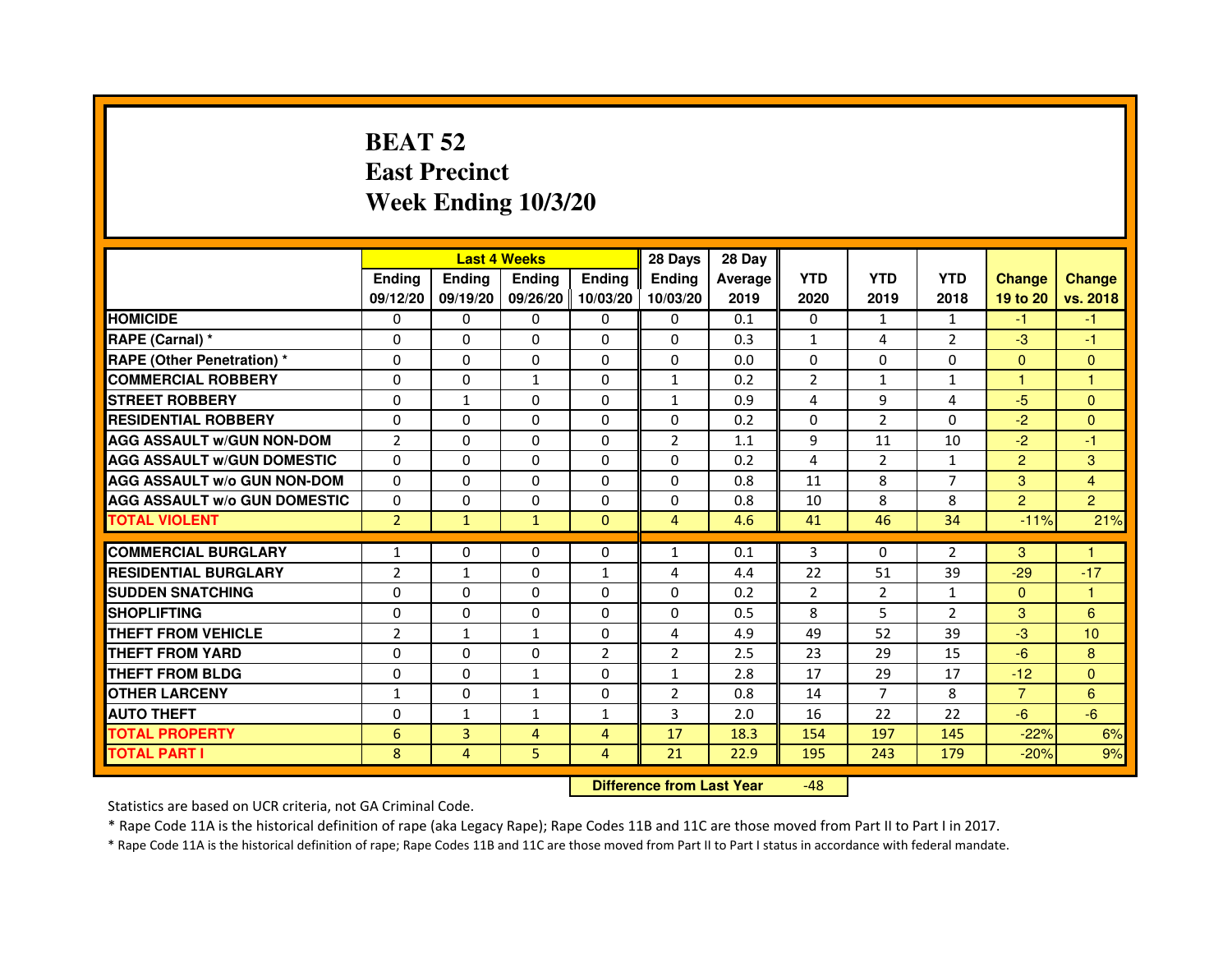# **BEAT 52 East PrecinctWeek Ending 10/3/20**

|                                     |                | <b>Last 4 Weeks</b> |               |                   | 28 Days        | 28 Day  |                |                |                |                |                |
|-------------------------------------|----------------|---------------------|---------------|-------------------|----------------|---------|----------------|----------------|----------------|----------------|----------------|
|                                     | <b>Endina</b>  | <b>Ending</b>       | <b>Endina</b> | <b>Ending</b>     | <b>Endina</b>  | Average | <b>YTD</b>     | <b>YTD</b>     | <b>YTD</b>     | <b>Change</b>  | <b>Change</b>  |
|                                     | 09/12/20       | 09/19/20            |               | 09/26/20 10/03/20 | 10/03/20       | 2019    | 2020           | 2019           | 2018           | 19 to 20       | vs. 2018       |
| <b>HOMICIDE</b>                     | 0              | 0                   | 0             | 0                 | 0              | 0.1     | $\mathbf{0}$   | $\mathbf{1}$   | 1              | -1             | -1             |
| RAPE (Carnal) *                     | $\Omega$       | $\Omega$            | $\Omega$      | $\Omega$          | $\Omega$       | 0.3     | $\mathbf{1}$   | 4              | $\overline{2}$ | $-3$           | $-1$           |
| <b>RAPE (Other Penetration) *</b>   | 0              | $\Omega$            | $\Omega$      | $\Omega$          | $\Omega$       | 0.0     | $\Omega$       | $\Omega$       | $\Omega$       | $\Omega$       | $\Omega$       |
| <b>COMMERCIAL ROBBERY</b>           | 0              | 0                   | 1             | $\Omega$          | $\mathbf{1}$   | 0.2     | 2              | $\mathbf{1}$   | 1              | 1              | 1              |
| <b>STREET ROBBERY</b>               | 0              | $\mathbf{1}$        | 0             | $\Omega$          | $\mathbf{1}$   | 0.9     | 4              | 9              | $\overline{4}$ | $-5$           | $\Omega$       |
| <b>RESIDENTIAL ROBBERY</b>          | 0              | $\Omega$            | 0             | $\Omega$          | 0              | 0.2     | 0              | 2              | $\Omega$       | $-2$           | $\Omega$       |
| <b>AGG ASSAULT W/GUN NON-DOM</b>    | $\overline{2}$ | $\mathbf 0$         | $\Omega$      | $\Omega$          | $\overline{2}$ | 1.1     | 9              | 11             | 10             | $-2$           | $-1$           |
| <b>AGG ASSAULT W/GUN DOMESTIC</b>   | $\Omega$       | 0                   | 0             | 0                 | $\Omega$       | 0.2     | $\overline{4}$ | $\overline{2}$ | $\mathbf{1}$   | $\overline{2}$ | 3              |
| <b>AGG ASSAULT W/o GUN NON-DOM</b>  | $\Omega$       | 0                   | $\Omega$      | 0                 | $\Omega$       | 0.8     | 11             | 8              | 7              | 3              | 4              |
| <b>AGG ASSAULT W/o GUN DOMESTIC</b> | $\Omega$       | $\Omega$            | 0             | $\Omega$          | $\Omega$       | 0.8     | 10             | 8              | 8              | $\overline{2}$ | $\overline{2}$ |
| <b>TOTAL VIOLENT</b>                | $\overline{2}$ | $\mathbf{1}$        | $\mathbf{1}$  | $\mathbf{0}$      | $\overline{4}$ | 4.6     | 41             | 46             | 34             | $-11%$         | 21%            |
|                                     |                |                     |               |                   |                |         |                |                |                |                |                |
| <b>COMMERCIAL BURGLARY</b>          | 1              | 0                   | 0             | $\Omega$          | $\mathbf{1}$   | 0.1     | 3              | $\Omega$       | $\overline{2}$ | 3              | 1              |
| <b>RESIDENTIAL BURGLARY</b>         | $\overline{2}$ | $\mathbf{1}$        | 0             | $\mathbf{1}$      | 4              | 4.4     | 22             | 51             | 39             | $-29$          | $-17$          |
| <b>SUDDEN SNATCHING</b>             | 0              | 0                   | $\Omega$      | $\Omega$          | $\Omega$       | 0.2     | $\overline{2}$ | $\overline{2}$ | $\mathbf{1}$   | $\Omega$       | 1              |
| <b>SHOPLIFTING</b>                  | $\mathbf 0$    | 0                   | 0             | $\Omega$          | 0              | 0.5     | 8              | 5              | $\overline{2}$ | 3              | 6              |
| <b>THEFT FROM VEHICLE</b>           | $\overline{2}$ | $\mathbf{1}$        | $\mathbf{1}$  | $\mathbf{0}$      | 4              | 4.9     | 49             | 52             | 39             | $-3$           | 10             |
| <b>THEFT FROM YARD</b>              | 0              | 0                   | $\Omega$      | $\overline{2}$    | $\overline{2}$ | 2.5     | 23             | 29             | 15             | $-6$           | 8              |
| <b>THEFT FROM BLDG</b>              | 0              | 0                   | 1             | 0                 | 1              | 2.8     | 17             | 29             | 17             | $-12$          | $\Omega$       |
| <b>OTHER LARCENY</b>                | 1              | 0                   | 1             | 0                 | $\overline{2}$ | 0.8     | 14             | 7              | 8              | $\overline{7}$ | 6              |
| <b>AUTO THEFT</b>                   | $\mathbf 0$    | 1                   | $\mathbf{1}$  | $\mathbf{1}$      | 3              | 2.0     | 16             | 22             | 22             | $-6$           | $-6$           |
| <b>TOTAL PROPERTY</b>               | 6              | 3                   | 4             | 4                 | 17             | 18.3    | 154            | 197            | 145            | $-22%$         | 6%             |
| <b>TOTAL PART I</b>                 | 8              | 4                   | 5             | 4                 | 21             | 22.9    | 195            | 243            | 179            | $-20%$         | 9%             |

 **Difference from Last Year**-48

Statistics are based on UCR criteria, not GA Criminal Code.

\* Rape Code 11A is the historical definition of rape (aka Legacy Rape); Rape Codes 11B and 11C are those moved from Part II to Part I in 2017.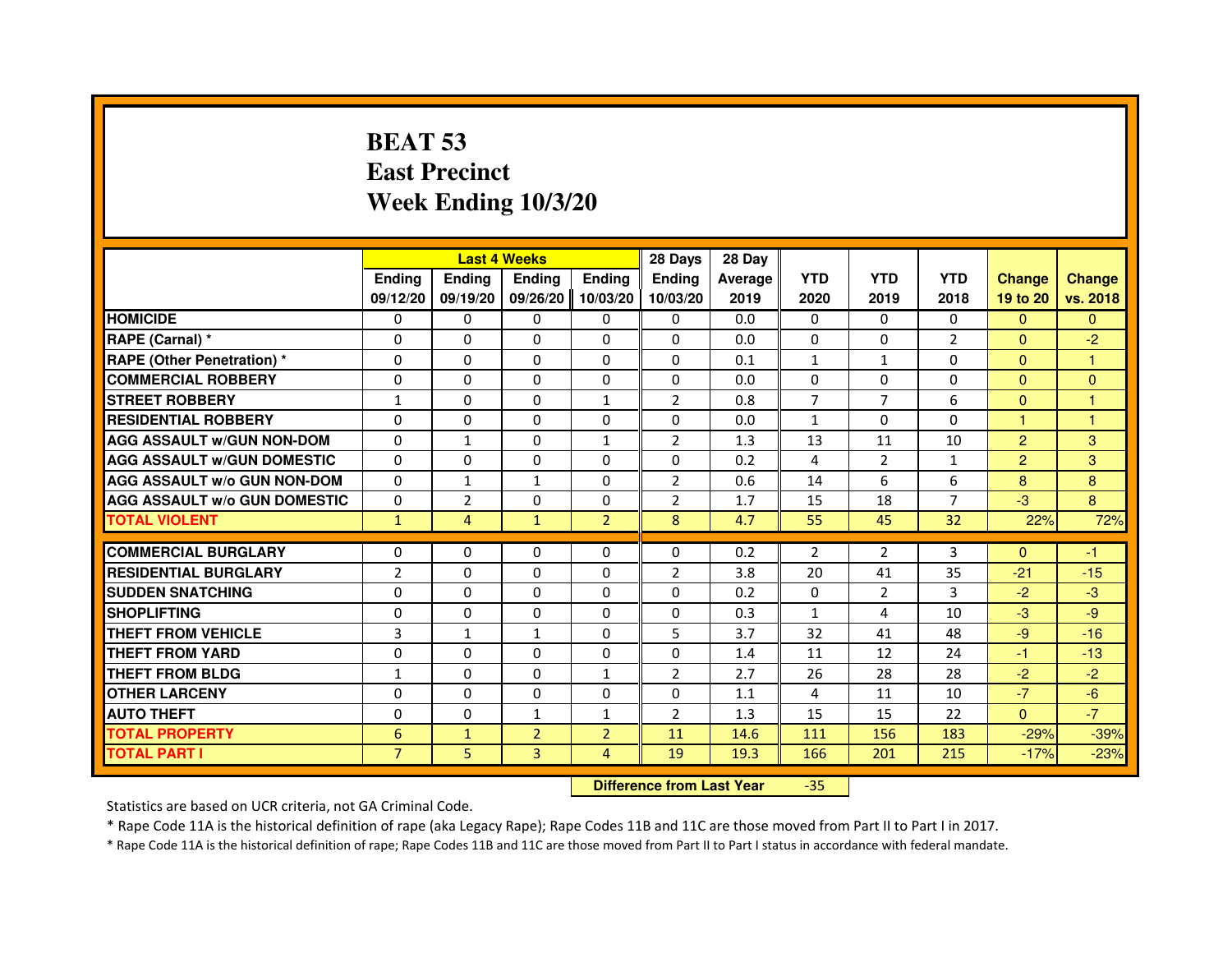# **BEAT 53 East PrecinctWeek Ending 10/3/20**

|                                     |                |                                  | <b>Last 4 Weeks</b> |                | 28 Days        | 28 Day  |                |                |                |                |               |
|-------------------------------------|----------------|----------------------------------|---------------------|----------------|----------------|---------|----------------|----------------|----------------|----------------|---------------|
|                                     | Ending         | Ending                           | <b>Ending</b>       | <b>Ending</b>  | <b>Endina</b>  | Average | <b>YTD</b>     | <b>YTD</b>     | <b>YTD</b>     | <b>Change</b>  | <b>Change</b> |
|                                     | 09/12/20       | 09/19/20                         | 09/26/20            | 10/03/20       | 10/03/20       | 2019    | 2020           | 2019           | 2018           | 19 to 20       | vs. 2018      |
| <b>HOMICIDE</b>                     | $\Omega$       | $\Omega$                         | $\mathbf{0}$        | $\mathbf{0}$   | $\mathbf{0}$   | 0.0     | $\Omega$       | $\Omega$       | $\Omega$       | $\Omega$       | $\Omega$      |
| RAPE (Carnal) *                     | 0              | $\Omega$                         | 0                   | $\Omega$       | $\Omega$       | 0.0     | $\Omega$       | $\Omega$       | 2              | $\mathbf{0}$   | $-2$          |
| <b>RAPE (Other Penetration) *</b>   | $\Omega$       | $\Omega$                         | $\Omega$            | $\Omega$       | $\Omega$       | 0.1     | $\mathbf{1}$   | $\mathbf{1}$   | $\Omega$       | $\Omega$       | $\mathbf{1}$  |
| <b>COMMERCIAL ROBBERY</b>           | 0              | $\Omega$                         | $\Omega$            | $\Omega$       | 0              | 0.0     | $\Omega$       | $\Omega$       | $\Omega$       | $\Omega$       | $\Omega$      |
| <b>STREET ROBBERY</b>               | $\mathbf{1}$   | $\Omega$                         | 0                   | $\mathbf{1}$   | $\overline{2}$ | 0.8     | $\overline{7}$ | $\overline{7}$ | 6              | $\Omega$       | $\mathbf{1}$  |
| <b>RESIDENTIAL ROBBERY</b>          | $\Omega$       | $\Omega$                         | 0                   | 0              | 0              | 0.0     | 1              | $\Omega$       | $\Omega$       | $\mathbf{1}$   | 1             |
| <b>AGG ASSAULT W/GUN NON-DOM</b>    | $\Omega$       | $\mathbf{1}$                     | 0                   | $\mathbf{1}$   | $\overline{2}$ | 1.3     | 13             | 11             | 10             | $\overline{2}$ | 3             |
| <b>AGG ASSAULT W/GUN DOMESTIC</b>   | $\Omega$       | $\Omega$                         | $\Omega$            | $\Omega$       | $\Omega$       | 0.2     | 4              | $\overline{2}$ | $\mathbf{1}$   | $\overline{2}$ | 3             |
| <b>AGG ASSAULT w/o GUN NON-DOM</b>  | 0              | $\mathbf{1}$                     | $\mathbf{1}$        | $\mathbf{0}$   | 2              | 0.6     | 14             | 6              | 6              | 8              | 8             |
| <b>AGG ASSAULT w/o GUN DOMESTIC</b> | $\Omega$       | $\overline{2}$                   | 0                   | $\Omega$       | $\overline{2}$ | 1.7     | 15             | 18             | $\overline{7}$ | $-3$           | 8             |
| <b>TOTAL VIOLENT</b>                | $\mathbf{1}$   | $\overline{4}$                   | $\mathbf{1}$        | $\overline{2}$ | 8              | 4.7     | 55             | 45             | 32             | 22%            | 72%           |
| <b>COMMERCIAL BURGLARY</b>          | $\Omega$       | 0                                | 0                   | $\Omega$       | 0              | 0.2     | $\overline{2}$ | $\overline{2}$ | 3              | $\Omega$       | $-1$          |
| <b>RESIDENTIAL BURGLARY</b>         | $\overline{2}$ | $\Omega$                         | $\Omega$            | $\Omega$       | $\overline{2}$ | 3.8     | 20             | 41             | 35             | $-21$          | $-15$         |
| <b>SUDDEN SNATCHING</b>             | $\Omega$       | $\Omega$                         | $\Omega$            | $\Omega$       | $\Omega$       | 0.2     | $\Omega$       | $\overline{2}$ | 3              | $-2$           | $-3$          |
| <b>SHOPLIFTING</b>                  | 0              | 0                                | 0                   | 0              | 0              | 0.3     | 1              | 4              | 10             | $-3$           | $-9$          |
| <b>THEFT FROM VEHICLE</b>           | 3              | $\mathbf{1}$                     | 1                   | $\Omega$       | 5              | 3.7     | 32             | 41             | 48             | $-9$           | $-16$         |
| <b>THEFT FROM YARD</b>              | 0              | 0                                | $\Omega$            | 0              | 0              | 1.4     | 11             | 12             | 24             | $-1$           | $-13$         |
| <b>THEFT FROM BLDG</b>              | $\mathbf{1}$   | $\Omega$                         | $\Omega$            | $\mathbf{1}$   | $\overline{2}$ | 2.7     | 26             | 28             | 28             | $-2$           | $-2$          |
| <b>OTHER LARCENY</b>                | $\Omega$       | $\Omega$                         | 0                   | $\Omega$       | $\Omega$       | 1.1     | 4              | 11             | 10             | $-7$           | $-6$          |
| <b>AUTO THEFT</b>                   | $\Omega$       | $\Omega$                         | $\mathbf{1}$        | $\mathbf{1}$   | $\overline{2}$ | 1.3     | 15             | 15             | 22             | $\mathbf{0}$   | $-7$          |
| <b>TOTAL PROPERTY</b>               | 6              | $\mathbf{1}$                     | $\overline{2}$      | $\overline{2}$ | 11             | 14.6    | 111            | 156            | 183            | $-29%$         | $-39%$        |
| <b>TOTAL PART I</b>                 | $\overline{7}$ | 5                                | 3                   | 4              | 19             | 19.3    | 166            | 201            | 215            | $-17%$         | $-23%$        |
|                                     |                | <b>Difference from Last Year</b> |                     | $-35$          |                |         |                |                |                |                |               |

 **Difference from Last Year**

Statistics are based on UCR criteria, not GA Criminal Code.

\* Rape Code 11A is the historical definition of rape (aka Legacy Rape); Rape Codes 11B and 11C are those moved from Part II to Part I in 2017.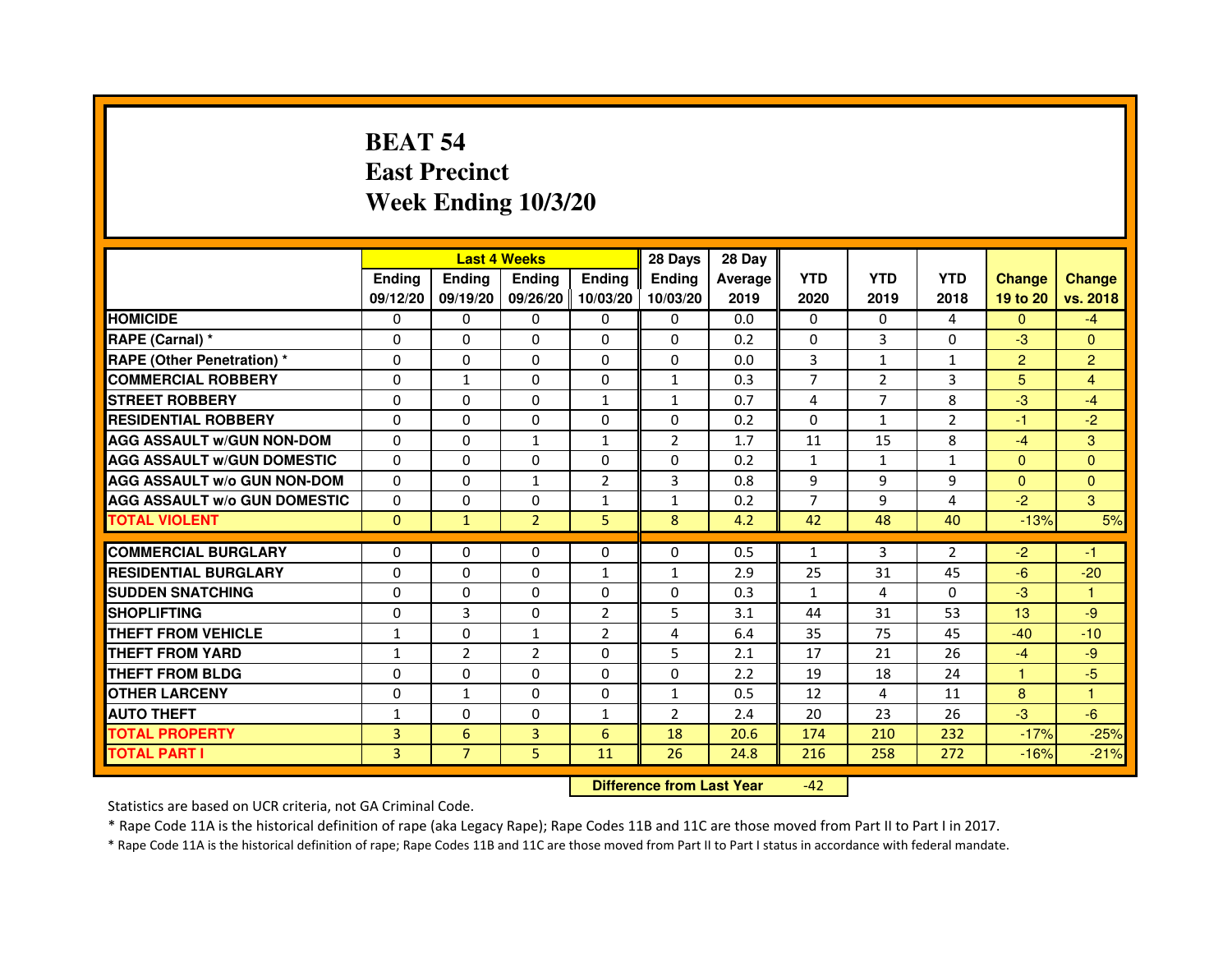# **BEAT 54 East PrecinctWeek Ending 10/3/20**

|                                     |               | <b>Last 4 Weeks</b> |                |                   | 28 Days        | 28 Day  |              |              |                |                |               |
|-------------------------------------|---------------|---------------------|----------------|-------------------|----------------|---------|--------------|--------------|----------------|----------------|---------------|
|                                     | <b>Endina</b> | Ending              | <b>Endina</b>  | <b>Ending</b>     | <b>Endina</b>  | Average | <b>YTD</b>   | <b>YTD</b>   | <b>YTD</b>     | <b>Change</b>  | <b>Change</b> |
|                                     | 09/12/20      | 09/19/20            |                | 09/26/20 10/03/20 | 10/03/20       | 2019    | 2020         | 2019         | 2018           | 19 to 20       | vs. 2018      |
| <b>HOMICIDE</b>                     | 0             | 0                   | 0              | 0                 | 0              | 0.0     | $\mathbf{0}$ | $\Omega$     | 4              | $\Omega$       | $-4$          |
| RAPE (Carnal) *                     | $\Omega$      | $\Omega$            | $\Omega$       | $\Omega$          | $\Omega$       | 0.2     | $\Omega$     | 3            | $\Omega$       | $-3$           | $\Omega$      |
| <b>RAPE (Other Penetration)*</b>    | $\Omega$      | $\Omega$            | $\Omega$       | $\Omega$          | $\Omega$       | 0.0     | 3            | $\mathbf{1}$ | $\mathbf{1}$   | $\overline{2}$ | 2             |
| <b>COMMERCIAL ROBBERY</b>           | 0             | 1                   | 0              | 0                 | $\mathbf{1}$   | 0.3     | 7            | 2            | 3              | 5              | 4             |
| <b>STREET ROBBERY</b>               | 0             | $\Omega$            | 0              | $\mathbf{1}$      | $\mathbf{1}$   | 0.7     | 4            | 7            | 8              | $-3$           | $-4$          |
| <b>RESIDENTIAL ROBBERY</b>          | 0             | $\Omega$            | 0              | 0                 | $\Omega$       | 0.2     | $\Omega$     | $\mathbf{1}$ | $\overline{2}$ | $-1$           | $-2$          |
| <b>AGG ASSAULT w/GUN NON-DOM</b>    | $\Omega$      | $\Omega$            | $\mathbf{1}$   | $\mathbf{1}$      | $\overline{2}$ | 1.7     | 11           | 15           | 8              | $-4$           | 3             |
| <b>AGG ASSAULT W/GUN DOMESTIC</b>   | $\Omega$      | $\Omega$            | $\Omega$       | $\Omega$          | $\Omega$       | 0.2     | $\mathbf{1}$ | $\mathbf{1}$ | $\mathbf{1}$   | $\Omega$       | $\Omega$      |
| <b>AGG ASSAULT W/o GUN NON-DOM</b>  | $\Omega$      | 0                   | 1              | 2                 | 3              | 0.8     | 9            | 9            | 9              | $\Omega$       | $\Omega$      |
| <b>AGG ASSAULT W/o GUN DOMESTIC</b> | 0             | 0                   | 0              | 1                 | 1              | 0.2     | 7            | 9            | 4              | $-2$           | 3             |
| <b>TOTAL VIOLENT</b>                | $\Omega$      | $\mathbf{1}$        | $\overline{2}$ | 5                 | 8              | 4.2     | 42           | 48           | 40             | $-13%$         | 5%            |
|                                     |               |                     |                |                   |                |         |              |              |                |                |               |
| <b>COMMERCIAL BURGLARY</b>          | 0             | 0                   | 0              | 0                 | $\Omega$       | 0.5     | $\mathbf{1}$ | 3            | 2              | $-2$           | -1            |
| <b>RESIDENTIAL BURGLARY</b>         | 0             | $\Omega$            | 0              | $\mathbf{1}$      | $\mathbf{1}$   | 2.9     | 25           | 31           | 45             | -6             | $-20$         |
| <b>SUDDEN SNATCHING</b>             | 0             | $\Omega$            | $\Omega$       | $\Omega$          | $\Omega$       | 0.3     | $\mathbf{1}$ | 4            | $\Omega$       | $-3$           | 1             |
| <b>SHOPLIFTING</b>                  | $\Omega$      | 3                   | $\Omega$       | $\overline{2}$    | 5              | 3.1     | 44           | 31           | 53             | 13             | -9            |
| <b>THEFT FROM VEHICLE</b>           | $\mathbf{1}$  | 0                   | $\mathbf{1}$   | $\overline{2}$    | 4              | 6.4     | 35           | 75           | 45             | $-40$          | $-10$         |
| <b>THEFT FROM YARD</b>              | 1             | $\overline{2}$      | $\overline{2}$ | $\Omega$          | 5              | 2.1     | 17           | 21           | 26             | $-4$           | -9            |
| <b>THEFT FROM BLDG</b>              | 0             | $\Omega$            | $\Omega$       | $\mathbf{0}$      | $\Omega$       | 2.2     | 19           | 18           | 24             | 1.             | $-5$          |
| <b>OTHER LARCENY</b>                | 0             | $\mathbf{1}$        | $\Omega$       | $\Omega$          | $\mathbf{1}$   | 0.5     | 12           | 4            | 11             | 8              | 1             |
| <b>AUTO THEFT</b>                   | $\mathbf{1}$  | $\mathbf 0$         | $\mathbf 0$    | $\mathbf{1}$      | $\overline{2}$ | 2.4     | 20           | 23           | 26             | $-3$           | -6            |
| <b>TOTAL PROPERTY</b>               | 3             | 6                   | 3              | 6                 | 18             | 20.6    | 174          | 210          | 232            | $-17%$         | $-25%$        |
| <b>TOTAL PART I</b>                 | 3             | $\overline{7}$      | 5              | 11                | 26             | 24.8    | 216          | 258          | 272            | $-16%$         | $-21%$        |

 **Difference from Last Year**-42

Statistics are based on UCR criteria, not GA Criminal Code.

\* Rape Code 11A is the historical definition of rape (aka Legacy Rape); Rape Codes 11B and 11C are those moved from Part II to Part I in 2017.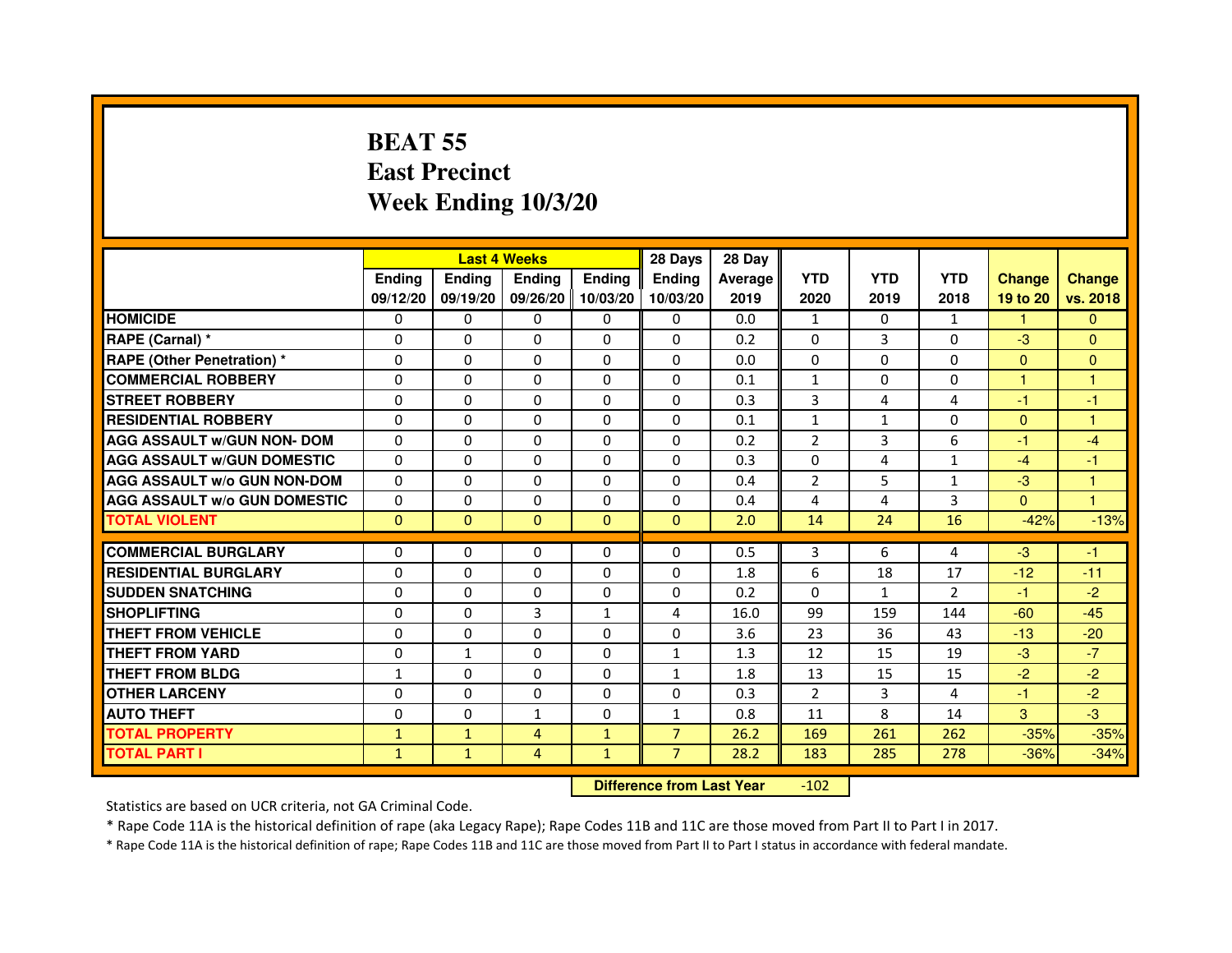## **BEAT 55 East PrecinctWeek Ending 10/3/20**

|                                     |               |              | <b>Last 4 Weeks</b> |               | 28 Days        | 28 Day  |                |              |                |               |                |
|-------------------------------------|---------------|--------------|---------------------|---------------|----------------|---------|----------------|--------------|----------------|---------------|----------------|
|                                     | <b>Ending</b> | Ending       | <b>Ending</b>       | <b>Ending</b> | <b>Endina</b>  | Average | <b>YTD</b>     | <b>YTD</b>   | <b>YTD</b>     | <b>Change</b> | <b>Change</b>  |
|                                     | 09/12/20      | 09/19/20     | 09/26/20            | 10/03/20      | 10/03/20       | 2019    | 2020           | 2019         | 2018           | 19 to 20      | vs. 2018       |
| <b>HOMICIDE</b>                     | $\Omega$      | $\Omega$     | $\mathbf{0}$        | 0             | 0              | 0.0     | $\mathbf{1}$   | 0            | $\mathbf{1}$   | 1.            | $\mathbf{0}$   |
| RAPE (Carnal) *                     | $\Omega$      | $\Omega$     | $\Omega$            | $\Omega$      | $\Omega$       | 0.2     | $\Omega$       | 3            | $\Omega$       | $-3$          | $\Omega$       |
| <b>RAPE (Other Penetration) *</b>   | $\Omega$      | 0            | $\mathbf{0}$        | 0             | 0              | 0.0     | $\Omega$       | 0            | 0              | $\Omega$      | $\Omega$       |
| <b>COMMERCIAL ROBBERY</b>           | $\Omega$      | $\Omega$     | $\Omega$            | $\Omega$      | $\Omega$       | 0.1     | $\mathbf{1}$   | $\Omega$     | $\Omega$       | 1             |                |
| <b>STREET ROBBERY</b>               | $\mathbf{0}$  | $\Omega$     | $\Omega$            | $\Omega$      | $\Omega$       | 0.3     | 3              | 4            | $\overline{4}$ | $-1$          | $-1$           |
| <b>RESIDENTIAL ROBBERY</b>          | $\Omega$      | $\Omega$     | $\Omega$            | $\Omega$      | $\Omega$       | 0.1     | $\mathbf{1}$   | $\mathbf{1}$ | $\Omega$       | $\Omega$      | $\overline{1}$ |
| <b>AGG ASSAULT w/GUN NON- DOM</b>   | $\Omega$      | $\Omega$     | $\Omega$            | $\Omega$      | $\Omega$       | 0.2     | $\overline{2}$ | 3            | 6              | $-1$          | $-4$           |
| <b>AGG ASSAULT W/GUN DOMESTIC</b>   | $\Omega$      | 0            | $\Omega$            | $\Omega$      | $\Omega$       | 0.3     | $\Omega$       | 4            | $\mathbf{1}$   | $-4$          | $-1$           |
| <b>AGG ASSAULT W/o GUN NON-DOM</b>  | $\Omega$      | $\Omega$     | $\Omega$            | $\Omega$      | $\Omega$       | 0.4     | $\overline{2}$ | 5            | 1              | $-3$          |                |
| <b>AGG ASSAULT W/o GUN DOMESTIC</b> | $\Omega$      | $\Omega$     | $\Omega$            | $\Omega$      | 0              | 0.4     | 4              | 4            | 3              | $\Omega$      | 1              |
| <b>TOTAL VIOLENT</b>                | $\Omega$      | $\mathbf{0}$ | $\mathbf{0}$        | $\Omega$      | $\Omega$       | 2.0     | 14             | 24           | 16             | $-42%$        | $-13%$         |
|                                     |               |              |                     |               |                |         |                |              |                |               |                |
| <b>COMMERCIAL BURGLARY</b>          | $\Omega$      | 0            | $\mathbf{0}$        | 0             | $\Omega$       | 0.5     | 3              | 6            | 4              | $-3$          | $-1$           |
| <b>RESIDENTIAL BURGLARY</b>         | $\Omega$      | $\Omega$     | $\Omega$            | $\Omega$      | $\Omega$       | 1.8     | 6              | 18           | 17             | $-12$         | $-11$          |
| <b>SUDDEN SNATCHING</b>             | $\Omega$      | $\Omega$     | $\Omega$            | 0             | 0              | 0.2     | $\Omega$       | $\mathbf{1}$ | $\overline{2}$ | $-1$          | $-2$           |
| <b>SHOPLIFTING</b>                  | $\Omega$      | $\Omega$     | 3                   | $\mathbf{1}$  | 4              | 16.0    | 99             | 159          | 144            | $-60$         | $-45$          |
| THEFT FROM VEHICLE                  | $\Omega$      | $\Omega$     | $\Omega$            | $\Omega$      | $\Omega$       | 3.6     | 23             | 36           | 43             | $-13$         | $-20$          |
| THEFT FROM YARD                     | $\Omega$      | $\mathbf{1}$ | $\Omega$            | $\Omega$      | $\mathbf{1}$   | 1.3     | 12             | 15           | 19             | $-3$          | $-7$           |
| <b>THEFT FROM BLDG</b>              | $\mathbf{1}$  | $\Omega$     | $\Omega$            | $\Omega$      | $\mathbf{1}$   | 1.8     | 13             | 15           | 15             | $-2$          | $-2$           |
| <b>OTHER LARCENY</b>                | $\Omega$      | $\Omega$     | $\Omega$            | $\Omega$      | $\Omega$       | 0.3     | $\overline{2}$ | 3            | 4              | $-1$          | $-2$           |
| <b>AUTO THEFT</b>                   | $\Omega$      | $\Omega$     | $\mathbf{1}$        | $\Omega$      | $\mathbf{1}$   | 0.8     | 11             | 8            | 14             | 3             | $-3$           |
| <b>TOTAL PROPERTY</b>               | $\mathbf{1}$  | $\mathbf{1}$ | 4                   | $\mathbf{1}$  | $\overline{7}$ | 26.2    | 169            | 261          | 262            | $-35%$        | $-35%$         |
| <b>TOTAL PART I</b>                 | $\mathbf{1}$  | $\mathbf{1}$ | 4                   | $\mathbf{1}$  | $\overline{7}$ | 28.2    | 183            | 285          | 278            | $-36%$        | $-34%$         |

 **Difference from Last Year**-102

Statistics are based on UCR criteria, not GA Criminal Code.

\* Rape Code 11A is the historical definition of rape (aka Legacy Rape); Rape Codes 11B and 11C are those moved from Part II to Part I in 2017.